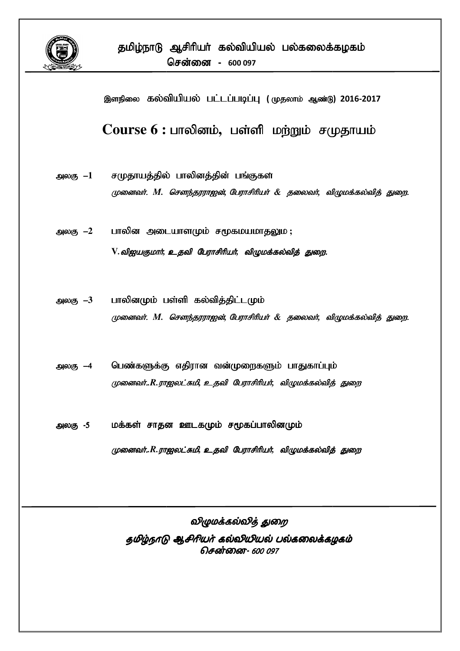

இளநிலை கல்வியியல் பட்டப்படிப்பு (முதலாம் ஆண்டு) 2016-2017

Course  $6:$  பாலினம், பள்ளி மற்றும் சமுதாயம்

- சமுதாயத்தில் பாலினத்தின் பங்குகள அலகு –1 முனைவர். M. சௌந்தரராஐன், பேராசிரியர் & தலைவர், விழுமக்கல்வித் துறை.
- பாலின அடையாளமும் சமூகமயமாதலும; அலகு –2 V. விஐயகுமார், உதவி பேராசிரியர், விழுமக்கல்வித் துறை.
- பாலினமும் பள்ளி கல்வித்திட்டமும் அலகு  $-3$ முனைவர். M. சௌந்தரராஐன், பேராசிரியர் & தலைவர், விழுமக்கல்வித் துறை.
- பெண்களுக்கு எதிரான வன்முறைகளும் பாதுகாப்பும் அலகு —4 முனைவர்..R.ராஐலட்சுமி, உதவி பேராசிரியர், விழுமக்கல்வித் துறை
- மக்கள் சாதன ஊடகமும் சமூகப்பாலினமும் அலகு -5

முனைவர்..R.ராஜலட்சுமி, உதவி பேராசிரியர், விழுமக்கல்வித் துறை

விழுமக்கல்வித் துறை தமிழ்நாடு ஆசிரியர் கல்வியியல் பல்கலைக்கழகம் சென்னை- 600 097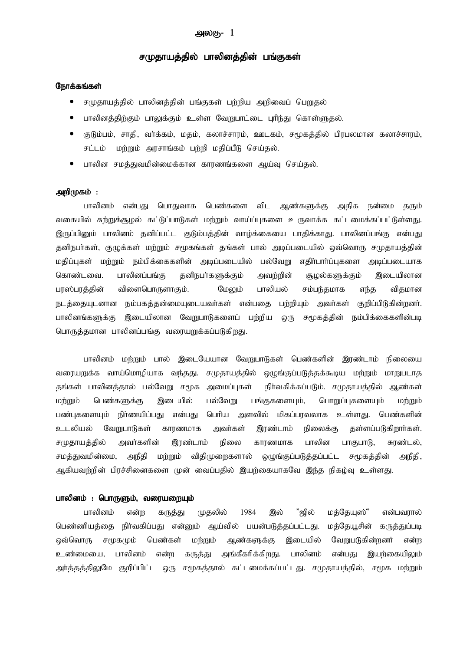# அலகு-  $1$

# சமுதாயத்தில் பாலினத்தின் பங்குகள்

## நோக்கங்கள்

- சமுதாயத்தில் பாலினத்தின் பங்குகள் பற்றிய அறிவைப் பெறுதல்
- பாலினத்திற்கும் பாலுக்கும் உள்ள வேறுபாட்டை புரிந்து கொள்ளுதல்.
- குடும்பம், சாதி, வா்க்கம், மதம், கலாச்சாரம், ஊடகம், சமூகத்தில் பிரபலமான கலாச்சாரம், சட்டம் மற்றும் அரசாங்கம் பற்றி மதிப்பீடு செய்தல்.
- பாலின சமத்துவமின்மைக்கான காரணங்களை ஆய்வு செய்தல்.

# அறி $(\mathfrak{p}$ கம்:

பாலினம் என்பது பொதுவாக பெண்களை விட ஆண்களுக்கு அதிக நன்மை தரும் வகையில் சுற்றுக்குழல் கட்டுப்பாடுகள் மற்றும் வாய்ப்புகளை உருவாக்க கட்டமைக்கப்பட்டுள்ளது. இருப்பினும் பாலினம் தனிப்பட்ட குடும்பத்தின் வாம்க்கையை பாதிக்காது. பாலினப்பங்கு என்பது தனிநபர்கள், குழுக்கள் மற்றும் சமூகங்கள் தங்கள் பால் அடிப்படையில் ஒவ்வொரு சமுதாயத்தின் மதிப்புகள் மற்றும் நம்பிக்கைகளின் அடிப்படையில் பல்வேறு எதிா்பாா்ப்புகளை அடிப்படையாக கொண்டவை. பாலினப்பங்கு கனிநபர்களுக்கும் அவர்றின் சூழல்களுக்கும் இடையிலான பரஸ்பரத்தின் விளைபொருளாகும். மேலும் பாலியல் சம்பந்தமாக எந்த விதமான நடத்தையுடனான நம்பகத்தன்மையுடையவர்கள் என்பதை பற்றியும் அவர்கள் குறிப்பிடுகின்றனர். பாலினங்களுக்கு இடையிலான வேறுபாடுகளைப் பற்றிய ஒரு சமூகத்தின் நம்பிக்கைகளின்படி பொருத்தமான பாலினப்பங்கு வரையறுக்கப்படுகிறது.

பாலினம் மற்றும் பால் இடையேயான வேறுபாடுகள் பெண்களின் இரண்டாம் நிலையை வரையறுக்க வாய்மொழியாக வந்தது. சமுதாயத்தில் ஒழுங்குப்படுத்தக்கூடிய மற்றும் மாறுபடாத தங்கள் பாலினத்தால் பல்வேறு சமூக அமைப்புகள் நிர்வகிக்கப்படும். சமுதாயத்தில் ஆண்கள் மற்றும் பெண்களுக்கு இடையில் பல்வேறு பங்குகளையும், பொறுப்புகளையும் மற்றும் பண்புகளையும் நிர்ணயிப்பது என்பது பெரிய அளவில் மிகப்பரவலாக உள்ளது. பெண்களின் உடலியல் வேறுபாடுகள் காரணமாக அவர்கள் இரண்டாம் நிலைக்கு கள்ளப்படுகிறார்கள். சமுதாயத்தில் அவர்களின் இரண்டாம் நிலை காரணமாக பாலின பாகுபாடு, சுரண்டல், சமத்துவமின்மை, அநீதி மற்றும் விதிமுறைகளால் ஒழுங்குப்படுத்தப்பட்ட சமூகத்தின் அநீதி, ஆகியவற்றின் பிரச்சினைகளை முன் வைப்பதில் இயற்கையாகவே இந்த நிகழ்வு <u>உ</u>ள்ளது.

#### பாலினம் : பொருளும், வரையறையும்

பாலினம் என்ற கருத்து முதலில் 1984 இல் "ஜில் மத்தேயுஸ்" என்பவரால் பெண்ணியத்தை நிர்வகிப்பது என்னும் ஆய்வில் பயன்படுத்தப்பட்டது. மத்தேயூசின் கருத்துப்படி ஒவ்வொரு சமூகமும் பெண்கள் மற்றும் ஆண்களுக்கு இடையில் வேறுபடுகின்றனர் என்ற உண்மையை, பாலினம் என்ற கருத்து அங்கீகரிக்கிறது. பாலினம் என்பது இயற்கையிலும் அர்த்தத்திலுமே குறிப்பிட்ட ஒரு சமூகத்தால் கட்டமைக்கப்பட்டது. சமுதாயத்தில், சமூக மற்றும்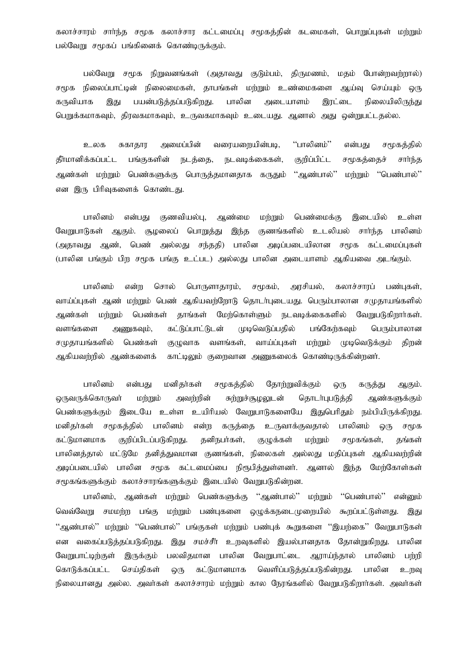கலாச்சாரம் சாா்ந்த சமூக கலாச்சார கட்டமைப்பு சமூகத்தின் கடமைகள், பொறுப்புகள் மற்றும் பல்வேறு சமூகப் பங்கினைக் கொண்டிருக்கும்.

பல்வேறு சமூக நிறுவனங்கள் (அதாவது குடும்பம், திருமணம், மதம் போன்றவற்றால்) சமூக நிலைப்பாட்டின் நிலைமைகள், தாபங்கள் மற்றும் உண்மைகளை ஆய்வு செய்யும் ஒரு பயன்படுத்தப்படுகிறது. பாலின அடையாளம் இரட்டை நிலையிலிருந்து கருவியாக இது பெறுக்கமாகவும், திரவகமாகவும், உருவகமாகவும் உடையது. ஆனால் அது ஒன்றுபட்டதல்ல.

''பாலினம்'' சுகாதார அமைப்பின் வரையறையின்படி, என்பது சமூகத்தில் உலக தீா்மானிக்கப்பட்ட பங்குகளின் நடத்தை, நடவடிக்கைகள், குறிப்பிட்ட சமூகத்தைச் சார்ந்த ஆண்கள் மற்றும் பெண்களுக்கு பொருத்தமானதாக கருதும் "ஆண்பால்" மர்றும் "பெண்பால்" என இரு பிரிவுகளைக் கொண்டது.

பாலினம் என்பகட குணவியல்ப. ஆண்மை மர்மும் பெண்மைக்கு இடையில் உள்ள வேறுபாடுகள் ஆகும். சூழலைப் பொறுத்து இந்த குணங்களில் உடலியல் சாா்ந்த பாலினம் பாலின பெண் அல்லகு சந்ததி) அடிப்படையிலான சமூக கட்டமைப்பகள் (அகாவகு அண். (பாலின பங்கும் பிற சமூக பங்கு உட்பட) அல்லது பாலின அடையாளம் ஆகியவை அடங்கும்.

பாலினம் என்ற சொல் பொருளாகாாம். சுமகம். அாசியல். கலாச்சாாப் பண்பகள். வாய்ப்புகள் ஆண் மற்றும் பெண் ஆகியவற்றோடு தொடர்புடையது. பெரும்பாலான சமுதாயங்களில் தாங்கள் மேற்கொள்ளும் நடவடிக்கைகளில் வேறுபடுகிறார்கள். ஆண்கள் மற்றும் பெண்கள் பங்கேர்கவும் வளங்களை கட்டுப்பாட்டுடன் முடிவெடுப்பதில் பெரும்பாலான அணுகவும், சமுதாயங்களில் பெண்கள் குழுவாக வளங்கள், வாய்ப்புகள் மற்றும் முடிவெடுக்கும் கிரன் ஆகியவற்றில் ஆண்களைக் காட்டிலும் குறைவான அணுகலைக் கொண்டிருக்கின்றனர்.

பாலினம் என்பகு மனிதர்கள் சமூகத்தில் தோற்றுவிக்கும் கருத்து ஆகும். ஒரு <u>ொவருக்கொருவர்</u> மற்றும் அவர்றின் சுற்றுச்சூழலுடன் கொடர்புபடுத்தி <u>ஆண்களுக்கும்</u> பெண்களுக்கும் இடையே உள்ள உயிரியல் வேறுபாடுகளையே இதுபெரிதும் நம்பியிருக்கிறது. மனிகர்கள் சமூகத்தில் பாலினம் என்ற கருத்தை உருவாக்குவதால் பாலினம் **@**(ந சமூக கட்டுமானமாக குறிப்பிடப்படுகிறது. கனிநபர்கள். குமுக்கள் dimmu சுமகங்கள். கங்கள் பாலினத்தால் மட்டுமே தனித்துவமான குணங்கள், நிலைகள் அல்லது மதிப்புகள் ஆகியவற்றின் அடிப்படையில் பாலின சமூக கட்டமைப்பை நிரூபித்துள்ளனர். ஆனால் மேற்கோள்கள் இந்த சமூகங்களுக்கும் கலாச்சாரங்களுக்கும் இடையில் வேறுபடுகின்றன.

பாலினம், ஆண்கள் மற்றும் பெண்களுக்கு ''ஆண்பால்'' மற்றும் ''பெண்பால்'' என்னும் மற்றும் பண்புகளை ஒழுக்கநடைமுறையில் கூறப்பட்டுள்ளது. வெவ்வேறு சமமற்ற பங்கு இது ''ஆண்பால்'' மர்றும் ''பெண்பால்'' பங்குகள் மர்றும் பண்புக் கூறுகளை ''இயர்கை'' வேறுபாடுகள் இது சமச்சீர் உறவுகளில் இயல்பானதாக தோன்றுகிறது. பாலின என வகைப்படுத்தப்படுகிறது. பலவிதமான பாலின வேறுபாட்டை வேறுபாட்டிற்குள் இருக்கும் ஆராய்ந்தால் பாலினம் பர்ரி கொடுக்கப்பட்ட செய்திகள் கட்டுமானமாக வெளிப்படுத்தப்படுகின்றது. ஒரு பாலின உறவு நிலையானது அல்ல. அவர்கள் கலாச்சாரம் மற்றும் கால நேரங்களில் வேறுபடுகிறார்கள். அவர்கள்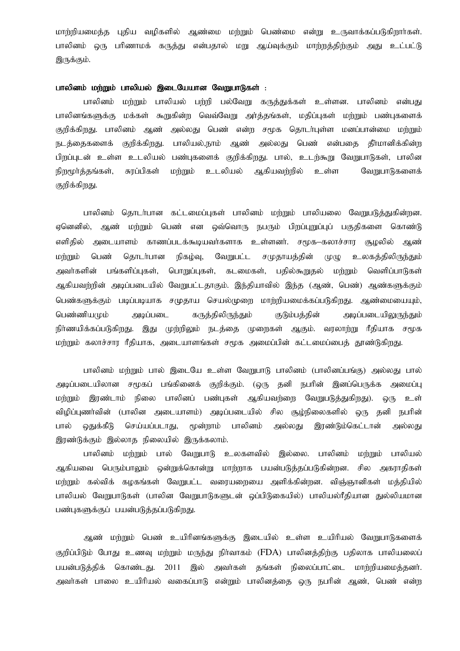மாற்றியமைத்த புதிய வழிகளில் ஆண்மை மற்றும் பெண்மை என்று உருவாக்கப்படுகிறாா்கள். பாலினம் ஒரு பரிணாமக் கருத்து என்பதால் மறு ஆய்வுக்கும் மாற்றத்திற்கும் அது உட்பட்டு இருக்கும்.

# பாலினம் மற்றும் பாலியல் இடையேயான வேறுபாடுகள் :

பாலினம் மற்றும் பாலியல் பற்றி பல்வேறு கருத்துக்கள் உள்ளன. பாலினம் என்பது பாலினங்களுக்கு மக்கள் கூறுகின்ற வெவ்வேறு அர்க்கங்கள், மதிப்புகள் மற்றும் பண்புகளைக் குறிக்கிறது. பாலினம் ஆண் அல்லது பெண் என்ற சமூக தொடர்புள்ள மனப்பான்மை மற்றும் நடத்தைகளைக் குறிக்கிறது. பாலியல்,நாம் ஆண் அல்லது பெண் என்பதை தீர்மானிக்கின்ற பிறப்புடன் உள்ள உடலியல் பண்புகளைக் குறிக்கிறது. பால், உடற்கூறு வேறுபாடுகள், பாலின நிறமூர்த்தங்கள், சுரப்பிகள் மற்றும் உடலியல் ஆகியவற்றில் உள்ள வேறுபாடுகளைக் குறிக்கிறது.

பாலினம் தொடர்பான கட்டமைப்புகள் பாலினம் மற்றும் பாலியலை வேறுபடுத்துகின்றன. ஏனெனில், ஆண் மற்றும் பெண் என ஒவ்வொரு நபரும் பிறப்புறுப்புப் பகுதிகளை கொண்டு எளிதில் அடையாளம் காணப்படக்கூடியவா்களாக உள்ளனா். சமூக–கலாச்சார சூழலில் ஆண் மற்றும் பெண் தொடர்பான நிகழ்வு, வேறுபட்ட சமுதாயத்தின் முழு உலகத்திலிருந்தும் அவர்களின் பங்களிப்புகள், பொறுப்புகள், கடமைகள், பதில்கூறுதல் மற்றும் வெளிப்பாடுகள் ஆகியவற்றின் அடிப்படையில் வேறுபட்டதாகும். இந்தியாவில் இந்த (ஆண், பெண்) ஆண்களுக்கும் பெண்களுக்கும் படிப்படியாக சமுதாய செயல்முறை மாற்றியமைக்கப்படுகிறது. ஆண்மையையும், பெண்ணியமும் அடிப்படை கருத்திலிருந்தும் குடும்பத்தின் அடிப்படையிலுருந்தும் நிர்ணயிக்கப்படுகிறது. இது முற்றிலும் நடத்தை முறைகள் ஆகும். வரலாற்று ரீதியாக சமூக மற்றும் கலாச்சார ரீதியாக, அடையாளங்கள் சமூக அமைப்பின் கட்டமைப்பைத் தூண்டுகிறது.

பாலினம் மற்றும் பால் இடையே உள்ள வேறுபாடு பாலினம் (பாலினப்பங்கு) அல்லது பால் அடிப்படையிலான சமூகப் பங்கினைக் குறிக்கும். (ஒரு தனி நபரின் இனப்பெருக்க அமைப்பு மற்றும் இரண்டாம் நிலை பாலினப் பண்புகள் ஆகியவற்றை வேறுபடுத்துகிறது). ஒரு உள் விழிப்புணர்வின் (பாலின அடையாளம்) அடிப்படையில் சில சூழ்நிலைகளில் ஒரு தனி நபரின் பால் ஒதுக்கீடு செய்யப்படாது, மூன்றாம் பாலினம் அல்லது இரண்டும்கெட்டான் அல்லது இரண்டுக்கும் இல்லாத நிலையில் இருக்கலாம்.

பாலினம் மற்றும் பால் வேறுபாடு உலகளவில் இல்லை. பாலினம் மற்றும் பாலியல் ஆகியவை பெரும்பாலும் ஒன்றுக்கொன்று மாற்றாக பயன்படுத்தப்படுகின்றன. சில அகராதிகள் மற்றும் கல்விக் கழகங்கள் வேறுபட்ட வரையறையை அளிக்கின்றன. விஞ்ஞானிகள் மத்தியில் பாலியல் வேறுபாடுகள் (பாலின வேறுபாடுகளுடன் ஒப்பிடுகையில்) பாலியல்ரீதியான துல்லியமான பண்புகளுக்குப் பயன்படுத்தப்படுகிறது.

ஆண் மற்றும் பெண் உயிரினங்களுக்கு இடையில் உள்ள உயிரியல் வேறுபாடுகளைக் குறிப்பிடும் போது உணவு மற்றும் மருந்து நிர்வாகம் (FDA) பாலினத்திற்கு பதிலாக பாலியலைப் பயன்படுத்திக் கொண்டது. 2011 இல் அவர்கள் தங்கள் நிலைப்பாட்டை மாற்றியமைத்தனர். அவர்கள் பாலை உயிரியல் வகைப்பாடு என்றும் பாலினக்கை ஒரு நபரின் ஆண், பெண் என்ற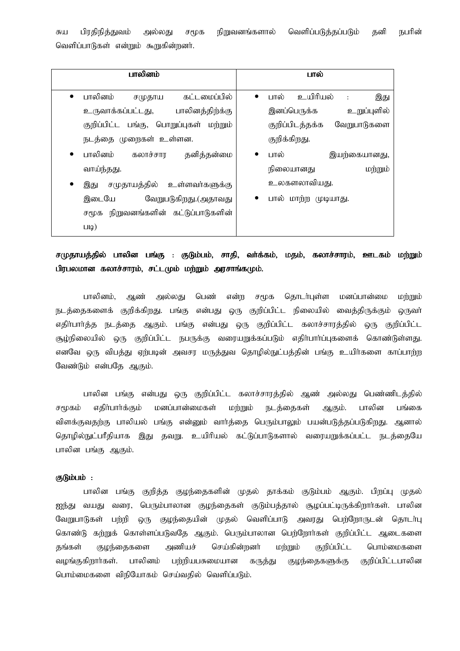சுய பிரதிநித்துவம் அல்லது சமூக நிறுவனங்களால் வெளிப்படுத்தப்படும் தனி நபரின் வெளிப்பாடுகள் என்றும் கூறுகின்றனர்.

| பாலினம்                                | பால்                                                   |  |  |
|----------------------------------------|--------------------------------------------------------|--|--|
| பாலினம்<br>கட்டமைப்பில்<br>சமுதாய      | உயிரியல்<br>பால்<br>இது<br>$\bullet$<br>$\ddot{\cdot}$ |  |  |
| உருவாக்கப்பட்டது, பாலினத்திற்க்கு      | இனப்பெருக்க<br>உறுப்புளில்                             |  |  |
| குறிப்பிட்ட பங்கு, பொறுப்புகள் மற்றும் | குறிப்பிடத்தக்க<br>வேறுபாடுகளை                         |  |  |
| நடத்தை முறைகள் உள்ளன.                  | குறிக்கிறது.                                           |  |  |
| பாலினம்<br>கலாச்சார<br>தனித்தன்மை      | பால்<br>இயற்கையானது,<br>$\bullet$                      |  |  |
| வாய்ந்தது.                             | நிலையானது<br>மற்றும்                                   |  |  |
| சமுதாயத்தில் உள்ளவர்களுக்கு<br>இது     | உலகளலாவியது.                                           |  |  |
| இடையே<br>வேறுபடுகிறது.(அதாவது          | பால் மாற்ற முடியாது.<br>$\bullet$                      |  |  |
| நிறுவனங்களின் கட்டுப்பாடுகளின்<br>சமூக |                                                        |  |  |
| $LlQ$ )                                |                                                        |  |  |

சமுதாயத்தில் பாலின பங்கு : குடும்பம், சாதி, வா்க்கம், மதம், கலாச்சாரம், ஊடகம் மற்றும் பிரபலமான கலாச்சாரம், சட்டமும் மற்றும் அரசாங்கமும்.

பாலினம், ஆண் அல்லது பெண் என்ற சமூக தொடர்புள்ள மனப்பான்மை மற்றும் நடத்தைகளைக் குறிக்கிறது. பங்கு என்பது ஒரு குறிப்பிட்ட நிலையில் வைத்திருக்கும் ஒருவா் எதிர்பார்த்த நடத்தை ஆகும். பங்கு என்பது ஒரு குறிப்பிட்ட கலாச்சாரத்தில் ஒரு குறிப்பிட்ட சூழ்நிலையில் ஒரு குறிப்பிட்ட நபருக்கு வரையறுக்கப்படும் எதிா்பாா்ப்புகளைக் கொண்டுள்ளது. எனவே ஒரு விபத்து ஏற்படின் அவசர மருத்துவ தொழில்நுட்பத்தின் பங்கு உயிர்களை காப்பாற்ற வேண்டும் என்பதே ஆகும்.

பாலின பங்கு என்பது ஒரு குறிப்பிட்ட கலாச்சாரத்தில் ஆண் அல்லது பெண்ணிடத்தில் சமூகம் எதிா்பாா்க்கும் மனப்பான்மைகள் மற்றும் நடத்தைகள் ஆகும். பாலின பங்கை விளக்குவதற்கு பாலியல் பங்கு என்னும் வார்த்தை பெரும்பாலும் பயன்படுத்தப்படுகிறது. ஆனால் தொழில்நுட்பரீதியாக இது தவறு. உயிரியல் கட்டுப்பாடுகளால் வரையறுக்கப்பட்ட நடத்தையே பாலின பங்கு ஆகும்.

# குடும்பம் :

பாலின பங்கு குறித்த குழந்தைகளின் முதல் தாக்கம் குடும்பம் ஆகும். பிறப்பு முதல் ஜந்து வயது வரை, பெரும்பாலான குழந்தைகள் குடும்பத்தால் சூழப்பட்டிருக்கிறார்கள். பாலின வேறுபாடுகள் பற்றி ஒரு குழந்தையின் முதல் வெளிப்பாடு அவரது பெற்றோருடன் தொடர்பு கொண்டு கற்றுக் கொள்ளப்படுவதே ஆகும். பெரும்பாலான பெற்றோர்கள் குறிப்பிட்ட ஆடைகளை தங்கள் குழந்தைகளை அணியச் செய்கின்றனர் மற்றும் குறிப்பிட்ட பொம்மைகளை வழங்குகிறார்கள். பாலினம் பற்றியபசுமையான கருத்து குழந்தைகளுக்கு குறிப்பிட்டபாலின பொம்மைகளை விநியோகம் செய்வதில் வெளிப்படும்.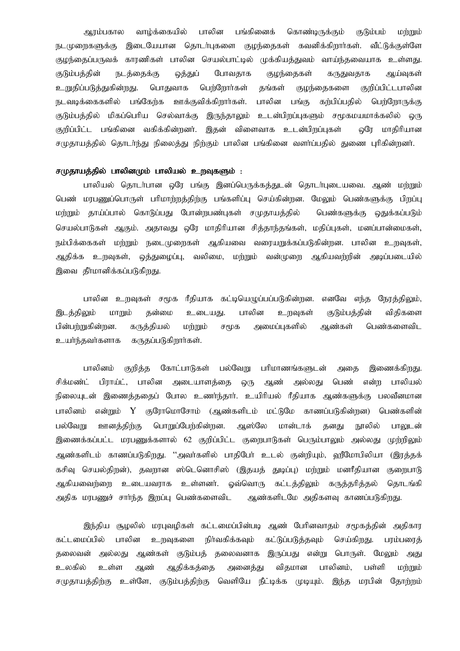ஆரம்பகால வாழ்க்கையில் பாலின பங்கினைக் கொண்டிருக்கும் குடும்பம் மற்றும் நடமுறைகளுக்கு இடையேயான தொடர்புகளை குழந்தைகள் கவனிக்கிறார்கள். வீட்டுக்குள்ளே குழந்தைப்பருவக் காரணிகள் பாலின செயல்பாட்டில் முக்கியத்துவம் வாய்ந்தவையாக உள்ளது. குடும்பத்தின் நடத்தைக்கு ஒத்துப் போவதாக குழந்தைகள் கருதுவதாக ஆய்வுகள் உறுதிப்படுத்துகின்றது. பொதுவாக பெற்றோர்கள் தங்கள் குழந்தைகளை குறிப்பிட்டபாலின நடவடிக்கைகளில் பங்கேற்க ஊக்குவிக்கிறார்கள். பாலின பங்கு கற்பிப்பதில் பெற்றோருக்கு குடும்பத்தில் மிகப்பெரிய செல்வாக்கு இருந்தாலும் உடன்பிறப்புகளும் சமூகமயமாக்கலில் ஒரு குறிப்பிட்ட பங்கினை வகிக்கின்றனர். இதன் விளைவாக உடன்பிறப்புகள் ஒரே மாதிரியான சமுதாயத்தில் தொடர்ந்து நிலைத்து நிற்கும் பாலின பங்கினை வளர்ப்பதில் துணை புரிகின்றனர்.

# சமுதாயத்தில் பாலினமும் பாலியல் உருவுகளும் :

பாலியல் தொடர்பான ஒரே பங்கு இனப்பெருக்கக்குடன் கொடர்புடையவை. ஆண் மற்றும் பெண் மரபணுப்பொருள் பரிமாற்றத்திற்கு பங்களிப்பு செய்கின்றன. மேலும் பெண்களுக்கு பிறப்பு மற்றும் தாய்ப்பால் கொடுப்பது போன்றபண்புகள் சமுதாயத்தில் பெண்களுக்கு ஒதுக்கப்படும் செயல்பாடுகள் ஆகும். அதாவது ஒரே மாதிரியான சித்தாந்தங்கள், மதிப்புகள், மனப்பான்மைகள், நம்பிக்கைகள் மற்றும் நடைமுறைகள் ஆகியவை வரையறுக்கப்படுகின்றன. பாலின உரவுகள், ஆதிக்க உறவுகள், ஒத்துழைப்பு, வலிமை, மற்றும் வன்முறை ஆகியவற்றின் அடிப்படையில் இவை தீா்மானிக்கப்படுகிறது.

பாலின உறவுகள் சமூக ரீதியாக கட்டியெழுப்பப்படுகின்றன. எனவே எந்த நேரத்திலும், இடத்திலும் மாறும் தன்மை உடையது. பாலின உறவுகள் குடும்பத்தின் விதிகளை பின்பற்றுகின்றன. கருத்தியல் மற்றும் சமூக அமைப்புகளில் ஆண்கள் பெண்களைவிட உயர்ந்தவர்களாக கருதப்படுகிறார்கள்.

பாலினம் குறித்த கோட்பாடுகள் பல்வேறு பரிமாணங்களுடன் அதை இணைக்கிறது. சிக்மண்ட் பிராய்ட், பாலின அடையாளத்தை ஒரு ஆண் அல்லது பெண் என்ற பாலியல் நிலையுடன் இணைத்ததைப் போல உணர்ந்தார். உயிரியல் ரீதியாக ஆண்களுக்கு பலவீனமான பாலினம் என்றும் Y குரோமொசோம் (ஆண்களிடம் மட்டுமே காணப்படுகின்றன) பெண்களின் பல்வேறு ஊனத்திற்கு பொறுப்பேற்கின்றன. ஆஸ்லே மான்டாக் தனது நூலில் பாலுடன் இணைக்கப்பட்ட மரபணுக்களால் 62 குறிப்பிட்ட குறைபாடுகள் பெரும்பாலும் அல்லது முற்றிலும் ஆண்களிடம் காணப்படுகிறது. ''அவர்களில் பாதிபேர் உடல் குன்றியும், வரீமோபிலியா (இரத்தக் கசிவு செயல்கிறன்), தவறான ஸ்டெனொசிஸ் (இகயக் துடிப்பு) மற்றும் மனரீதியான குறைபாடு ஆகியவைந்றை உடையவராக உள்ளனா். ஓவ்வொரு கட்டத்திலும் கருத்தாித்தல் தொடங்கி அதிக மரபணுச் சார்ந்த இறப்பு பெண்களைவிட ஆண்களிடமே அதிகளவு காணப்படுகிறது.

இந்திய சூழலில் மரபுவழிகள் கட்டமைப்பின்படி ஆண் பேரினவாதம் சமூகத்தின் அதிகார கட்டமைப்பில் பாலின உருவுகளை நிர்வகிக்கவும் கட்டுப்படுக்கவும் செய்கிறது. பரம்பரைக் தலைவன் அல்லது ஆண்கள் குடும்பத் தலைவனாக இருப்பது என்று பொருள். மேலும் அது உலகில் உள்ள ஆண் ஆதிக்கத்தை அனைத்து விதமான பாலினம், பள்ளி மற்றும் சமுதாயத்திற்கு உள்ளே, குடும்பத்திற்கு வெளியே நீட்டிக்க முடியும். இந்த மரபின் கோற்றம்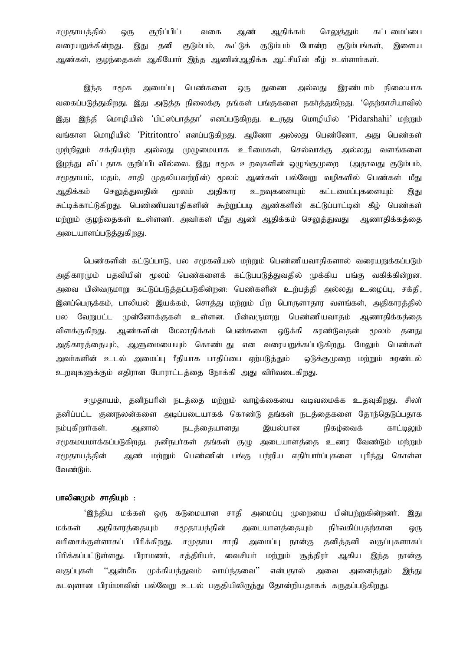சமுதாயத்தில் ஒரு குறிப்பிட்ட வகை ஆண் ஆதிக்கம் செலுத்தும் கட்டமைப்பை வரையறுக்கின்றது. இது தனி குடும்பம், கூட்டுக் குடும்பம் போன்ற குடும்பங்கள், இளைய ஆண்கள், குழந்தைகள் ஆகியோர் இந்த ஆணின்ஆதிக்க ஆட்சியின் கீழ் உள்ளார்கள்.

இந்த சமூக அமைப்பு பெண்களை ஒரு துணை அல்லது இரண்டாம் நிலையாக வகைப்படுத்துகிறது. இது அடுத்த நிலைக்கு தங்கள் பங்குகளை நகர்த்துகிறது. 'தெற்காசியாவில் இது இந்தி மொழியில் 'பிட்ஸ்பாத்தா' எனப்படுகிறது. உருது மொழியில் 'Pidarshahi' மற்றும் வங்காள மொழியில் 'Pitritontro' எனப்படுகிறது. ஆணோ அல்லது பெண்ணோ, அது பெண்கள் முற்றிலும் சக்தியற்ற அல்லது முழுமையாக உரிமைகள், செல்வாக்கு அல்லது வளங்களை இழந்து விட்டதாக குறிப்பிடவில்லை. இது சமூக உறவுகளின் ஒழுங்குமுறை (அதாவது குடும்பம், சமூதாயம், மதம், சாதி முதலியவந்நின்) மூலம் ஆண்கள் பல்வேறு வழிகளில் பெண்கள் மீது ஆதிக்கம் செலுத்துவதின் மூலம் அதிகார உறவுகளையும் கட்டமைப்புகளையும் இது சுட்டிக்காட்டுகிறது. பெண்ணியவாதிகளின் கூற்றுப்படி ஆண்களின் கட்டுப்பாட்டின் கீழ் பெண்கள் மற்றும் குழந்தைகள் உள்ளனர். அவர்கள் மீது ஆண் ஆதிக்கம் செலுத்துவது ஆணாதிக்கத்தை அடையாளப்படுத்துகிறது.

பெண்களின் கட்டுப்பாடு, பல சமூகவியல் மற்றும் பெண்ணியவாதிகளால் வரையறுக்கப்படும் அதிகாரமும் பதவியின் மூலம் பெண்களைக் கட்டுபபடுத்துவதில் முக்கிய பங்கு வகிக்கின்றன. அவை பின்வருமாறு கட்டுப்படுத்தப்படுகின்றன: பெண்களின் உற்பத்தி அல்லது உழைப்பு, சக்தி, இனப்பெருக்கம், பாலியல் இயக்கம், சொத்து மற்றும் பிற பொருளாதார வளங்கள், அதிகாரத்தில் பல வேறுபட்ட முன்னோக்குகள் உள்ளன. பின்வருமாறு பெண்ணியவாதம் ஆணாதிக்கத்தை விளக்குகிறது. ஆண்களின் மேலாதிக்கம் பெண்களை ஒடுக்கி சுரண்டுவதன் மூலம் தனது அதிகாரத்தையும், ஆளுமையையும் கொண்டது என வரையறுக்கப்படுகிறது. மேலும் பெண்கள் அவர்களின் உடல் அமைப்பு ரீதியாக பாதிப்பை ஏற்படுத்தும் ஒடுக்குமுறை மற்றும் சுரண்டல் உறவுகளுக்கும் எதிரான போராட்டத்தை நோக்கி அது விரிவடைகிறது.

சமுதாயம், தனிநபரின் நடத்தை மற்றும் வாழ்க்கையை வடிவமைக்க உதவுகிறது. சிலர் தனிப்பட்ட குணநலன்களை அடிப்படையாகக் கொண்டு தங்கள் நடத்தைகளை தோந்தெடுப்பதாக நம்பகிறார்கள். அனால் நடக்கையானகு இயல்பான நிகம்வைக் காட்டிலும் சமூகமயமாக்கப்படுகிறது. தனிநபா்கள் தங்கள் குழு அடையாளக்தை உணர வேண்டும் மற்றும் சமூகாயக்கின் . ஆண் மற்றும் பெண்ணின் பங்கு பற்றிய எகிர்பார்ப்பகளை பரிந்து கொள்ள வேண்டும்.

# பாலினமும் சாதியும் :

'இந்திய மக்கள் ஒரு கடுமையான சாதி அமைப்பு முறையை பின்பற்றுகின்றனர். இது மக்கள் அதிகாரத்தையும் சமூதாயத்தின் அடையாளத்தையும் நிா்வகிப்பதற்கான ஒரு வரிசைக்குள்ளாகப் பிரிக்கிறது. சமுதாய சாதி அமைப்பு நான்கு தனித்தனி வகுப்புகளாகப் பிரிக்கப்பட்டுள்ளது. பிராமணர், சத்திரியர், வைசியர் மற்றும் சூத்திரர் ஆகிய இந்த நான்கு வகுப்புகள் ''ஆன்மீக முக்கியத்துவம் வாய்ந்தவை'' என்பதால் அவை அனைத்தும் இந்து கடவுளான பிரம்மாவின் பல்வேறு உடல் பகுதியிலிருந்து தோன்றியதாகக் கருதப்படுகிறது.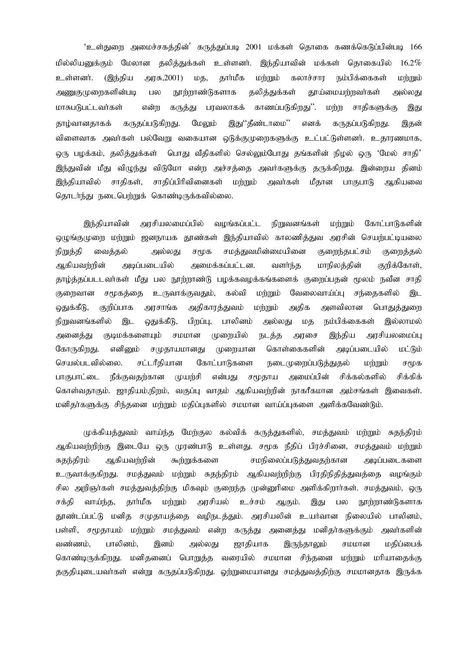'உள்துறை அமைச்சகத்தின்' கருத்துப்படி 2001 மக்கள் தொகை கணக்கெடுப்பின்படி 166 மில்லியனுக்கும் மேலான தலித்துக்கள் உள்ளனர். இந்தியாவின் மக்கள் தொகையில்  $16.2\%$ உள்ளனர். (இந்திய அரசு,2001) மத, தார்மீக மற்றும் கலாச்சார நம்பிக்கைகள் மற்றும் அணுகுமுறைகளின்படி நூற்றாண்டுகளாக தலித்துக்கள் தூய்மையர்றவர்கள் பல அல்லகு மாசுபடுபட்டவர்கள் கருத்து பரவலாகக் காணப்படுகிறது''. என்ற **LDIBIR** சாகிகளுக்கு இது மேலும் இது''தீண்டாமை'' தாழ்வானதாகக் கருதப்படுகிறது. எனக் கருதப்படுகிறது. இதன் விளைவாக அவர்கள் பல்வேறு வகையான ஒடுக்குமுறைகளுக்கு உட்பட்டுள்ளனர். உதாரணமாக, ஒரு பழக்கம், தலித்துக்கள் பொது வீதிகளில் செல்லும்போது தங்களின் நிழல் ஒரு 'மேல் சாதி' இந்துவின் மீது விழுந்து விடுமோ என்ற அச்சத்தை அவர்களுக்கு தருக்கிறது. இன்றைய தினம் சாகிப்பிரிவினைகள் ஆகியவை இந்தியாவில் சாகிகள், மற்றும் அவர்கள் மீதான பாகுபாடு தொடர்ந்து நடைபெற்றுக் கொண்டிருக்கவில்லை.

வழங்கப்பட்ட கோட்பாடுகளின் இந்தியாவின் அரசியலமைப்பில் நிறுவனங்கள் மற்றும் ஒழுங்குமுறை மற்றும் ஜனநாயக தூண்கள் இந்தியாவில் காலணித்துவ அரசின் செயற்பட்டியலை நிறுத்தி வைத்தல் அல்லது சமூக சமத்துவமின்மையினை குறைந்தபட்சம் குறைத்தல் அடிப்படையில் ஆகியவற்றின் அமைக்கப்பட்டன. வளர்ந்த மாநிலத்தின் குறிக்கோள், தாழ்த்தப்படடவா்கள் மீது பல நூற்றாண்டு பழக்கவழக்கங்களைக் குறைப்பதன் மூலம் நவீன சாதி வேலைவாய்ப்பு சந்தைகளில் குறைவான சமூகத்தை உருவாக்குவதும், கல்வி மற்றும் இட அதிகாரத்துவம் அதிக அளவிலான ஒதுக்கீடு, குறிப்பாக அரசாங்க மற்றும் பொதுத்துறை நிறுவனங்களில் இட ஒதுக்கீடு, பிறப்பு, பாலினம் அல்லது மத நம்பிக்கைகள் இல்லாமல் குடிமக்களையும் சமமான அனைத்து முறையில் நடத்த இந்திய அரசியலமைப்பு அரசை கோருகிறது. கொள்கைகளின் எனினும் சமுதாயமானது முறையான அடிப்படையில் மட்டும் செயல்படவில்லை. சட்டரீதியான கோட்பாடுகளை நடைமுறைப்படுத்துதல் மர்றும் சமூக பாகுபாட்டை நீக்குவகர்கான முயர்சி என்பது சமூதாய அமைப்பின் சிக்கல்களில் சிக்கிக் கொள்வதாகும். ஜாதியம்,நிறம், வகுப்பு வாதம் ஆகியவற்றின் நாகரீகமான அம்சங்கள் இவைகள். மனிதா்களுக்கு சிந்தனை மற்றும் மதிப்புகளில் சமமான வாய்ப்புகளை அளிக்கவேண்டும்.

முக்கியத்துவம் வாய்ந்த மேற்குல கல்விக் கருத்துகளில், சமத்துவம் மற்றும் சுதந்திரம் ஆகியவற்றிற்கு இடையே ஒரு முரண்பாடு உள்ளது. சமூக நீதிப் பிரச்சினை, சமத்துவம் மற்றும் ஆகியவற்றின் சமநிலைப்படுத்துவதற்கான சுதந்திரம் கூற்றுக்களை அடிப்படைகளை சமத்துவம் மற்றும் சுதந்திரம் ஆகியவற்றிற்கு பிரதிநிதித்துவத்தை வழங்கும் உருவாக்குகிறது. சில அறிஞர்கள் சமத்துவத்திற்கு மிகவும் குறைந்த முன்னுரிமை அளிக்கிறார்கள். சமத்துவம், ஒரு சக்தி வாய்ந்த, தார்மீக மற்றும் அரசியல் உச்சம் ஆகும். இது பல நூற்றாண்டுகளாக தூண்டப்பட்டு மனித சமுதாயத்தை வழிநடத்தும். அரசியலின் உயர்வான நிலையில் பாலினம், பள்ளி, சமூதாயம் மற்றும் சமத்துவம் என்ற கருத்து அனைத்து மனிதா்களுக்கும் அவா்களின் வண்ணம், பாலினம், சமமான இனம் அல்லது ஜாதியாக இருந்தாலும் மகிப்பைக் கொண்டிருக்கிறது. மனிதனைப் பொறுத்த வரையில் சமமான சிந்தனை மற்றும் மரியாதைக்கு தகுதியுடையவா்கள் என்று கருதப்படுகிறது. ஓற்றுமையானது சமத்துவத்திற்கு சமமானதாக இருக்க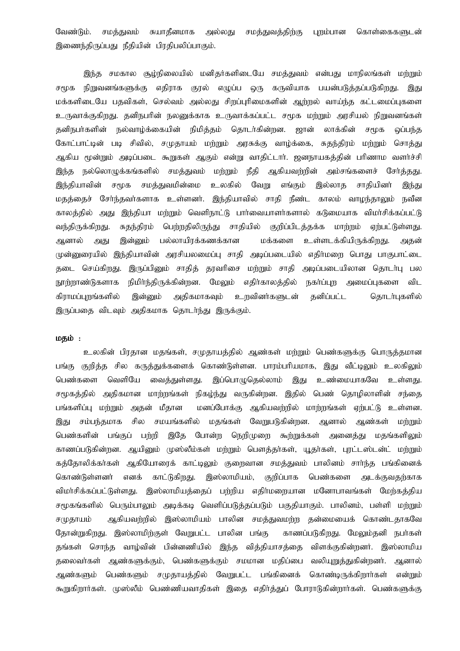வேண்டும். சமத்துவம் சுயாதீனமாக அல்லது சமத்துவத்திற்கு புறம்பான கொள்கைகளுடன் இணைந்திருப்பது நீதியின் பிரதிபலிப்பாகும்.

இந்த சமகால சூழ்நிலையில் மனிதர்களிடையே சமத்துவம் என்பது மாநிலங்கள் மற்றும் நிறுவனங்களுக்கு எதிராக குரல் எழுப்ப ஒரு கருவியாக பயன்படுத்தப்படுகிறது. சமூக இது மக்களிடையே பதவிகள், செல்வம் அல்லது சிறப்புரிமைகளின் ஆற்றல் வாய்ந்த கட்டமைப்புகளை உருவாக்குகிறது. தனிநபரின் நலனுக்காக உருவாக்கப்பட்ட சமூக மற்றும் அரசியல் நிறுவனங்கள் லாக்கின் நல்வாழ்க்கையின் நிமித்தம் தொடர்கின்றன. கனிநபர்களின் ஜான் சமூக ஒப்பந்த கோட்பாட்டின் படி சிவில், சமுதாயம் மற்றும் அரசுக்கு வாழ்க்கை, சுதந்திரம் மற்றும் சொத்து ஆகிய மூன்றும் அடிப்படை கூறுகள் ஆகும் என்று வாதிட்டார். ஜனநாயகத்தின் பரிணாம வளர்ச்சி இந்த நல்லொழுக்கங்களில் சமத்துவம் மற்றும் நீதி ஆகியவற்றின் அம்சங்களைச் சேர்த்தது. இந்தியாவின் சமூக சமத்துவமின்மை உலகில் வேறு எங்கும் இல்லாக சாகியினர் இந்து மதத்தைச் சேர்ந்தவர்களாக உள்ளனர். இந்தியாவில் சாதி நீண்ட காலம் வாழந்தாலும் நவீன காலத்தில் அது இந்தியா மற்றும் வெளிநாட்டு பாா்வையாளா்களால் கடுமையாக விமா்சிக்கப்பட்டு பெற்றதிலிருந்து சாதியில் குறிப்பிடத்தக்க மாற்றம் வந்திருக்கிறது. சுகந்திரம் ஏர்பட்டுள்ளது. ஆனால் இன்னும் பல்லாயிரக்கணக்கான மக்களை உள்ளடக்கியிருக்கிறது. அது அதன் முன்னுரையில் இந்தியாவின் அரசியலமைப்பு சாதி அடிப்படையில் எதிர்மறை பொது பாகுபாட்டை செய்கிறது. இருப்பினும் சாதித் தரவரிசை மற்றும் சாதி அடிப்படையிலான தொடர்பு பல கடை நூற்றாண்டுகளாக நிமிர்ந்திருக்கின்றன. மேலும் எதிர்காலத்தில் நகர்ப்புற அமைப்புகளை விட கிராமப்புறங்களில் இன்னும் அதிகமாகவும் உறவினர்களுடன் தனிப்பட்ட கொடர்புகளில் இருப்பதை விடவும் அதிகமாக தொடர்ந்து இருக்கும்.

# மதம் :

உலகின் பிரதான மதங்கள், சமுதாயத்தில் ஆண்கள் மற்றும் பெண்களுக்கு பொருத்தமான பங்கு குறித்த சில கருத்துக்களைக் கொண்டுள்ளன. பாரம்பரியமாக, இது வீட்டிலும் உலகிலும் பெண்களை வெளியே வைக்குள்ளகு. இப்பொழுதெல்லாம் இது உண்மையாகவே உள்ளது. சமூகத்தில் அதிகமான மாற்றங்கள் நிகழ்ந்து வருகின்றன. இதில் பெண் தொழிலாளின் சந்தை பங்களிப்பு மற்றும் அதன் மீதான மனப்போக்கு ஆகியவற்றில் மாற்றங்கள் ஏற்பட்டு உள்ளன. இது சம்பந்தமாக சில சமயங்களில் மதங்கள் வேறுபடுகின்றன. ஆனால் ஆண்கள் மற்றும் இதே போன்ற நெறிமுறை கூற்றுக்கள் பெண்களின் பங்குப் பற்றி அனைத்து மதங்களிலும் காணப்படுகின்றன. ஆயினும் முஸ்லீம்கள் மற்றும் பௌத்தா்கள், யூதா்கள், புரட்டஸ்டன்ட் மற்றும் கத்தோலிக்கர்கள் ஆகியோரைக் காட்டிலும் குறைவான சமத்துவம் பாலினம் சார்ந்த பங்கினைக் காட்டுகிறது. இஸ்லாமியம், குறிப்பாக பெண்களை கொண்டுள்ளனர் எனக் அடக்குவதற்காக விமா்சிக்கப்பட்டுள்ளது. இஸ்லாமியத்தைப் பற்றிய எதிா்மறையான மனோபாவங்கள் மேற்கத்திய சமூகங்களில் பெரும்பாலும் அடிக்கடி வெளிப்படுக்கப்படும் பகுதியாகும். பாலினம், பள்ளி மா்றும் சமுதாயம் ஆகியவற்றில் இஸ்லாமியம் பாலின சமத்துவமற்ற தன்மையைக் கொண்டதாகவே தோன்றுகிறது. இஸ்லாமிற்குள் வேறுபட்ட பாலின பங்கு காணப்படுகிறது. மேலும்தனி நபர்கள் தங்கள் சொந்த வாழ்வின் பின்னணியில் இந்த வித்தியாசத்தை விளக்குகின்றனர். இஸ்லாமிய தலைவர்கள் ஆண்களுக்கும், பெண்களுக்கும் சமமான மதிப்பை வலியுறுத்துகின்றனர். ஆனால் ஆண்களும் பெண்களும் சமுதாயத்தில் வேறுபட்ட பங்கினைக் கொண்டிருக்கிறார்கள் என்றும் கூறுகிறார்கள். முஸ்லீம் பெண்ணியவாதிகள் இதை எதிர்த்துப் போராடுகின்றார்கள். பெண்களுக்கு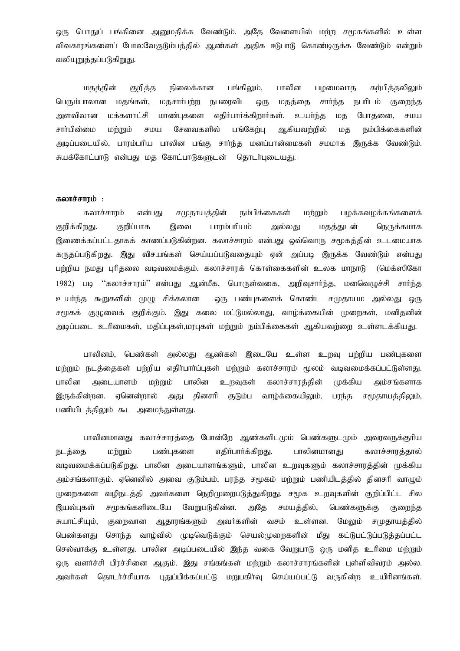ஒரு பொதுப் பங்கினை அனுமதிக்க வேண்டும். அதே வேளையில் மற்ற சமூகங்களில் உள்ள விவகாரங்களைப் போலவேகுடும்பத்தில் ஆண்கள் அதிக ஈடுபாடு கொண்டிருக்க வேண்டும் என்றும் வலியுறுத்தப்படுகிறுது.

மதத்தின் குறித்த நிலைக்கான பங்கிலும், பாலின பழமைவாத கற்பித்தலிலும் பெரும்பாலான மதங்கள், மதசார்பற்ற நபரைவிட ஒரு மதத்தை சார்ந்த நபரிடம் குறைந்த அளவிலான மக்களாட்சி மாண்புகளை எதிர்பார்க்கிறார்கள். உயர்ந்த மத போதனை, சமய சார்பின்மை மற்றும் சமய சேவைகளில் பங்கேற்பு ஆகியவற்றில் மத நம்பிக்கைகளின் அடிப்படையில், பாரம்பரிய பாலின பங்கு சாா்ந்த மனப்பான்மைகள் சமமாக இருக்க வேண்டும். சுயக்கோட்பாடு என்பது மத கோட்பாடுகளுடன் தொடர்புடையது.

#### கலாச்சாரம் $:$

கலாச்சாரம் என்பது சமுதாயத்தின் நம்பிக்கைகள் மற்றும் பழக்கவழக்கங்களைக் குறிக்கிறது. குறிப்பாக இவை பாரம்பரியம் அல்லது மதக்துடன் நெருக்கமாக இணைக்கப்பட்டதாகக் காணப்படுகின்றன. கலாச்சாரம் என்பது ஒவ்வொரு சமூகத்தின் உடமையாக கருதப்படுகிறது. இது விசயங்கள் செய்யப்படுவதையும் ஏன் அப்படி இருக்க வேண்டும் என்பது பர்றிய நமது புரிதலை வடிவமைக்கும். கலாச்சாரக் கொள்கைகளின் உலக மாநாடு (மெக்ஸிகோ 1982) படி "கலாச்சாரம்" என்பது ஆன்மீக, பொருள்வகை, அறிவசார்ந்த, மனவெமுச்சி சார்ந்த உயா்ந்த கூறுகளின் முழு சிக்கலான ஒரு பண்புகளைக் கொண்ட சமுதாயம அல்லது ஒரு சமூகக் குழுவைக் குறிக்கும். இது கலை மட்டுமல்லாது, வாழ்க்கையின் முறைகள், மனிதனின் அடிப்படை உரிமைகள், மதிப்புகள்,மரபுகள் மற்றும் நம்பிக்கைகள் ஆகியவற்றை உள்ளடக்கியது.

பாலினம், பெண்கள் அல்லது ஆண்கள் இடையே உள்ள உறவு பற்றிய பண்புகளை மற்றும் நடத்தைகள் பற்றிய எதிர்பார்ப்புகள் மற்றும் கலாச்சாரம் மூலம் வடிவமைக்கப்பட்டுள்ளது. பாலின அடையாளம் மற்றும் பாலின உறவுகள் கலாச்சாரத்தின் முக்கிய அம்சங்களாக இருக்கின்றன. ஏனென்றால் அது தினசரி குடும்ப வாழ்க்கையிலும், பரந்த சமூதாயத்திலும், பணியிடத்திலும் கூட அமைந்துள்ளது.

பாலினமானது கலாச்சாரத்தை போன்றே ஆண்களிடமும் பெண்களுடமும் அவரவருக்குரிய நடத்தை மற்றும் பண்புகளை எதிர்பார்க்கிறது. பாலினமானது கலாச்சாரத்தால் வடிவமைக்கப்படுகிறது. பாலின அடையாளங்களும், பாலின உறவுகளும் கலாச்சாரத்தின் முக்கிய அம்சங்களாகும், ஏனெனில் அவை குடும்பம், பாந்த சமூகம் மற்றும் பணியிடத்தில் தினசரி வாமும், முறைகளை வழிநடத்தி அவர்களை நெறிமுறைபடுத்துகிறது. சமூக உறவுகளின் குறிப்பிட்ட சில இயல்புகள் சமூகங்களிடையே வேறுபடுகின்ன. அதே சமயத்தில், பெண்களுக்கு குறைந்த சுயாட்சியும், குறைவான ஆதாரங்களும் அவர்களின் வசம் உள்ளன. மேலும் சமுதாயத்தில் பெண்களது சொந்த வாழ்வில் முடிவெடுக்கும் செயல்முறைகளின் மீது கட்டுபட்டுப்படுத்தப்பட்ட செல்வாக்கு உள்ளது. பாலின அடிப்படையில் இந்த வகை வேறுபாடு ஒரு மனித உரிமை மற்றும் ஒரு வளர்ச்சி பிரச்சினை ஆகும். இது சங்கங்கள் மற்றும் கலாச்சாரங்களின் புள்ளிவிவரம் அல்ல. அவா்கள் தொடா்ச்சியாக புதுப்பிக்கப்பட்டு மறுபகிா்வு செய்யப்பட்டு வருகின்ற உயிாினங்கள்.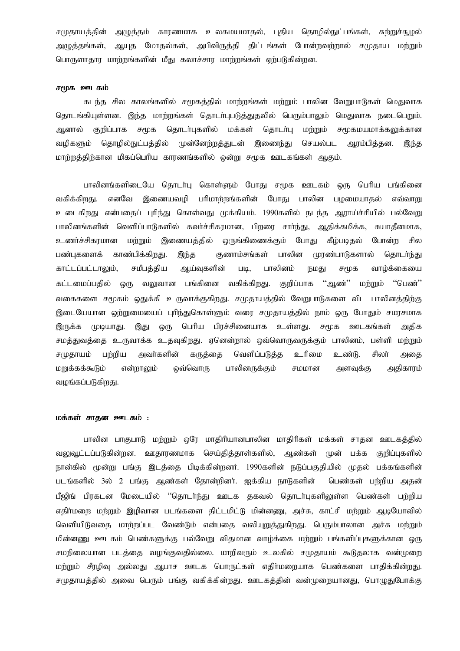சமுதாயத்தின் அழுத்தம் காரணமாக உலகமயமாதல், புதிய தொழில்நுட்பங்கள், சுற்றுச்சூழல் அழுத்தங்கள், ஆயுத மோதல்கள், அபிவிருத்தி திட்டங்கள் போன்றவற்றால் சமுதாய மற்றும் பொருளாதார மாற்றங்களின் மீது கலாச்சார மாற்றங்கள் ஏற்படுகின்றன.

# சமூக ஊடகம்

கடந்த சில காலங்களில் சமூகத்தில் மாற்றங்கள் மற்றும் பாலின வேறுபாடுகள் மெதுவாக தொடங்கியுள்ளன. இந்த மாற்றங்கள் தொடர்புபடுத்துதலில் பெரும்பாலும் மெதுவாக நடைபெறும். ஆனால் குறிப்பாக சமூக தொடர்புகளில் மக்கள் தொடர்பு மற்றும் சமூகமயமாக்கலுக்கான வழிகளும் தொழில்நுட்பத்தில் முன்னேற்றத்துடன் இணைந்து செயல்பட ஆரம்பித்தன. இந்த மார்றுத்திர்கான மிகப்பெரிய காரணங்களில் ஒன்று சமூக ஊடகங்கள் ஆகும்.

பாலினங்களிடையே தொடர்பு கொள்ளும் போது சமூக ஊடகம் ஒரு பெரிய பங்கினை வகிக்கிறது. எனவே இணையவழி பரிமாற்றங்களின் போது பாலின பழமையாதல் எவ்வாறு உடைகிறது என்பதைப் புரிந்து கொள்வது முக்கியம். 1990களில் நடந்த ஆராய்ச்சியில் பல்வேறு பாலினங்களின் வெளிப்பாடுகளில் கவர்ச்சிகரமான, பிறரை சார்ந்து, ஆதிக்கமிக்க, சுயாதீனமாக, உணர்ச்சிகரமான மற்றும் இணையத்தில் ஒருங்கிணைக்கும் போது கீழ்படிதல் போன்ற சில பண்புகளைக் காண்பிக்கிறது. இந்த குணாம்சங்கள் பாலின முரண்பாடுகளால் தொடர்ந்து காட்டப்பட்டாலும், சமீபத்திய ஆய்வுகளின் படி, பாலினம் நமது சமூக வாழ்க்கையை கட்டமைப்பதில் ஒரு வலுவான பங்கினை வகிக்கிறது. குறிப்பாக ''ஆண்'' மற்றும் ''பெண்'' வகைகளை சமூகம் ஒதுக்கி உருவாக்குகிறது. சமுதாயத்தில் வேறுபாடுகளை விட பாலினத்திற்கு இடையேயான ஒற்றுமையைப் புரிந்துகொள்ளும் வரை சமுதாயத்தில் நாம் ஒரு போதும் சமரசமாக இருக்க முடியாது. இது ஒரு பெரிய பிரச்சினையாக உள்ளது. சமூக ஊடகங்கள் அதிக சமத்துவத்தை உருவாக்க உதவுகிறது. ஏனென்றால் ஒவ்வொருவருக்கும் பாலினம், பள்ளி மற்றும் சமுதாயம் பற்றிய அவர்களின் கருத்தை வெளிப்படுத்த உரிமை உண்டு. சிலர் அதை மறுக்கக்கூடும் என்றாலும் ஒவ்வொரு பாலினருக்கும் சமமான அளவுக்கு அதிகாரம் வழங்கப்படுகிறது.

# மக்கள் சாதன ஊடகம் :

பாலின பாகுபாடு மற்றும் ஒரே மாதிரியானபாலின மாதிரிகள் மக்கள் சாதன ஊடகத்தில் வலுவட்டப்படுகின்றன. ஊகாரணமாக செய்கிக்காள்களில். அண்கள் முன் பக்க குறிப்பகளில் நான்கில் மூன்று பங்கு இடத்தை பிடிக்கின்றனர். 1990களின் நடுப்பகுதியில் முதல் பக்கங்களின் படங்களில் 3ல் 2 பங்கு ஆண்கள் தோன்றினர். ஐக்கிய நாடுகளின் பெண்கள் பற்றிய அதன் பீஜிங் பிரகடன மேடையில் ''தொடா்ந்து ஊடக தகவல் தொடா்புகளிலுள்ள பெண்கள் பா்்றிய எதிர்மறை மற்றும் இழிவான படங்களை திட்டமிட்டு மின்னணு, அச்சு, காட்சி மற்றும் ஆடியோவில் வெளியிடுவதை மாற்றப்பட வேண்டும் என்பதை வலியுறுத்துகிறது. பெரும்பாலான அச்சு மற்றும் மின்னணு ஊடகம் பெண்களுக்கு பல்வேறு விகமான வாம்க்கை மற்றும் பங்களிப்புகளுக்கான ஒரு சமநிலையான படத்தை வழங்குவதில்லை. மாறிவரும் உலகில் சமுதாயம் கூடுதலாக வன்முறை மற்றும் சீரழிவு அல்லது ஆபாச ஊடக பொருட்கள் எதிர்மறையாக பெண்களை பாதிக்கின்றது. சமுதாயத்தில் அவை பெரும் பங்கு வகிக்கின்றது. ஊடகத்தின் வன்முறையானது, பொழுதுபோக்கு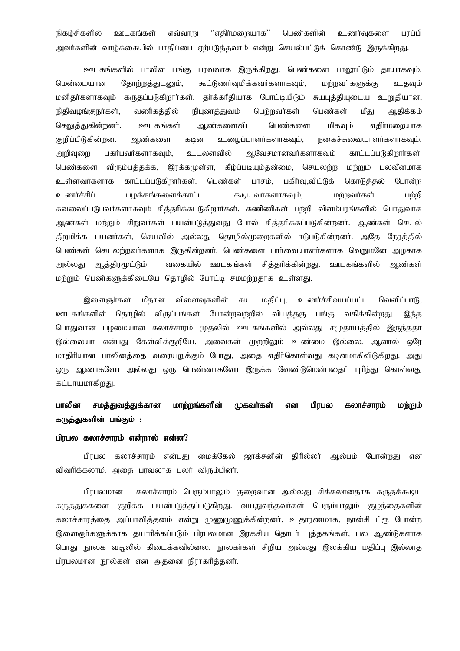"எகிா்மளையாக" நிகம்சிகளில் ஊடகங்கள் எவ்வாறு பெண்களின் உணர்வுகளை பரப்பி அவர்களின் வாழ்க்கையில் பாதிப்பை ஏற்படுத்தலாம் என்று செயல்பட்டுக் கொண்டு இருக்கிறது.

ஊடகங்களில் பாலின பங்கு பரவலாக இருக்கிறது. பெண்களை பாலூட்டும் தாயாகவும், மென்மையான தோற்றத்துடனும், கூட்டுணர்வுமிக்கவர்களாகவும், மர்றவர்களுக்கு உகவும் மனிதர்களாகவும் கருதப்படுகிறார்கள். தர்க்கரீதியாக போட்டியிடும் சுயபுத்தியுடைய உறுதியான, நிதிவழங்குநா்கள், வணிகத்தில் நிபுணத்துவம் பெற்றவர்கள் பெண்கள் மீசு ஆதிக்கம் ஊடகங்கள் செலுக்குகின்றனர். ஆண்களைவிட பெண்களை மிகவும் எகிர்மளையாக குறிப்பிடுகின்றன. ஆண்களை கடின உழைப்பாளர்களாகவும், நகைச்சுவையாளர்களாகவும், அறிவுறை பகர்பவர்களாகவும், உடலளவில் ஆவேசமானவர்களாகவும் காட்டப்படுகிறார்கள்: கீழ்ப்படியும்தன்மை, செயலந்ந மந்நும் பலவீனமாக பெண்களை விரும்பத்தக்க, இரக்கமுள்ள, உள்ளவர்களாக காட்டப்படுகிறார்கள். பெண்கள் பாசம், பகிர்வு,விட்டுக் கொடுத்தல் போன்ற உணர்ச்சிப் பழக்கங்களைக்காட்ட கூடியவர்களாகவும், மர்றவர்கள் பர்றி கவலைப்படுபவர்களாகவும் சித்தரிக்கபடுகிறார்கள். கணிணிகள் பற்றி விளம்பரங்களில் பொதுவாக ஆண்கள் மற்றும் சிறுவர்கள் பயன்படுத்துவது போல் சித்தரிக்கப்படுகின்றனர். ஆண்கள் செயல் கிறுமிக்க பயனர்கள், செயலில் அல்லது தொமில்முறைகளில் ஈடுபடுகின்றனர். அதே நேரத்தில் பெண்கள் செயலற்றவர்களாக இருகின்றனர். பெண்களை பார்வையாளர்களாக வெறுமனே அழகாக ஆத்திரமூட்டும் வகையில் ஊடகங்கள் சித்தரிக்கின்றது. ஊடகங்களில் அல்லகு ஆண்கள் மற்றும் பெண்களுக்கிடையே தொழில் போட்டி சமமற்றதாக உள்ளது.

இளைஞர்கள் மீதான விளைவுகளின் மதிப்பு, உணர்ச்சிவயப்பட்ட சுய வெளிப்பாடு, ஊடகங்களின் தொழில் விருப்பங்கள் போன்றவற்றில் வியத்தகு பங்கு வகிக்கின்றது. இந்த பொதுவான பமமையான கலாச்சாரம் முதலில் ஊடகங்களில் அல்லது சமுதாயத்தில் இருந்ததா இல்லையா என்பது கேள்விக்குறியே. அவைகள் முற்றிலும் உண்மை இல்லை. ஆனால் ஒரே மாதிரியான பாலினத்தை வரையறுக்கும் போது, அதை எதிர்கொள்வது கடினமாகிவிடுகிறது. அது ஒரு ஆணாகவோ அல்லது ஒரு பெண்ணாகவோ இருக்க வேண்டுமென்பதைப் புரிந்து கொள்வது கட்டாயமாகிறது.

#### பாலின சமத்துவத்துக்கான மாற்றங்களின் முகவர்கள் என பிரபல கலாச்சாரம் மற்றும் கருத்துகளின் பங்கும் :

# பிரபல கலாச்சாரம் என்றால் என்ன?

பிரபல கலாச்சாரம் என்பது மைக்கேல் ஜாக்சனின் திரில்லா் அல்பம் போன்றது என விவரிக்கலாம். அதை பரவலாக பலர் விரும்பினர்.

கலாச்சாரம் பெரும்பாலும் குறைவான அல்லது சிக்கலானதாக கருதக்கூடிய பிரபலமான கருத்துக்களை குறிக்க பயன்படுத்தப்படுகிறது. வயதுவந்தவா்கள் பெரும்பாலும் குழந்தைகளின் கலாச்சாரத்தை அப்பாவித்தனம் என்று முணுமுணுக்கின்றனர். உதாரணமாக, நான்சி ட்ரூ போன்ற இளைஞர்களுக்காக தயாரிக்கப்படும் பிரபலமான இரகசிய தொடர் புத்தகங்கள், பல ஆண்டுகளாக பொது நூலக வதூலில் கிடைக்கவில்லை. நூலகர்கள் சிறிய அல்லது இலக்கிய மதிப்பு இல்லாத பிரபலமான நூல்கள் என அதனை நிராகரித்தனர்.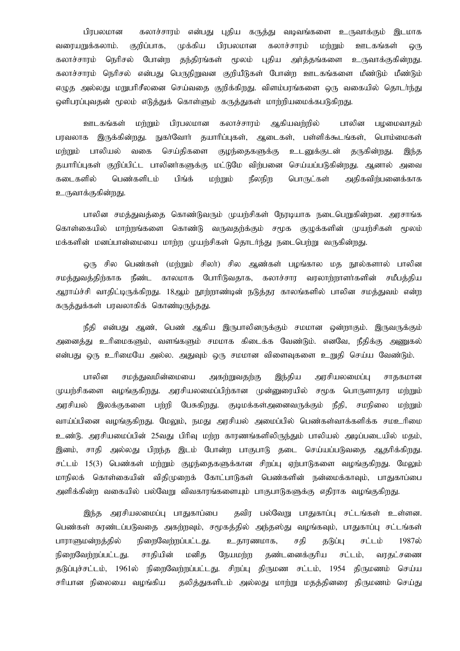பிரபலமான கலாச்சாரம் என்பது புதிய கருத்து வடிவங்களை உருவாக்கும் இடமாக வரையறுக்கலாம். குறிப்பாக, முக்கிய பிரபலமான கலாச்சாரம் மற்றும் ஊடகங்கள் ஒரு கலாச்சாரம் நெரிசல் போன்ற தந்திரங்கள் மூலம் புதிய அர்த்தங்களை உருவாக்குகின்றது. கலாச்சாரம் நெரிசல் என்பது பெருநிறுவன குறியீடுகள் போன்ற ஊடகங்களை மீண்டும் மீண்டும் எழுத அல்லது மறுபரிசீலனை செய்வதை குறிக்கிறது. விளம்பரங்களை ஒரு வகையில் தொடாந்து ஒளிபரப்புவதன் மூலம் எடுத்துக் கொள்ளும் கருத்துகள் மாற்றியமைக்கபடுகிறது.

ஊடகங்கள் மற்றும் பிரபலமான கலாச்சாரம் ஆகியவற்றில் பாலின பழமைவாகம் பரவலாக இருக்கின்றது. நுகர்வோர் தயாரிப்புகள், ஆடைகள், பள்ளிக்கூடங்கள், பொம்மைகள் மற்றும் பாலியல் வகை செய்திகளை குழந்தைகளுக்கு உடனுக்குடன் தருகின்றது. இந்த தயாரிப்புகள் குறிப்பிட்ட பாலினர்களுக்கு மட்டுமே விற்பனை செய்யப்படுகின்றது. ஆனால் அவை கடைகளில் பெண்களிடம் பிங்க் மற்றும் நீலநிற பொருட்கள் அதிகவிற்பனைக்காக உருவாக்குகின்றது.

பாலின சமத்துவத்தை கொண்டுவரும் முயற்சிகள் நேரடியாக நடைபெறுகின்றன. அரசாங்க கொள்கையில் மாற்றங்களை கொண்டு வருவதற்க்கும் சமூக குழுக்களின் முயற்சிகள் மூலம் மக்களின் மனப்பான்மையை மாற்ற முயற்சிகள் தொடர்ந்து நடைபெற்று வருகின்றது.

ஒரு சில பெண்கள் (மற்றும் சிலர்) சில ஆண்கள் பழங்கால மத நூல்களால் பாலின சமக்குவக்கிற்காக நீண்ட காலமாக போரிடுவதாக, கலாச்சார வரலாற்றாளர்களின் சமீபக்கிய ஆராய்ச்சி வாதிட்டிருக்கிறது. 18ஆம் நூற்றாண்டின் நடுத்தர காலங்களில் பாலின சமத்துவம் என்ற கருத்துக்கள் பரவலாகிக் கொண்டிருந்தது.

நீதி என்பது ஆண், பெண் ஆகிய இருபாலினருக்கும் சமமான ஒன்றாகும். இருவருக்கும் அனைத்து உரிமைகளும், வளங்களும் சமமாக கிடைக்க வேண்டும். எனவே, நீதிக்கு அணுகல் என்பது ஒரு உரிமையே அல்ல. அதுவும் ஒரு சமமான விளைவுகளை உறுதி செய்ய வேண்டும்.

பாலின சமத்துவமின்மையை அகற்றுவதற்கு இந்திய அரசியலமைப்பு சாதகமான முயற்சிகளை வழங்குகிறது. அரசியலமைப்பிற்கான முன்னுரையில் சமூக பொருளாதார மற்றும் அரசியல் இலக்குகளை பற்றி பேசுகிறது. குடிமக்கள்அனைவருக்கும் நீதி, சமநிலை ம<u>ற்ற</u>ும் வாய்ப்பினை வழங்குகிறது. மேலும், நமது அரசியல் அமைப்பில் பெண்கள்வாக்களிக்க சமஉரிமை உண்டு. அரசியமைப்பின் 25வது பிரிவு மற்ற காரணங்களிலிருந்தும் பாலியல் அடிப்படையில் மதம், இனம், சாதி அல்லது பிறந்த இடம் போன்ற பாகுபாடு தடை செய்யப்படுவதை ஆதரிக்கிறது. சட்டம் 15(3) பெண்கள் மற்றும் குழந்தைகளுக்கான சிறப்பு ஏற்பாடுகளை வழங்குகிறது. மேலும் மாநிலக் கொள்கையின் விதிமுறைக் கோட்பாடுகள் பெண்களின் நன்மைக்காவும், பாதுகாப்பை அளிக்கின்ற வகையில் பல்வேறு விவகாரங்களையும் பாகுபாடுகளுக்கு எதிராக வழங்குகிறது.

இந்த அரசியலமைப்பு பாதுகாப்பை தவிர பல்வேறு பாதுகாப்பு சட்டங்கள் உள்ளன. பெண்கள் சுரண்டப்படுவதை அகற்றவும், சமூகத்தில் அந்தஸ்து வழங்கவும், பாதுகாப்பு சட்டங்கள் பாராளுமன்றத்தில் நிறைவேற்றப்பட்டது. உதாரணமாக, சதி தடுப்பு சட்டம் 1987ல் நிறைவேற்றப்பட்டது. சாதியின் மனித நேயமற்ற தண்டனைக்குரிய சட்டம், வரதட்சணை தடுப்புச்சட்டம், 1961ல் நிறைவேற்றப்பட்டது. சிறப்பு திருமண சட்டம், 1954 திருமணம் செய்ய சரியான நிலையை வழங்கிய தலித்துகளிடம் அல்லது மாற்று மதத்தினரை திருமணம் செய்து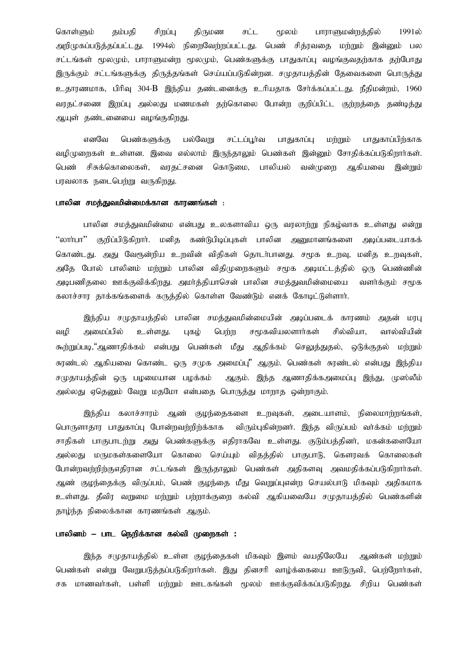கொள்ளும் தம்பதி சிறப்பு திருமண சட்ட மூலம் பாராளுமன்றத்தில் 1991ல் அறிமுகப்படுத்தப்பட்டது. 1994ல் நிறைவேற்றப்பட்டது. பெண் சித்ரவதை மற்றும் இன்னும் பல சட்டங்கள் மூலமும், பாராளுமன்ற மூலமும், பெண்களுக்கு பாதுகாப்பு வழங்குவதற்காக தற்போது இருக்கும் சட்டங்களுக்கு திருத்தங்கள் செய்யப்படுகின்றன. சமுதாயத்தின் தேவைகளை பொருத்து உதாரணமாக, பிரிவு 304-B இந்திய தண்டனைக்கு உரியதாக சேர்க்கப்பட்டது. நீதிமன்றம், 1960 வரதட்சணை இறப்பு அல்லது மணமகள் தற்கொலை போன்ற குறிப்பிட்ட குற்றத்தை தண்டித்து ஆயுள் தண்டனையை வழங்குகிறது.

எனவே பெண்களுக்கு பல்வேறு சட்டப்பூர்வ பாதுகாப்பு மற்றும் பாதுகாப்பிற்காக வழிமுறைகள் உள்ளன. இவை எல்லாம் இருந்தாலும் பெண்கள் இன்னும் சோதிக்கப்படுகிறார்கள். பெண் சிசுக்கொலைகள், வரதட்சனை கொடுமை, பாலியல் வன்முளை ஆகியவை இன்றும் பரவலாக நடைபெற்று வருகிறது.

# பாலின சமத்துவமின்மைக்கான காரணங்கள் :

பாலின சமத்துவமின்மை என்பது உலகளாவிய ஒரு வரலாற்று நிகழ்வாக உள்ளது என்று "லாா்பா" குறிப்பிடுகிறாா். மனித கண்டுபிடிப்புகள் பாலின அனுமானங்களை அடிப்படையாகக் கொண்டது. அது வேரூன்றிய உறவின் விதிகள் தொடர்பானது. சமூக உறவு, மனித உறவுகள், அதே போல் பாலினம் மற்றும் பாலின விதிமுறைகளும் சமூக அடிமட்டத்தில் ஒரு பெண்ணின் அடிபணிதலை ஊக்குவிக்கிறது. அமர்த்தியாசென் பாலின சமத்துவமின்மையை வளர்க்கும் சமூக கலாச்சார தாக்கங்களைக் கருத்தில் கொள்ள வேண்டும் எனக் கோடிட்டுள்ளார்.

இந்திய சமுதாயத்தில் பாலின சமத்துவமின்மையின் அடிப்படைக் காரணம் அதன் மரபு வழி அமைப்பில் உள்ளது. புகழ் பெற்ற சமூகவியலளார்கள் சில்வியா, வால்வியின் கூற்றுப்படி,"ஆணாதிக்கம் என்பது பெண்கள் மீது ஆதிக்கம் செலுத்துதல், ஒடுக்குதல் மற்றும் சுரண்டல் ஆகியவை கொண்ட ஒரு சமுக அமைப்பு" ஆகும். பெண்கள் சுரண்டல் என்பது இந்திய சமுதாயத்தின் ஒரு பழமையான பழக்கம் ஆகும். இந்த ஆணாதிக்கஅமைப்பு இந்து, முஸ்லீம் அல்லது ஏதெனும் வேறு மதமோ என்பதை பொருத்து மாறாத ஒன்றாகும்.

இந்திய கலாச்சாரம் ஆண் குழந்தைகளை உறவுகள், அடையாளம், நிலைமாற்றங்கள், பொருளாதார பாதுகாப்பு போன்றவற்றிற்க்காக விரும்புகின்றனர். இந்த விருப்பம் வர்க்கம் மற்றும் சாதிகள் பாகுபாடற்று அது பெண்களுக்கு எதிராகவே உள்ளது. குடும்பத்தினர், மகன்களையோ அல்லது மருமகள்களையோ கொலை செய்யும் விதத்தில் பாகுபாடு, கௌரவக் கொலைகள் போன்றவற்றிற்குஎதிரான சட்டங்கள் இருந்தாலும் பெண்கள் அதிகளவு அவமதிக்கப்படுகிறார்கள். ஆண் குழந்தைக்கு விருப்பம், பெண் குழந்தை மீது வெறுப்புஎன்ற செயல்பாடு மிகவும் அதிகமாக உள்ளது. தீவிர வறுமை மற்றும் பற்றாக்குறை கல்வி ஆகியவையே சமுதாயத்தில் பெண்களின் தாழ்ந்த நிலைக்கான காரணங்கள் ஆகும்.

## பாலினம் – பாட நெறிக்கான கல்வி முறைகள் :

இந்த சமுதாயத்தில் உள்ள குழந்தைகள் மிகவும் இளம் வயதிலேயே ஆண்கள் மற்றும் பெண்கள் என்று வேறுபடுத்தப்படுகிறார்கள். இது தினசரி வாழ்க்கையை ஊடுருவி, பெற்றோர்கள், சக மாணவர்கள், பள்ளி மற்றும் ஊடகங்கள் மூலம் ஊக்குவிக்கப்படுகிறது. சிறிய பெண்கள்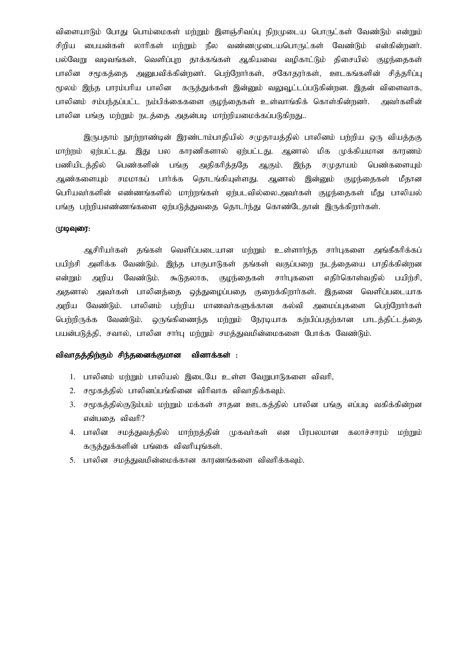விளையாடும் போது பொம்மைகள் மற்றும் இளஞ்சிவப்பு நிறமுடைய பொருட்கள் வேண்டும் என்றும் சிறிய பையன்கள் லாரிகள் மற்றும் நீல வண்ணமுடையபொருட்கள் வேண்டும் என்கின்றனர். பல்வேறு வடிவங்கள், வெளிப்புற தாக்கங்கள் ஆகியவை வழிகாட்டும் திசையில் குழந்தைகள் பாலின சமூகத்தை அனுபவிக்கின்றனர். பெற்றோர்கள், சகோதரர்கள், ஊடகங்களின் சித்தரிப்பு மூலம் இந்த பாரம்பரிய பாலின கருத்துக்கள் இன்னும் வலுவூட்டப்படுகின்றன. இதன் விளைவாக, பாலினம் சம்பந்தப்பட்ட நம்பிக்கைகளை குழந்தைகள் உள்வாங்கிக் கொள்கின்றனர். அவர்களின் பாலின பங்கு மற்றும் நடத்தை அதன்படி மாற்றியமைக்கப்படுகிறது..

இருபதாம் நூற்றாண்டின் இரண்டாம்பாதியில் சமுதாயத்தில் பாலினம் பற்றிய ஒரு வியத்தகு மாற்றம் ஏற்பட்டது. இது பல காரணிகளால் ஏற்பட்டது. ஆனால் மிக முக்கியமான காரணம் பணியிடத்தில் பெண்களின் பங்கு அதிகரித்ததே ஆகும். இந்த சமுதாயம் பெண்களையும் ஆண்களையும் சமமாகப் பார்க்க தொடங்கியுள்ளது. ஆனால் இன்னும் குழந்தைகள் மீதான பெரியவர்களின் எண்ணங்களில் மாற்றங்கள் ஏற்படவில்லை.அவர்கள் குழந்தைகள் மீது பாலியல் பங்கு பற்றியஎண்ணங்களை ஏற்படுத்துவதை தொடர்ந்து கொண்டேதான் இருக்கிறார்கள்.

# $(1)$

ஆசிரியர்கள் தங்கள் வெளிப்படையான மற்றும் உள்ளார்ந்த சார்புகளை அங்கீகரிக்கப் பயிற்சி அளிக்க வேண்டும். இந்த பாகுபாடுகள் தங்கள் வகுப்பறை நடத்தையை பாதிக்கின்றன என்றும் அறிய வேண்டும். கூடுதலாக, குழந்தைகள் சார்புகளை எதிர்கொள்வதில் பயிற்சி, அதனால் அவர்கள் பாலினத்தை ஒத்துழைப்பதை குறைக்கிறார்கள். இதனை வெளிப்படையாக அறிய வேண்டும். பாலினம் பற்றிய மாணவா்களுக்கான கல்வி அமைப்புகளை பெற்றோா்கள் பெற்றிருக்க வேண்டும். ஒருங்கிணைந்த மற்றும் நேரடியாக கற்பிப்பதற்கான பாடத்திட்டத்தை பயன்படுத்தி, சவால், பாலின சார்பு மற்றும் சமத்துவமின்மைகளை போக்க வேண்டும்.

# விவாதத்திற்கும் சிந்தனைக்குமான வினாக்கள் :

- 1. பாலினம் மற்றும் பாலியல் இடையே உள்ள வேறுபாடுகளை விவரி,
- $2.$  சமூகத்தில் பாலினப்பங்கினை விரிவாக விவாதிக்கவும்.
- 3. சமூகத்தில்குடும்பம் மற்றும் மக்கள் சாதன ஊடகத்தில் பாலின பங்கு எப்படி வகிக்கின்றன என்பதை விவரி $?$
- 4. பாலின சமத்துவத்தில் மாற்றத்தின் முகவர்கள் என பிரபலமான கலாச்சாரம் மற்றும் கருத்துக்களின் பங்கை விவரியுங்கள்.
- 5. பாலின சமத்துவமின்மைக்கான காரணங்களை விவரிக்கவும்.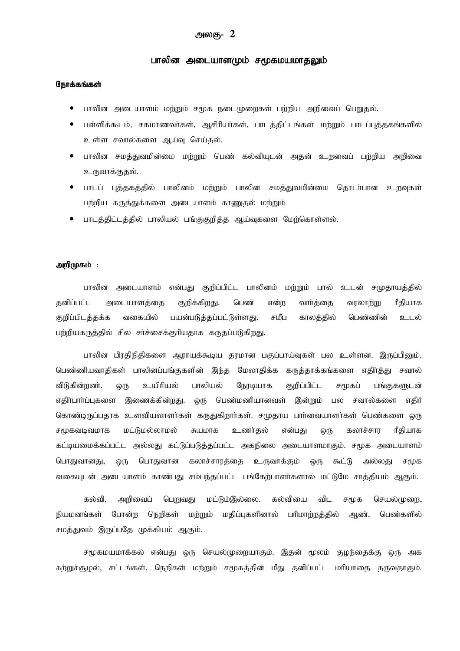# அலகு-  $\,2\,$

# பாலின் அடையாளமும் சமூகமயமாதலும்

# நோக்கங்கள்

- பாலின அடையாளம் மற்றும் சமூக நடைமுறைகள் பற்றிய அறிவைப் பெறுதல்.
- பள்ளிக்கூடம், சகமாணவர்கள், ஆசிரியர்கள், பாடத்திட்டங்கள் மற்றும் பாடப்புத்தகங்களில் உள்ள சவால்களை ஆய்வு செய்தல்.
- பாலின சமத்துவமின்மை மற்றும் பெண் கல்வியுடன் அதன் உறவைப் பற்றிய அறிவை உருவாக்குதல்.
- பாடப் புத்தகத்தில் பாலினம் மற்றும் பாலின சமத்துவமின்மை தொடா்பான உறவுகள் பற்றிய கருத்துக்களை அடையாளம் காணுதல் மற்றும்
- பாடத்திட்டத்தில் பாலியல் பங்குகுறித்த ஆய்வுகளை மேற்கொள்ளல்.

## அறிமுகம் :

பாலின அடையாளம் என்பது குறிப்பிட்ட பாலினம் மற்றும் பால் உடன் சமுதாயத்தில் கனிப்பட்ட அடையாளக்கை குறிக்கிறது. பெண் என்ற வார்க்கை வாலார்ங ரீகியாக வகையில் பயன்படுத்தப்பட்டுள்ளது. சமீப காலத்தில் பெண்ணின் குறிப்பிடத்தக்க உடல் பற்றியகருத்தில் சில சர்ச்சைக்குரியதாக கருதப்படுகிறது.

பாலின பிரதிநிதிகளை ஆராயக்கூடிய தரமான பகுப்பாய்வுகள் பல உள்ளன. இருப்பினும், பெண்ணியவாதிகள் பாலினப்பங்குகளின் இந்த மேலாதிக்க கருத்தாக்கங்களை எதிர்த்து சவால் விடுகின்றனர். **Q**(ந உயிரியல் பாலியல் நேரடியாக குறிப்பிட்ட சமூகப் பங்குகளுடன் எதிா்பாா்ப்புகளை இணைக்கின்றது. ஒரு பெண்மணியானவள் இன்றும் பல சவால்களை எகிர் கொண்டிருப்பதாக உளவியலாளர்கள் கருதுகிறார்கள். சமுதாய பார்வையாளர்கள் பெண்களை ஒரு மட்டுமல்லாமல் சுயமாக உணர்கல் என்பகு கலாச்சார ரீகியாக சமூகவடிவமாக ஒரு கட்டியமைக்கப்பட்ட அல்லது கட்டுப்படுத்தப்பட்ட அகநிலை அடையாளமாகும். சமூக அடையாளம் பொதுவானது, பொதுவான கலாச்சாரத்தை உருவாக்கும் ஒரு கூட்டு அல்லது  $Q(f)$ சமூக வகையுடன் அடையாளம் காண்பது சம்பந்தப்பட்ட பங்கேற்பாளர்களால் மட்டுமே சாத்தியம் ஆகும்.

கல்வி. அறிவைப் பெறுவது மட்டும்இல்லை. கல்வியை விட சமூக செயல்முறை, ஙியமனங்கள் போன்ற நெறிகள் மர்றும் மதிப்புகளினால் பரிமாற்றத்தில் பெண்களில் ஆண். சமத்துவம் இருப்பதே முக்கியம் ஆகும்.

சமூகமயமாக்கல் என்பது ஒரு செயல்முறையாகும். இதன் மூலம் குழந்தைக்கு ஒரு அக சுற்றுச்சூழல், சட்டங்கள், நெறிகள் மற்றும் சமூகத்தின் மீது தனிப்பட்ட மரியாதை தருவதாகும்.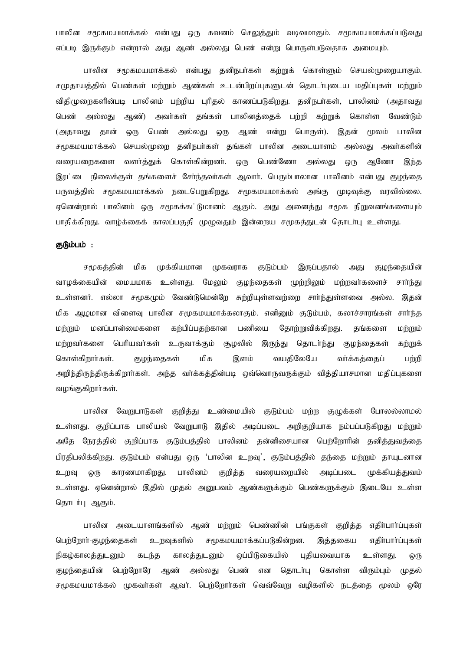பாலின சமூகமயமாக்கல் என்பது ஒரு கவனம் செலுத்தும் வடிவமாகும். சமூகமயமாக்கப்படுவது எப்படி இருக்கும் என்றால் அது ஆண் அல்லது பெண் என்று பொருள்படுவதாக அமையும்.

பாலின சமூகமயமாக்கல் என்பது தனிநபா்கள் கற்றுக் கொள்ளும் செயல்முறையாகும். சமுதாயத்தில் பெண்கள் மற்றும் ஆண்கள் உடன்பிறப்புகளுடன் தொடர்புடைய மதிப்புகள் மற்றும் விதிமுறைகளின்படி பாலினம் பற்றிய புரிதல் காணப்படுகிறது. தனிநபர்கள், பாலினம் (அதாவது அல்லது அண்) அவர்கள் தங்கள் பாலினக்கைக் பற்றி கற்றுக் கொள்ள வேண்டும் பெண் (அதாவது பெண் அல்லது என்று பொருள்). இதன் மூலம் பாலின தான் **@**(ந  $Q(1)$ ஆண் சமூகமயமாக்கல் செயல்முறை தனிநபர்கள் தங்கள் பாலின அடையாளம் அல்லது அவர்களின் வளர்த்துக் கொள்கின்றனர். பெண்ணோ வரையறைகளை ஒரு அல்லது ஒரு ஆணோ இந்த இரட்டை நிலைக்குள் தங்களைச் சேர்ந்தவர்கள் ஆவார். பெரும்பாலான பாலினம் என்பது குழந்தை பருவத்தில் சமூகமயமாக்கல் நடைபெறுகிறது. சமூகமயமாக்கல் அங்கு முடிவுக்கு வாவில்லை. ஏனென்றால் பாலினம் ஒரு சமூகக்கட்டுமானம் ஆகும். அது அனைத்து சமூக நிறுவனங்களையும் பாதிக்கிறது. வாழ்க்கைக் காலப்பகுதி முழுவதும் இன்றைய சமூகத்துடன் தொடா்பு உள்ளது.

#### குடும்பம் :

சமூகத்தின் மிக முக்கியமான (முகவராக குடும்பம் இருப்பதால் குழந்தையின் அது வாழக்கையின் மையமாக உள்ளது. மேலும் குழந்தைகள் முற்றிலும் மற்றவர்களைச் சார்ந்து உள்ளனர். எல்லா சமூகமும் வேண்டுமென்றே சுற்றியுள்ளவற்றை சார்ந்துள்ளவை அல்ல. இதன் மிக ஆழமான விளைவு பாலின சமூகமயமாக்கலாகும். எனினும் குடும்பம், கலாச்சாரங்கள் சாா்ந்த கர்பிப்பதர்கான பணியை தங்களை dimmo மனப்பான்மைகளை தோற்றுவிக்கி<u>றது</u>. மற்றும் மற்றவர்களை பெரியவர்கள் உருவாக்கும் சூமலில் இருந்து தொடர்ந்து குமந்தைகள் கற்றுக் கொள்கிறார்கள். குழந்தைகள் மிக இளம் வயதிலேயே வர்க்கக்கைப் பற்றி அறிந்திருந்திருக்கிறாா்கள். அந்த வா்க்கத்தின்படி ஒவ்வொருவருக்கும் வித்தியாசமான மதிப்புகளை வழங்குகிறார்கள்.

பாலின வேறுபாடுகள் குறித்து உண்மையில் குடும்பம் மற்ற குழுக்கள் போலல்லாமல் உள்ளது. குறிப்பாக பாலியல் வேறுபாடு இதில் அடிப்படை அறிகுறியாக நம்பப்படுகிறது மற்றும் நேரத்தில் குறிப்பாக குடும்பத்தில் பாலினம் தன்னிசையான பெற்றோரின் தனித்துவத்தை அகே பிரதிபலிக்கிறது. குடும்பம் என்பது ஒரு 'பாலின உறவு', குடும்பத்தில் தந்தை மற்றும் தாயுடனான காரணமாகிறது. பாலினம் குறித்த வரையறையில் அடிப்படை முக்கியத்துவம் உறவு  $Q($ Th உள்ளது. ஏனென்றால் இதில் முதல் அனுபவம் ஆண்களுக்கும் பெண்களுக்கும் இடையே உள்ள தொடர்பு ஆகும்.

பாலின அடையாளங்களில் ஆண் மற்றும் பெண்ணின் பங்குகள் குறித்த எதிா்பாா்ப்புகள் பெற்றோர்-குழந்தைகள் உறவுகளில் சமூகமயமாக்கப்படுகின்றன. எதிர்பார்ப்புகள் இக்ககைய நிகழ்காலத்துடனும் கடந்த காலத்துடனும் ஒப்பிடுகையில் புதியவையாக உள்ளகு. ஒரு குழந்தையின் பெற்றோரே ஆண் அல்லது பெண் என கொடர்பு கொள்ள விரும்பும் (மகல் சமூகமயமாக்கல் முகவா்கள் ஆவா். பெற்றோா்கள் வெவ்வேறு வழிகளில் நடத்தை மூலம் ஒரே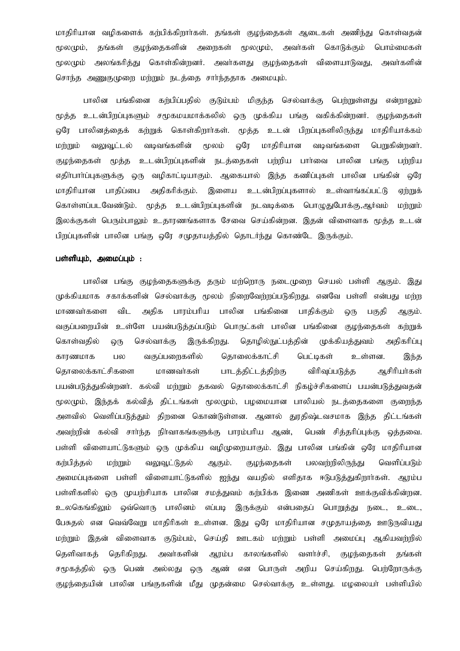மாதிரியான வழிகளைக் கற்பிக்கிறார்கள். தங்கள் குழந்தைகள் ஆடைகள் அணிந்து கொள்வதன் தங்கள் அறைகள் மூலமும், மூலமும், குழந்தைகளின் அவர்கள் கொடுக்கும் பொம்மைகள் மூலமும் அலங்கரித்து கொள்கின்றனர். அவர்களது குழந்தைகள் விளையாடுவது, அவர்களின் சொந்த அணுகுமுறை மற்றும் நடத்தை சார்ந்ததாக அமையும்.

கர்பிப்பதில் குடும்பம் மிகுந்த செல்வாக்கு பெற்றுள்ளது என்றாலும் பாலின பங்கினை மூத்த உடன்பிறப்புகளும் சமூகமயமாக்கலில் ஒரு முக்கிய பங்கு வகிக்கின்றனர். குழந்தைகள் ஒரே பாலினத்தைக் கற்றுக் கொள்கிறார்கள். மூத்த உடன் பிறப்புகளிலிருந்து மாதிரியாக்கம் வலுவூட்டல் வடிவங்களின் மூலம் வரே மாகிரியான வடிவங்களை பெறுகின்றனர். மற்றும் குழந்தைகள் மூத்த உடன்பிறப்புகளின் நடத்தைகள் பற்றிய பார்வை பாலின பங்கு பர்மிய வழிகாட்டியாகும். ஆகையால் இந்த கணிப்புகள் பாலின பங்கின் வாே எதிர்பார்ப்புகளுக்கு ஒரு உடன்பிறப்புகளால் மாதிரியான பாதிப்பை அதிகரிக்கும். இளைய உள்வாங்கப்பட்டு ஏற்றுக் கொள்ளப்படவேண்டும். மூத்த உடன்பிறப்புகளின் நடவடிக்கை பொழுதுபோக்கு,ஆர்வம் மற்றும் இலக்குகள் பெரும்பாலும் உதாரணங்களாக சேவை செய்கின்றன. இதன் விளைவாக மூத்த உடன் பிறப்புகளின் பாலின பங்கு ஒரே சமுதாயத்தில் தொடர்ந்து கொண்டே இருக்கும்.

# பள்ளியும், அமைப்பும் :

பாலின பங்கு குழந்தைகளுக்கு தரும் மற்றொரு நடைமுறை செயல் பள்ளி ஆகும். இது முக்கியமாக சகாக்களின் செல்வாக்கு மூலம் நிறைவேற்றப்படுகிறது. எனவே பள்ளி என்பது மற்ற பாலின பங்கினை மாணவர்களை விட அதிக பாரம்பரிய பாதிக்கும் ஒரு பகுதி ஆகும். உள்ளே பயன்படுத்தப்படும் பொருட்கள் பாலின பங்கினை வகுப்பறையின் குழந்தைகள் கற்றுக் தொழில்நுட்பத்தின் கொள்வகில் ஒரு செல்வாக்கு இருக்கிறது. முக்கியத்துவம் அகிகரிப்ப காரணமாக பல வகுப்பறைகளில் தொலைக்காட்சி பெட்டிகள் உள்ளன. இந்த கொலைக்காட்சிகளை மாணவர்கள் பாடத்திட்டத்திற்கு விரிவப்படுக்க ஆசிரியர்கள் பயன்படுத்துகின்றனர். கல்வி மற்றும் தகவல் தொலைக்காட்சி நிகழ்ச்சிகளைப் பயன்படுத்துவதன் மூலமும், இந்தக் கல்வித் திட்டங்கள் மூலமும், பழமையான பாலியல் நடத்தைகளை குறைந்த அளவில் வெளிப்படுத்தும் திறனை கொண்டுள்ளன. ஆனால் துரதிஷ்டவசமாக இந்த திட்டங்கள் அவற்றின் கல்வி சாா்ந்த நிா்வாகங்களுக்கு பாரம்பாிய ஆண், பெண் சித்தரிப்புக்கு ஒத்தவை. பள்ளி விளையாட்டுகளும் ஒரு முக்கிய வழிமுறையாகும். இது பாலின பங்கின் ஒரே மாதிரியான கர்பித்தல் மற்றும் வலுவூட்டுகல் ஆகும். குழந்தைகள் பலவற்றிலிருந்து வெளிப்படும் அமைப்புகளை பள்ளி விளையாட்டுகளில் வயதில் எளிதாக ஈடுபடுத்துகிறார்கள். ஆரம்ப ஐந்து பள்ளிகளில் ஒரு முயற்சியாக பாலின சமத்துவம் கற்பிக்க இணை அணிகள் ஊக்குவிக்கின்றன. உலகெங்கிலும் ஒவ்வொரு பாலினம் என்பகைப் பொறுத்து நடை, எப்பட இருக்கும் உடை. பேசுதல் என வெவ்வேறு மாதிரிகள் உள்ளன. இது ஒரே மாதிரியான சமுதாயத்தை ஊடுருவியது ஊடகம் மற்றும் பள்ளி அமைப்ப அகியவற்றில் மற்றும் இதன் விளைவாக குடும்பம். செய்கி தெளிவாகத் தெரிகிறது. அவர்களின் ஆரம்ப காலங்களில் வளர்ச்சி, குழந்தைகள் தங்கள் சமூகத்தில் ஒரு பெண் அல்லது பொருள் அறிய செய்கிறது. பெற்றோருக்கு ஆண் என ஒரு குழந்தையின் பாலின பங்குகளின் மீது முதன்மை செல்வாக்கு உள்ளது. மழலையா் பள்ளியில்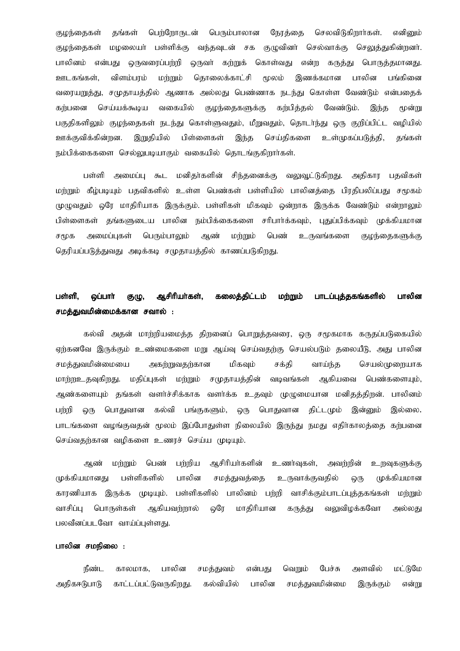கங்கள் பெர்ரோருடன் பெரும்பாலான நேரத்தை செலவிடுகிறார்கள். எனிமை குமந்தைகள் மழலையா் பள்ளிக்கு வந்தவுடன் சக குழுவினா் செல்வாக்கு செலுத்துகின்றனா். குழந்தைகள் பாலினம் என்பது ஒருவரைப்பற்றி ஒருவா் கற்றுக் கொள்வது என்ற கருத்து பொருத்தமானது. ஊடகங்கள், விளம்பரம் மற்றும் தொலைக்காட்சி மூலம் இணக்கமான பாலின பங்கினை வரையறுத்து, சமுதாயத்தில் ஆணாக அல்லது பெண்ணாக நடந்து கொள்ள வேண்டும் என்பதைக் செய்யக்கூடிய வகையில் குழந்தைகளுக்கு கங்பிக்கல் வேண்டும். கர்பனை இந்த மன்று பகுதிகளிலும் குழந்தைகள் நடந்து கொள்ளுவதும், மீறுவதும், தொடர்ந்து ஒரு குறிப்பிட்ட வழியில் ஊக்குவிக்கின்றன. இறுதியில் பிள்ளைகள் இந்த செய்திகளை உள்முகப்படுத்தி, தங்கள் நம்பிக்கைகளை செல்லுபடியாகும் வகையில் தொடங்குகிறார்கள்.

பள்ளி அமைப்ப கூட மனிகர்களின் சிந்கனைக்கு வலுவட்டுகிறது. அதிகார பகவிகள் மற்றும் கீழ்படியும் பதவிகளில் உள்ள பெண்கள் பள்ளியில் பாலினத்தை பிரதிபலிப்பது சமூகம் முழுவதும் ஒரே மாதிரியாக இருக்கும். பள்ளிகள் மிகவும் ஒன்றாக இருக்க வேண்டும் என்றாலும் பிள்ளைகள் தங்களுடைய பாலின நம்பிக்கைகளை சரிபார்க்கவும், புதுப்பிக்கவும் முக்கியமான அமைப்புகள் பெரும்பாலும் ஆண் மர்றும் பெண் உருவங்களை சமூக குழந்தைகளுக்கு தெரியப்படுத்துவது அடிக்கடி சமுதாயத்தில் காணப்படுகிறது.

#### பாலின பள்ளி, ஆசிரியர்கள், கலைத்திட்டம் மற்றும் பாடப்புத்தகங்களில் லப்பார் **குழு,** சமத்துவமின்மைக்கான சவால் :

கல்வி அதன் மாற்றியமைத்த திறனைப் பொறுத்தவரை, ஒரு சமூகமாக கருதப்படுகையில் ஏற்கனவே இருக்கும் உண்மைகளை மறு ஆய்வு செய்வதற்கு செயல்படும் தலையீடு, அது பாலின சமத்துவமின்மையை அகற்றுவதற்கான மிகவும் சக்தி வாய்ந்த செயல்முறையாக மாற்றஉதவுகிறது. மதிப்புகள் மற்றும் சமுதாயத்தின் வடிவங்கள் ஆகியவை பெண்களையும், ஆண்களையும் தங்கள் வளர்ச்சிக்காக வளர்க்க உதவும் முழுமையான மனிதத்திறன். பாலினம் கல்வி பங்குகளும், ஒரு பொதுவான திட்டமும் பர்றி பொதுவான இன்னும் இல்லை. ஒரு பாடங்களை வழங்குவதன் மூலம் இப்போதுள்ள நிலையில் இருந்து நமது எதிர்காலத்தை கற்பனை செய்வகர்கான வமிகளை உணாச் செய்ய முடியும்.

ஆசிரியா்களின் பெண் பர்மிய உணர்வகள். அவற்றின் உறவுகளுக்கு அண் பள்ளிகளில் பாலின முக்கியமானது சமக்துவக்கை உருவாக்குவதில் Q(Ҧ முக்கியமான காரணியாக இருக்க முடியும். பள்ளிகளில் பாலினம் பற்றி வாசிக்கும்பாடப்புக்குங்கள் மர்றும் வாசிப்ப பொருள்கள் ஆகியவர்றால் ஓரே மாகிரியான கருத்து வலுவிழக்கவோ அல்லகு பலவீனப்படவோ வாய்ப்பள்ளகு.

# பாலின சமநிலை :

நீண்ட பாலின வெறும் பேச்சு அளவில் மட்டுமே காலமாக, சமத்துவம் என்பது அதிகஈடுபாடு காட்டப்பட்டுவருகிறது. கல்வியில் பாலின சமக்துவமின்மை இருக்கும் என்று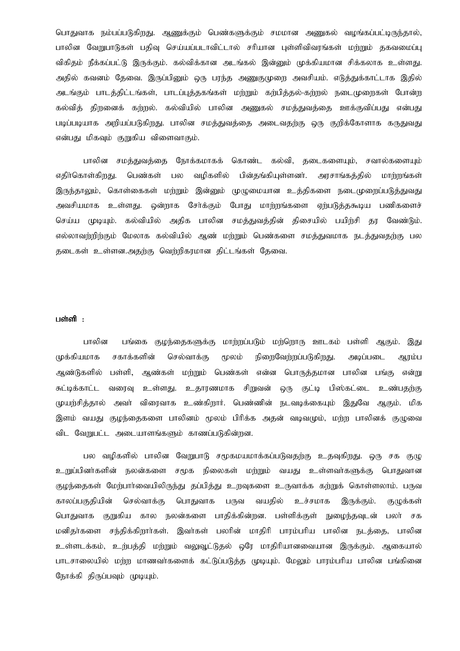பொதுவாக நம்பப்படுகிறது. ஆணுக்கும் பெண்களுக்கும் சமமான அணுகல் வமங்கப்பட்டிருந்தால், பாலின வேறுபாடுகள் பதிவு செய்யப்படாவிட்டால் சரியான புள்ளிவிவரங்கள் மற்றும் தகவமைப்பு விகிதம் நீக்கப்பட்டு இருக்கும். கல்விக்கான அடங்கல் இன்னும் முக்கியமான சிக்கலாக உள்ளது. அதில் கவனம் தேவை. இருப்பினும் ஒரு பரந்த அணுகுமுறை அவசியம். எடுத்துக்காட்டாக இதில் அடங்கும் பாடத்திட்டங்கள், பாடப்புத்தகங்கள் மற்றும் கற்பித்தல்-கற்றல் நடைமுறைகள் போன்ற கல்வித் திறனைக் கற்றல். கல்வியில் பாலின அணுகல் சமத்துவத்தை ஊக்குவிப்பது என்பது படிப்படியாக அறியப்படுகிறது. பாலின சமத்துவத்தை அடைவதற்கு ஒரு குறிக்கோளாக கருதுவது என்பது மிகவும் குறுகிய விளைவாகும்.

பாலின சமத்துவத்தை நோக்கமாகக் கொண்ட கல்வி, தடைகளையும், சவால்களையும் எகிர்கொள்கிரகு. பெண்கள் வமிகளில் பின்கங்கியள்ளனர். அாசாங்கக்கில் பல மார்றங்கள் இருந்தாலும், கொள்கைகள் மற்றும் இன்னும் முழுமையான உத்திகளை நடைமுறைப்படுத்துவது அவசியமாக உள்ளது. ஒன்றாக சேர்க்கும் போது மாற்றங்களை ஏற்படுத்தகூடிய பணிகளைச் செய்ய முடியும். கல்வியில் அதிக பாலின சமத்துவத்தின் திசையில் பயிற்சி தர வேண்டும். எல்லாவர்நிர்கும் மேலாக கல்வியில் ஆண் மர்நும் பெண்களை சமக்குவமாக நடக்குவகர்கு பல தடைகள் உள்ளன.அதற்கு வெற்றிகரமான திட்டங்கள் தேவை.

# பள்ளி $\cdot$

பங்கை குழந்தைகளுக்கு மாற்றப்படும் மற்றொரு ஊடகம் பள்ளி ஆகும். பாலின இது முக்கியமாக சகாக்களின் செல்வாக்கு நிறைவேற்றப்படுகிறது. மூலம் அடிப்படை ஆரம்ப பள்ளி, ஆண்கள் மற்றும் பெண்கள் என்ன பொருத்தமான பாலின பங்கு என்று ஆண்டுகளில் சுட்டிக்காட்ட வரைவு உள்ளது. உதாரணமாக சிறுவன்  $Q$ ( $\overline{h}$ குட்டி பிஸ்கட்டை உண்பகர்கு முயற்சித்தால் அவர் விரைவாக உண்கிறார். பெண்ணின் நடவடிக்கையும் இதுவே ஆகும். மிக இளம் வயது குழந்தைகளை பாலினம் மூலம் பிரிக்க அதன் வடிவமும், மற்ற பாலினக் குழுவை விட வேறுபட்ட அடையாளங்களும் காணப்படுகின்றன.

பல வழிகளில் பாலின வேறுபாடு சமூகமயமாக்கப்படுவதற்கு உதவுகிறது. ஒரு சக குழு உறுப்பினர்களின் நலன்களை சமூக நிலைகள் மற்றும் வயது உள்ளவர்களுக்கு பொதுவான குழந்தைகள் மேற்பார்வையிலிருந்து தப்பித்து உறவுகளை உருவாக்க கற்றுக் கொள்ளலாம். பருவ காலப்பகுதியின் செல்வாக்கு பொதுவாக பருவ வயகில் உச்சமாக இருக்கும். குழுக்கள் பொதுவாக குறுகிய கால நலன்களை பாதிக்கின்றன. பள்ளிக்குள் நுழைந்தவுடன் பலா் சக மனிகர்களை சந்திக்கிறார்கள். இவர்கள் பலரின் மாதிரி பாரம்பரிய பாலின நடத்தை, பாலின உள்ளடக்கம், உற்பத்தி மற்றும் வலுவூட்டுதல் ஒரே மாதிரியானவையான இருக்கும். ஆகையால் பாடசாலையில் மற்ற மாணவர்களைக் கட்டுப்படுத்த முடியும். மேலும் பாரம்பரிய பாலின பங்கினை நோக்கி திருப்பவும் முடியும்.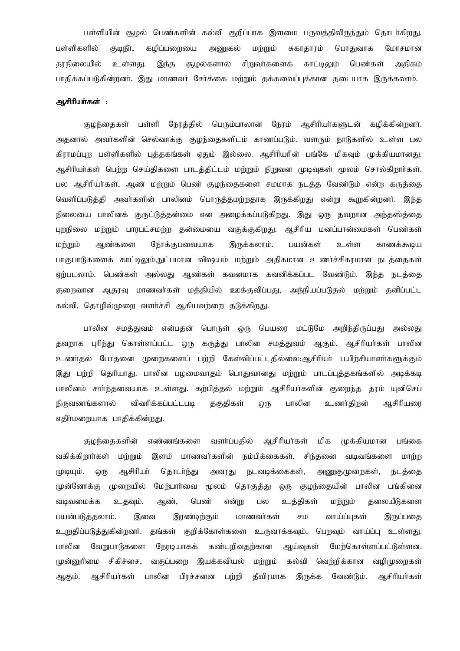பள்ளியின் சூழல் பெண்களின் கல்வி குறிப்பாக இளமை பருவக்கிலிருந்தும் தொடர்கிறது. மற்றும் கமிப்பளையை சுகாகாரம் பொதுவாக பள்ளிகளில் குடிநீர், அணுகல் மோசமான இந்த தரநிலையில் உள்ளது. சூழல்களால் சிறுவா்களைக் காட்டிலும் பெண்கள் அதிகம் பாதிக்கப்படுகின்றனர். இது மாணவர் சேர்க்கை மற்றும் தக்கவைப்புக்கான தடையாக இருக்கலாம்.

# அசிரியா்கள் :

குழந்தைகள் பள்ளி நேரத்தில் பெரும்பாலான நேரம் ஆசிரியர்களுடன் கழிக்கின்றனர். அதனால் அவர்களின் செல்வாக்கு குழந்தைகளிடம் காணப்படும். வளரும் நாடுகளில் உள்ள பல கிராமப்புற பள்ளிகளில் புத்தகங்கள் ஏதும் இல்லை. ஆசிரியரின் பங்கே மிகவும் முக்கியமானது. ஆசிரியா்கள் பெற்ற செய்திகளை பாடத்திட்டம் மற்றும் நிறுவன முடிவுகள் மூலம் சொல்கிறாா்கள். பல ஆசிரியர்கள், ஆண் மற்றும் பெண் குழந்தைகளை சமமாக நடத்த வேண்டும் என்ற கருத்தை வெளிப்படுத்தி அவர்களின் பாலினம் பொருத்தமற்றதாக இருக்கிறது என்று கூறுகின்றனர். இந்த நிலையை பாலினக் குருட்டுத்தன்மை என அழைக்கப்படுகிறது. இது ஒரு தவறான அந்தஸ்த்தை புறநிலை மற்றும் பாரபட்சமற்ற தன்மையை வகுக்குகிறது. ஆசிரிய மனப்பான்மைகள் பெண்கள் மற்றும் இருக்கலாம். ஆண்களை நோக்குபவையாக பயன்கள் உள்ள காணக்கூடிய பாகுபாடுகளைக் காட்டிலும்,நுட்பமான விஷயம் மற்றும் அதிகமான உணர்ச்சிகரமான நடத்தைகள் ஏற்படலாம். பெண்கள் அல்லது ஆண்கள் கவனமாக கவனிக்கப்பட வேண்டும். இந்த நடத்தை குறைவான ஆதரவு மாணவா்கள் மத்தியில் ஊக்குவிப்பது, அந்நியப்படுதல் மற்றும் தனிப்பட்ட கல்வி, தொழில்முறை வளர்ச்சி ஆகியவர்ளை தடுக்கிறது.

பாலின சமத்துவம் என்பதன் பொருள் ஒரு பெயரை மட்டுமே அறிந்திருப்பது அல்லது தவறாக புரிந்து கொள்ளப்பட்ட ஒரு கருத்து பாலின சமத்துவம் ஆகும். ஆசிரியா்கள் பாலின உணர்தல் போதனை முறைகளைப் பற்றி கேள்விப்பட்டதில்லை;ஆசிரியர் பயிற்சியாளர்களுக்கும் இது பற்றி தெரியாது. பாலின பழமைவாதம் பொதுவானது மற்றும் பாடப்புத்தகங்களில் அடிக்கடி பாலினம் சார்ந்தவையாக உள்ளது. கற்பித்தல் மற்றும் ஆசிரியர்களின் குறைந்த தரம் யுனிசெப் விவரிக்கப்பட்டபடி நிருவணங்களால் தகுதிகள் பாலின உணர்கிறன் ஆசிரியரை ஒரு எதிர்மறையாக பாதிக்கின்றது.

எண்ணங்களை வளர்ப்பதில் ஆசிரியா்கள் மிக முக்கியமான குழந்தைகளின் பங்கை வகிக்கிறார்கள் மற்றும் இளம் மாணவா்களின் நம்பிக்கைகள், சிந்தனை வடிவங்களை மாற்ற அவரது ஆசிரியா் கொடர்ந்து நடவடிக்கைகள், அணுகுமுறைகள்,  $(\mu\alpha\mu)$ ஒரு நடத்தை குழந்தையின் பாலின பங்கினை முன்னோக்கு முறையில் மேற்பார்வை மூலம் தொகுத்து  $Q(f)$ வடிவமைக்க தலையீடுகளை உதவும். ஆண், பெண் என்று பல உத்திகள் மற்றும் இரண்டிற்கும் பயன்படுத்தலாம். இவை மாணவர்கள் சம வாய்ப்பகள் இருப்பதை உறுதிப்படுத்துகின்றனர். கங்கள் குறிக்கோள்களை உருவாக்கவும், பெறவும் வாய்ப்பு உள்ளது. நோடியாகக் கண்டரிவகர்கான பாலின வேறுபாடுகளை ஆய்வகள் மேர்கொள்ளப்பட்டுள்ளன. முன்னுரிமை சிகிச்சை, வகுப்பறை இயக்கவியல் மற்றும் கல்வி வெற்றிக்கான வழிமுறைகள் ஆகும். ஆசிரியா்கள் பாலின பிரச்சனை பற்றி தீவிரமாக இருக்க வேண்டும். ஆசிரியர்கள்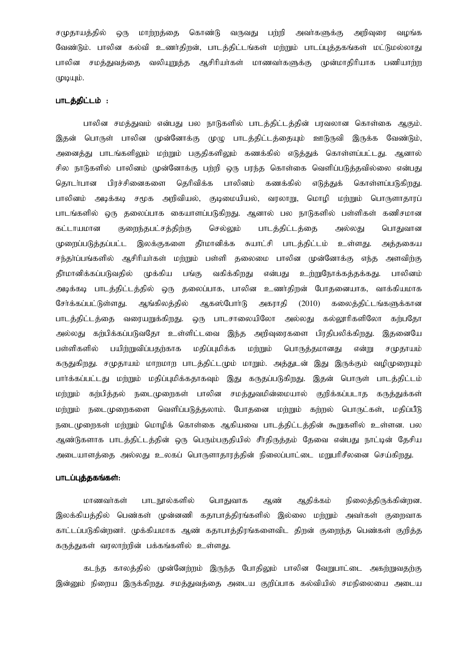சமுதாயத்தில் ஒரு மாற்றத்தை கொண்டு வருவது பற்றி அவர்களுக்கு அறிவுரை வமங்க வேண்டும். பாலின கல்வி உணர்கிறன், பாடத்திட்டங்கள் மற்றும் பாடப்புத்தகங்கள் மட்டுமல்லாது பாலின சமத்துவத்தை வலியுறுத்த ஆசிரியர்கள் மாணவர்களுக்கு முன்மாதிரியாக பணியாற்ற (фіфщір.

# பாடத்திட்டம் :

பாலின சமத்துவம் என்பது பல நாடுகளில் பாடத்திட்டத்தின் பரவலான கொள்கை ஆகும். இதன் பொருள் பாலின முன்னோக்கு முழு பாடத்திட்டத்தையும் ஊடுருவி இருக்க வேண்டும், அனைத்து பாடங்களிலும் மற்றும் பகுதிகளிலும் கணக்கில் எடுத்துக் கொள்ளப்பட்டது. ஆனால் சில நாடுகளில் பாலினம் முன்னோக்கு பற்றி ஒரு பரந்த கொள்கை வெளிப்படுத்தவில்லை என்பது கொடர்பான பிரச்சினைகளை தெரிவிக்க பாலினம் கணக்கில் எடுக்குக் கொள்ளப்படுகிறது. பாலினம் அடிக்கடி சமூக அறிவியல், குடிமையியல், வரலாறு, மொழி மற்றும் பொருளாதாரப் பாடங்களில் ஒரு தலைப்பாக கையாளப்படுகிறது. ஆனால் பல நாடுகளில் பள்ளிகள் கணிசமான கட்டாயமான குறைந்தபட்சத்திற்கு செல்லும் பாடத்திட்டத்தை அல்லது பொதுவான முறைப்படுத்தப்பட்ட இலக்குகளை தீாமானிக்க சுயாட்சி பாடத்திட்டம் உள்ளது. அத்தகைய சந்தா்ப்பங்களில் ஆசிரியா்கள் மற்றும் பள்ளி தலைமை பாலின முன்னோக்கு எந்த அளவிற்கு தீா்மானிக்கப்படுவதில் முக்கிய பங்கு வகிக்கிறது என்பது <u>உற்றுந</u>ோக்கத்தக்கது. பாலினம் அடிக்கடி பாடத்திட்டத்தில் ஒரு தலைப்பாக, பாலின உணர்திறன் போதனையாக, வாக்கியமாக சேர்க்கப்பட்டுள்ளகு. ஆங்கிலக்கில் ஆகஸ்போர்டு அகாாகி  $(2010)$ கலைக்கிட்டங்களுக்கான பாடத்திட்டத்தை வரையறுக்கிறது. ஒரு பாடசாலையிலோ அல்லது கல்லூரிகளிலோ கற்பதோ அல்லது கற்பிக்கப்படுவதோ உள்ளிட்டவை இந்த அறிவுரைகளை பிரதிபலிக்கிறது. இதனையே பயிற்றுவிப்பதற்காக மதிப்புமிக்க பள்ளிகளில் மற்றும் பொருத்தமானது என்று சமுதாயம் கருதுகிறது. சமுதாயம் மாறமாற பாடத்திட்டமும் மாறும். அத்துடன் இது இருக்கும் வழிமுறையும் பார்க்கப்பட்டது மற்றும் மதிப்புமிக்கதாகவும் இது கருதப்படுகிறது. இதன் பொருள் பாடத்திட்டம் மற்றும் கற்பித்தல் நடைமுறைகள் பாலின சமத்துவமின்மையால் குறிக்கப்படாத கருத்துக்கள் மற்றும் நடைமுறைகளை வெளிப்படுத்தலாம். போதனை மற்றும் கற்றல் பொருட்கள், மதிப்பீடு நடைமுறைகள் மற்றும் மொழிக் கொள்கை ஆகியவை பாடத்திட்டத்தின் கூறுகளில் உள்ளன. பல ஆண்டுகளாக பாடத்திட்டத்தின் ஒரு பெரும்பகுதியில் சீர்திருத்தம் தேவை என்பது நாட்டின் தேசிய அடையாளத்தை அல்லது உலகப் பொருளாதாரத்தின் நிலைப்பாட்டை மறுபரிசீலனை செய்கிறது.

# பாடப்புத்தகங்கள்:

ஆண் நிலைத்திருக்கின்றன. மாணவர்கள் பாடநூல்களில் பொதுவாக ஆதிக்கம் இலக்கியத்தில் பெண்கள் முன்னணி கதாபாத்திரங்களில் இல்லை மற்றும் அவர்கள் குறைவாக காட்டப்படுகின்றனர். முக்கியமாக ஆண் கதாபாத்திரங்களைவிட திறன் குறைந்த பெண்கள் குறித்த கருத்துகள் வரலாற்றின் பக்கங்களில் உள்ளது.

கடந்த காலத்தில் முன்னேற்றம் இருந்த போதிலும் பாலின வேறுபாட்டை அகற்றுவதற்கு இன்னும் நிறைய இருக்கிறது. சமத்துவத்தை அடைய குறிப்பாக கல்வியில் சமநிலையை அடைய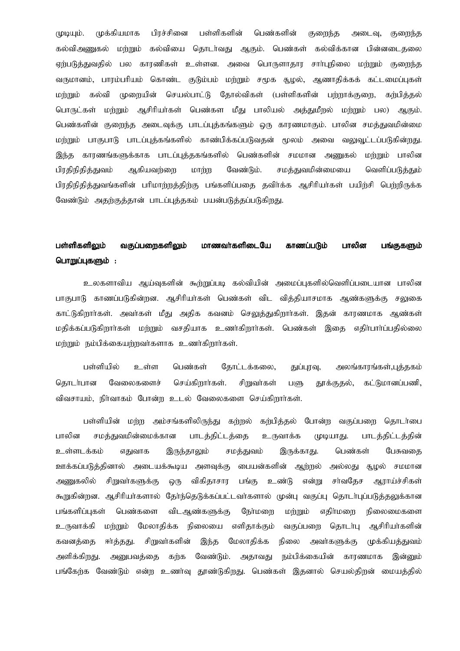பள்ளிகளின் முக்கியமாக பிரச்சினை பெண்களின் (фідщір. குறைந்த அடைவு, குறைந்த கல்விஅணுகல் மற்றும் கல்வியை தொடர்வது ஆகும். பெண்கள் கல்விக்கான பின்னடைதலை ஏற்படுத்துவதில் பல காரணிகள் உள்ளன. அவை பொருளாதார சாா்புநிலை மற்றும் குறைந்த வருமானம், பாரம்பரியம் கொண்ட குடும்பம் மற்றும் சமூக சூழல், ஆணாதிக்கக் கட்டமைப்புகள் முறையின் செயல்பாட்டு தோல்விகள் (பள்ளிகளின் பற்றாக்குறை, மர்றும் கல்வி கர்பிக்கல் பெண்கள மீது பாலியல் அத்துமீறல் மற்றும் பல) ஆகும். பொருட்கள் மற்றும் ஆசிரியர்கள் பெண்களின் குறைந்த அடைவுக்கு பாடப்புத்கங்களும் ஒரு காரணமாகும். பாலின சமத்துவமின்மை மற்றும் பாகுபாடு பாடப்புத்கங்களில் காண்பிக்கப்படுவதன் மூலம் அவை வலுவூட்டப்படுகின்றது. இந்த காரணங்களுக்காக பாடப்புத்தகங்களில் பெண்களின் சமமான அணுகல் மற்றும் பாலின பிரதிநிதித்துவம் ஆகியவற்றை மாற்ற வேண்டும். சமத்துவமின்மையை வெளிப்படுக்கும் பிரதிநிதித்துவங்களின் பரிமாற்றத்திற்கு பங்களிப்பதை தவிர்க்க ஆசிரியர்கள் பயிற்சி பெற்றிருக்க வேண்டும் அதற்குத்தான் பாடப்புத்தகம் பயன்படுத்தப்படுகிறது.

#### பள்ளிகளிலம் வகுப்பளைகளிலும் மாணவர்களிடையே ப காணப்படும் பாலின பங்குகளும் பொறுப்புகளும் :

உலகளாவிய ஆய்வுகளின் கூற்றுப்படி கல்வியின் அமைப்புகளில்வெளிப்படையான பாலின பாகுபாடு காணப்படுகின்றன. ஆசிரியர்கள் பெண்கள் விட வித்தியாசமாக ஆண்களுக்கு சலுகை காட்டுகிறார்கள். அவர்கள் மீது அதிக கவனம் செலுத்துகிறார்கள். இதன் காரணமாக ஆண்கள் மதிக்கப்படுகிறார்கள் மற்றும் வசதியாக உணர்கிறார்கள். பெண்கள் இதை எதிர்பார்ப்பதில்லை மற்றும் நம்பிக்கையற்றவர்களாக உணர்கிறார்கள்.

பள்ளியில் உள்ள பெண்கள் தோட்டக்கலை, துப்புரவு, அலங்காரங்கள்,புக்ககம் கொடர்பான வேலைகளைச் செய்கிறார்கள். சிறுவா்கள் தூக்குதல், கட்டுமானப்பணி, பளு விவசாயம், நிர்வாகம் போன்ற உடல் வேலைகளை செய்கிறார்கள்.

பள்ளியின் மற்ற அம்சங்களிலிருந்து கற்றல் கற்பித்தல் போன்ற வகுப்பறை தொடர்பை முடியாது. பாலின சமக்குவமின்மைக்கான பாடத்திட்டத்தை உருவாக்க பாடக்கிட்டக்கின் உள்ளடக்கம் எதுவாக இருந்தாலும் சமத்துவம் இருக்காது. பெண்கள் பேசுவகை ஊக்கப்படுத்தினால் அடையக்கூடிய அளவுக்கு பையன்களின் ஆற்றல் அல்லது சூழல் சமமான அணுகலில் சிறுவர்களுக்கு விகிதாசார பங்கு உண்டு என்று சர்வதேச ஆராய்ச்சிகள் ஒரு கூறுகின்றன. ஆசிரியர்களால் தேர்ந்தெடுக்கப்பட்டவர்களால் முன்பு வகுப்பு தொடர்புப்படுத்தலுக்கான விடஆண்களுக்கு நேர்மறை மற்றும் எதிா்மறை பங்களிப்புகள் பெண்களை நிலைமைகளை மற்றும் மேலாதிக்க நிலையை எளிதாக்கும் வகுப்பறை தொடர்பு ஆசிரியர்களின் உருவாக்கி கவனக்கை ஈர்த்தது. சிறுவர்களின் இந்த மேலாதிக்க நிலை அவர்களுக்கு முக்கியத்துவம் வேண்டும். நம்பிக்கையின் காாணமாக அளிக்கிறகு. அமைவக்கை கர்க அகாவகு இன்னும் பங்கேர்க வேண்டும் என்ற உணர்வு தூண்டுகிறது. பெண்கள் இதனால் செயல்திறன் மையத்தில்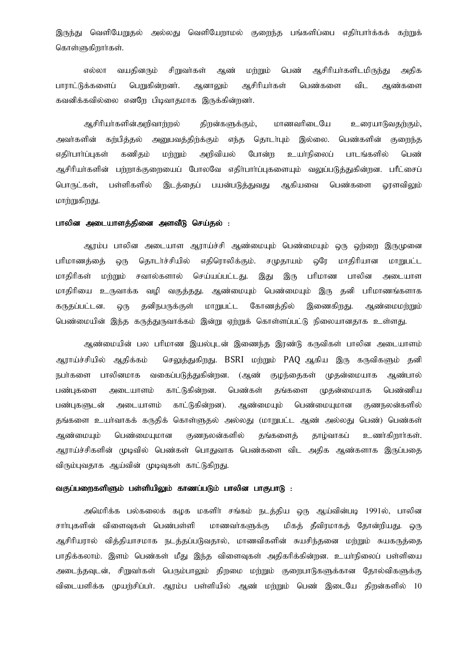இருந்து வெளியேறுதல் அல்லது வெளியேறாமல் குறைந்த பங்களிப்பை எதிா்பாா்க்கக் கற்றுக் கொள்ளுகிறார்கள்.

எல்லா வயதினரும் சிறுவா்கள் மற்றும் பெண் ஆசிரியா்களிடமிருந்து அதிக ஆண் பாராட்டுக்களைப் பெறுகின்றனர். ஆனாலும் ஆசிரியர்கள் பெண்களை விட ஆண்களை கவனிக்கவில்லை எனறே பிடிவாதமாக இருக்கின்றனர்.

ஆசிரியா்களின்அறிவாற்றல் திறன்களுக்கும், மாணவரிடையே உரையாடுவதற்கும், அவர்களின் கற்பித்தல் அனுபவத்திற்க்கும் எந்த தொடர்பும் இல்லை. பெண்களின் குறைந்த எகிர்பார்ப்புகள் கணிகம் மற்றும் அறிவியல் போன்ற உயா்நிலைப் பாடங்களில் பெண் ஆசிரியர்களின் பற்றாக்குறையைப் போலவே எதிர்பார்ப்புகளையும் வலுப்படுத்துகின்றன. பரீட்சைப் இடத்தைப் பயன்படுத்துவது ஆகியவை பெண்களை பொருட்கள், பள்ளிகளில் வாளவிலும் மாற்றுகிறது.

### பாலின அடையாளத்தினை அளவீடு செய்தல் :

ஆரம்ப பாலின அடையாள ஆராய்ச்சி ஆண்மையும் பெண்மையும் ஒரு ஒற்றை இருமுனை பரிமாணக்கை கொடர்ச்சியில் எதிரொலிக்கும். சமுதாயம் ஒரே மாகிரியான மாறுபட்ட ஒரு மாதிரிகள் மர்றும் சவால்களால் செய்யப்பட்டது. பரிமாண இது இரு பாலின அடையாள மாதிரியை உருவாக்க வழி வகுத்தது. ஆண்மையும் பெண்மையும் இரு தனி பரிமாணங்களாக தனிநபருக்குள் மாறுபட்ட கோணத்தில் இணைகிறது. கருதப்பட்டன. ஒரு ஆண்மைமற்றும் பெண்மையின் இந்த கருத்துருவாக்கம் இன்று ஏற்றுக் கொள்ளப்பட்டு நிலையானதாக உள்ளது.

ஆண்மையின் பல பரிமாண இயல்புடன் இணைந்த இரண்டு கருவிகள் பாலின அடையாளம் ஆராய்ச்சியில் ஆதிக்கம் செலுத்துகிறது. BSRI மற்றும் PAQ ஆகிய இரு கருவிகளும் தனி நபா்களை பாலினமாக வகைப்படுத்துகின்றன. (ஆண் குழந்தைகள் முதன்மையாக ஆண்பால் பண்புகளை காட்டுகின்றன. பெண்கள் பெண்ணிய அடையாளம் கங்களை முகன்மையாக பண்புகளுடன் அடையாளம் காட்டுகின்றன). ஆண்மையும் பெண்மையுமான குணநலன்களில் தங்களை உயர்வாகக் கருதிக் கொள்ளுதல் அல்லது (மாறுபட்ட ஆண் அல்லது பெண்) பெண்கள் ஆண்மையும் பெண்மையுமான குணநலன்களில் தங்களைத் தாழ்வாகப் உணர்கிறார்கள். ஆராய்ச்சிகளின் முடிவில் பெண்கள் பொதுவாக பெண்களை விட அதிக ஆண்களாக இருப்பதை விரும்புவதாக ஆய்வின் முடிவுகள் காட்டுகிறது.

# வகுப்பறைகளிளும் பள்ளியிலும் காணப்படும் பாலின பாகுபாடு :

அமெரிக்க பல்கலைக் கழக மகளிா் சங்கம் நடத்திய ஒரு ஆய்வின்படி 1991ல், பாலின சாா்புகளின் விளைவுகள் பெண்பள்ளி மாணவர்களுக்கு மிகத் தீவிரமாகத் தோன்றியது. ஒரு ஆசிரியரால் வித்தியாசமாக நடத்தப்படுவதால், மாணவிகளின் சுயசிந்தனை மற்றும் சுயகருத்தை பாதிக்கலாம். இளம் பெண்கள் மீது இந்த விளைவுகள் அதிகரிக்கின்றன. உயாநிலைப் பள்ளியை அடைந்தவுடன், சிறுவர்கள் பெரும்பாலும் திறமை மற்றும் குறைபாடுகளுக்கான தோல்விகளுக்கு விடையளிக்க முயற்சிப்பா். ஆரம்ப பள்ளியில் ஆண் மற்றும் பெண் இடையே திறன்களில் 10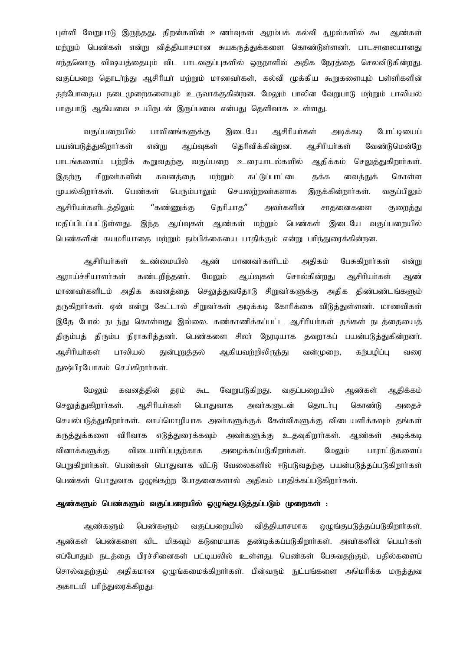புள்ளி வேறுபாடு இருந்தது. திறன்களின் உணர்வுகள் ஆரம்பக் கல்வி சூழல்களில் கூட ஆண்கள் மற்றும் பெண்கள் என்று வித்தியாசமான சுயகருத்துக்களை கொண்டுள்ளனர். பாடசாலையானது எந்தவொரு விஷயத்தையும் விட பாடவகுப்புகளில் ஒருநாளில் அதிக நேரத்தை செலவிடுகின்றது. வகுப்பறை தொடர்ந்து ஆசிரியர் மற்றும் மாணவர்கள், கல்வி முக்கிய கூறுகளையும் பள்ளிகளின் தற்போதைய நடைமுறைகளையும் உருவாக்குகின்றன. மேலும் பாலின வேறுபாடு மற்றும் பாலியல் பாகுபாடு ஆகியவை உயிருடன் இருப்பவை என்பது தெளிவாக உள்ளது.

இடையே ஆசிரியர்கள் வகுப்பறையில் பாலினங்களுக்கு அடிக்கடி போட்டியைப் தெரிவிக்கின்றன. பயன்படுத்துகிறாா்கள் என்று ஆய்வுகள் ஆசிரியர்கள் வேண்டுமென்றே பாடங்களைப் பற்றிக் கூறுவதற்கு வகுப்பறை உரையாடல்களில் ஆதிக்கம் செலுத்துகிறாா்கள். இதற்கு சிறுவா்களின் கவனத்தை மற்றும் கட்டுப்பாட்டை தக்க வைத்துக் கொள்ள முயல்கிறார்கள். பெண்கள் பெரும்பாலும் செயலர்றவர்களாக இருக்கின்றார்கள். வகுப்பிலும் "கண்ணுக்கு கெரியாக" அவர்களின் ஆசிரியர்களிடத்திலும் சாகனைகளை குளைக்கு மதிப்பிடப்பட்டுள்ளது. இந்த ஆய்வுகள் ஆண்கள் மற்றும் பெண்கள் இடையே வகுப்பறையில் பெண்களின் சுயமரியாதை மற்றும் நம்பிக்கையை பாதிக்கும் என்று பரிந்துரைக்கின்றன.

ஆசிரியர்கள் உண்மையில் மாணவர்களிடம் அதிகம் பேசுகிறார்கள் ஆண் என்று சொல்கின்றது ஆராய்ச்சியாளர்கள் கண்டறிந்தனர். மேலும் ஆய்வுகள் ஆசிரியர்கள் ஆண் மாணவா்களிடம் அதிக கவனத்தை செலுத்துவதோடு சிறுவா்களுக்கு அதிக திண்பண்டங்களும் தருகிறார்கள். ஏன் என்று கேட்டால் சிறுவர்கள் அடிக்கடி கோரிக்கை விடுத்துள்ளனர். மாணவிகள் இதே போல் நடந்து கொள்வது இல்லை. கண்காணிக்கப்பட்ட ஆசிரியர்கள் தங்கள் நடத்தையைத் கிரும்பக் கிரும்ப நிராகரிக்கனர். பெண்களை சிலர் நோடியாக கவுளகப் பயன்படுக்குகின்றனர். ஆசிரியர்கள் பாலியல் குன்பார்கல் ஆகியவர்றிலிருந்து வன்முளை, கர்பமிப்ப வனா துஷ்பிரயோகம் செய்கிறாா்கள்.

வகுப்பறையில் மேலும் கவனக்கின் வேறுபடுகிறது. தரம் கூட ஆண்கள் ஆதிக்கம் செலுத்துகிறார்கள். ஆசிரியர்கள் பொதுவாக அவர்களுடன் கொடர்பு கொண்டு அகைச் செயல்படுத்துகிறார்கள். வாய்மொழியாக அவர்களுக்குக் கேள்விகளுக்கு விடையளிக்கவும் தங்கள் கருத்துக்களை விரிவாக எடுத்துரைக்கவும் அவர்களுக்கு உதவுகிறார்கள். ஆண்கள் அடிக்கடி மேலும் விடையளிப்பதற்காக அழைக்கப்படுகிறார்கள். வினாக்களுக்கு பாராட்டுகளைப் பெறுகிறார்கள். பெண்கள் பொதுவாக வீட்டு வேலைகளில் ஈடுபடுவதற்கு பயன்படுத்தப்படுகிறார்கள் பெண்கள் பொதுவாக ஒழுங்கற்ற போதனைகளால் அதிகம் பாதிக்கப்படுகிறார்கள்.

# ஆண்களும் பெண்களும் வகுப்பறையில் ஒழுங்குபடுத்தப்படும் முறைகள் :

பெண்களும் வகுப்பறையில் வித்தியாசமாக ஒழுங்குபடுத்தப்படுகிறார்கள். ஆண்களும் ஆண்கள் பெண்களை விட மிகவும் கடுமையாக தண்டிக்கப்படுகிறார்கள். அவர்களின் பெயர்கள் எப்போதும் நடத்தை பிரச்சினைகள் பட்டியலில் உள்ளது. பெண்கள் பேசுவதற்கும், பதில்களைப் சொல்வதற்கும் அதிகமான ஒழுங்கமைக்கிறார்கள். பின்வரும் நுட்பங்களை அமெரிக்க மருத்துவ அகாடமி பரிந்துரைக்கிறது: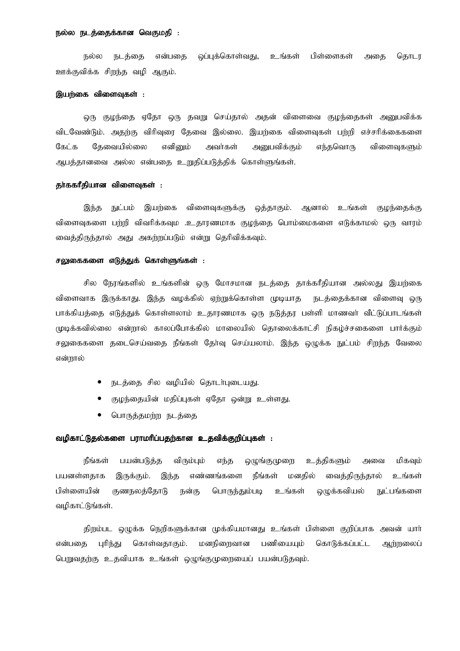## நல்ல நடத்தைக்கான வெகுமதி :

வப்பக்கொள்வகு. உங்கள் பிள்ளைகள் கொடா நல்ல நடக்கை என்பகை அகை ஊக்குவிக்க சிறந்த வழி ஆகும்.

#### இயற்கை விளைவுகள் :

ஒரு குழந்தை ஏதோ ஒரு தவறு செய்தால் அதன் விளைவை குழந்தைகள் அனுபவிக்க விடவேண்டும். அதற்கு விரிவரை தேவை இல்லை. இயற்கை விளைவுகள் பற்றி எச்சரிக்கைகளை கேட்க தேவையில்லை எனினும் அவர்கள் அனுபவிக்கும் எந்தவொரு விளைவுகளும் ஆபத்தானவை அல்ல என்பதை உறுதிப்படுத்திக் கொள்ளுங்கள்.

# கா்ககாீகியான விளைவுகள் :

இயற்கை விளைவுகளுக்கு ஒத்தாகும். ஆனால் உங்கள் இந்த நுட்பம் குழந்தைக்கு விளைவுகளை பற்றி விவரிக்கவும .உதாரணமாக குழந்தை பொம்மைகளை எடுக்காமல் ஒரு வாரம் வைத்திருந்தால் அது அகற்றப்படும் என்று தெரிவிக்கவும்.

# சலுகைகளை எடுத்துக் கொள்ளுங்கள் :

சில நேரங்களில் உங்களின் ஒரு மோசமான நடத்தை தாக்கரீதியான அல்லது இயற்கை விளைவாக இருக்காது. இந்த வழக்கில் ஏற்றுக்கொள்ள முடியாத நடத்தைக்கான விளைவு ஒரு பாக்கியத்தை எடுத்துக் கொள்ளலாம் உதாரணமாக ஒரு நடுத்தர பள்ளி மாணவா் வீட்டுப்பாடங்கள் முடிக்கவில்லை என்றால் காலப்போக்கில் மாலையில் தொலைக்காட்சி நிகழ்ச்சகைளை பார்க்கும் சலுகைகளை தடைசெய்வதை நீங்கள் தோ்வு செய்யலாம். இந்த ஒழுக்க நுட்பம் சிறந்த வேலை என்றால்

- நடத்தை சில வழியில் தொடர்புடையது.
- குழந்தையின் மதிப்புகள் ஏதோ ஒன்று உள்ளது.
- பொருத்தமற்ற நடத்தை

# வழிகாட்டுதல்களை பராமரிப்பதற்கான உதவிக்குறிப்புகள் :

நீங்கள் பயன்படுத்த விரும்பும் எந்த ஒழுங்குமுறை உத்திகளும் அவை மிகவம் பயனள்ளகாக மனகில் வைத்திருந்தால் இருக்கும். இந்த எண்ணங்களை நீங்கள் உங்கள் பிள்ளையின் குணநலத்தோடு பொருந்தும்படி மெக்கவியல் நுட்பங்களை நன்கு உங்கள் வமிகாட்டுங்கள்.

திறம்பட ஒழுக்க நெறிகளுக்கான முக்கியமானது உங்கள் பிள்ளை குறிப்பாக அவன் யார் புரிந்து கொள்வதாகும். மனநிறைவான பணியையும் கொடுக்கப்பட்ட என்பகை ஆர்றலைப் பெறுவதற்கு உதவியாக உங்கள் ஒழுங்குமுறையைப் பயன்படுதவும்.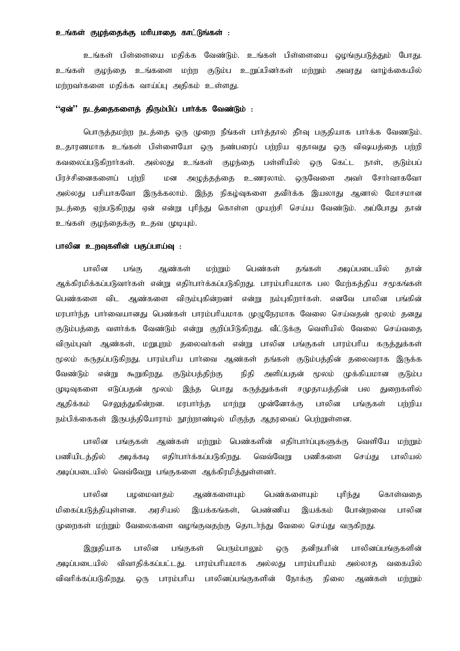## உங்கள் குமந்தைக்கு மரியாகை காட்டுங்கள் :

உங்கள் பிள்ளையை மதிக்க வேண்டும். உங்கள் பிள்ளையை ஒழங்குபடுத்தும் போது. உங்கள் குழந்தை உங்களை மற்ற குடும்ப உறுப்பினர்கள் மற்றும் அவரது வாழ்க்கையில் மற்றவர்களை மதிக்க வாய்ப்பு அதிகம் உள்ளது.

# ''ஏன்'' நடத்தைகளைத் திரும்பிப் பார்க்க வேண்டும் :

பொருத்தமற்ற நடத்தை ஒரு முறை நீங்கள் பார்த்தால் தீர்வு பகுதியாக பார்க்க வேணடும். உதாரணமாக உங்கள் பிள்ளையோ ஒரு நண்பரைப் பற்றிய ஏதாவது ஒரு விஷயத்தை பற்றி கவலைப்படுகிறாா்கள். அல்லது உங்கள் குழந்தை பள்ளியில் ஒரு கெட்ட நாள், குடும்பப் பிரச்சினைகளைப் பற்றி மன அழுத்தத்தை உணரலாம். ஒருவேளை அவர் சோர்வாகவோ அல்லது பசியாகவோ இருக்கலாம். இந்த நிகழ்வுகளை தவிர்க்க இயலாது ஆனால் மோசமான நடத்தை ஏற்படுகிறது ஏன் என்று புரிந்து கொள்ள முயற்சி செய்ய வேண்டும். அப்போது தான் உங்கள் குழந்தைக்கு உதவ முடியும்.

# பாலின உறவுகளின் பகுப்பாய்வு :

பாலின ஆண்கள் மர்றும் பெண்கள் பங்கு கங்கள் அடிப்படையில் தான் ஆக்கிரமிக்கப்படுவார்கள் என்று எதிர்பார்க்கப்படுகிறது. பாரம்பரியமாக பல மேற்கத்திய சமூகங்கள் பெண்களை விட ஆண்களை விரும்புகின்றனர் என்று நம்புகிறார்கள். எனவே பாலின பங்கின் மரபார்ந்த பார்வையானது பெண்கள் பாரம்பரியமாக முழுநேரமாக வேலை செய்வதன் மூலம் தனது குடும்பத்தை வளர்க்க வேண்டும் என்று குறிப்பிடுகிறது. வீட்டுக்கு வெளியில் வேலை செய்வதை விரும்புவா் ஆண்கள், மறுபுறம் தலைவா்கள் என்று பாலின பங்குகள் பாரம்பாிய கருத்துக்கள் மூலம் கருதப்படுகிறது. பாரம்பரிய பாா்வை ஆண்கள் தங்கள் குடும்பத்தின் தலைவராக இருக்க வேண்டும் என்று கூறுகிறது. குடும்பத்திற்கு நிதி அளிப்பதன் மூலம் முக்கியமான குடும்ப முடிவுகளை எடுப்பகன் மூலம் இந்த பொது கருத்துக்கள் சமுதாயத்தின் துறைகளில் பல ஆகிக்கம் செலுக்குகின்றன. மாபார்ந்க மார்நு முன்னோக்கு பாலின பங்குகள் பர்மிய நம்பிக்கைகள் இருபக்கியோராம் நூற்றாண்டில் மிகுந்த ஆகரவைப் பெற்றுள்ளன.

பாலின பங்குகள் ஆண்கள் மற்றும் பெண்களின் எதிா்பாா்ப்புகளுக்கு வெளியே மற்றும் பணியிடத்தில் அடிக்கடி எதிர்பார்க்கப்படுகிறது. வெவ்வேறு பணிகளை செய்து பாலியல் அடிப்படையில் வெவ்வேறு பங்குகளை ஆக்கிரமித்துள்ளனர்.

பாலின பழமைவாதம் ஆண்களையும் பெண்களையும் புரிந்து கொள்வதை மிகைப்படுத்தியுள்ளன. அரசியல் இயக்கங்கள், பெண்ணிய போன்றவை பாலின இயக்கம் முறைகள் மற்றும் வேலைகளை வழங்குவதற்கு தொடர்ந்து வேலை செய்து வருகிறது.

இறுதியாக பாலின பங்குகள் பெரும்பாலும் கனிநபரின் பாலினப்பங்குகளின் ஒரு அடிப்படையில் விவாதிக்கப்பட்டது. பாரம்பரியமாக அல்லது பாரம்பரியம் அல்லாக வகையில் விவரிக்கப்படுகிறது. பாரம்பரிய பாலினப்பங்குகளின் ஒரு நோக்கு நிலை ஆண்கள் மற்றும்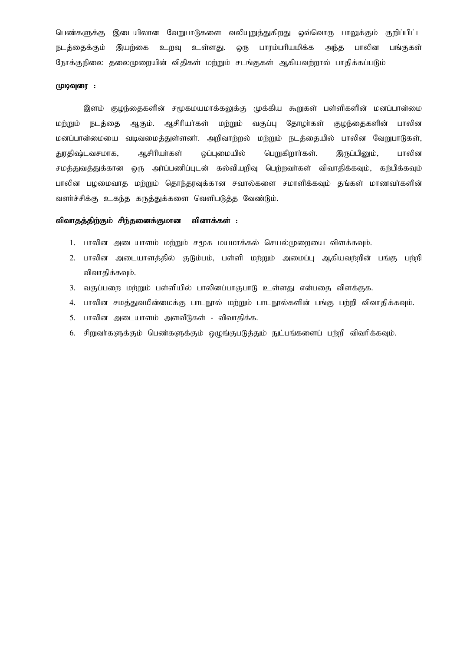பெண்களுக்கு இடையிலான வேறுபாடுகளை வலியுறுத்துகிறது ஒவ்வொரு பாலுக்கும் குறிப்பிட்ட ஒரு பாரம்பரியமிக்க நடத்தைக்கும் இயற்கை உறவு உள்ளது. அந்த பாலின பங்குகள் நோக்குநிலை தலைமுறையின் விதிகள் மற்றும் சடங்குகள் ஆகியவற்றால் பாதிக்கப்படும்

# முடிவுரை :

இளம் குமந்தைகளின் சமூகமயமாக்கலுக்கு முக்கிய கூறுகள் பள்ளிகளின் மனப்பான்மை ஆகும். ஆசிரியர்கள் மற்றும் வகுப்பு கோழா்கள் மற்றும் நடத்தை குழந்தைகளின் பாலின மனப்பான்மையை வடிவமைத்துள்ளனர். அறிவாற்றல் மற்றும் நடத்தையில் பாலின வேறுபாடுகள், ஒப்புமையில் பெறுகிறார்கள். துரதிஷ்டவசமாக, ஆசிரியர்கள் இருப்பினும், பாலின சமத்துவத்துக்கான ஒரு அர்ப்பணிப்புடன் கல்வியறிவு பெற்றவர்கள் விவாதிக்கவும், கற்பிக்கவும் பாலின பழமைவாத மற்றும் தொந்தரவுக்கான சவால்களை சமாளிக்கவும் தங்கள் மாணவர்களின் வளர்ச்சிக்கு உகந்த கருத்துக்களை வெளிபடுத்த வேண்டும்.

#### விவாதத்திற்கும் சிந்தனைக்குமான வினாக்கள் :

- 1. பாலின அடையாளம் மற்றும் சமக மயமாக்கல் செயல்முறையை விளக்கவும்.
- 2. பாலின அடையாளத்தில் குடும்பம், பள்ளி மற்றும் அமைப்பு ஆகியவற்றின் பங்கு பற்றி விவாதிக்கவும்.
- 3. வகுப்பறை மற்றும் பள்ளியில் பாலினப்பாகுபாடு உள்ளது என்பதை விளக்குக.
- 4. பாலின சமத்துவமின்மைக்கு பாடநூல் மற்றும் பாடநூல்களின் பங்கு பற்றி விவாதிக்கவும்.
- 5. பாலின அடையாளம் அளவீடுகள் விவாதிக்க.
- 6. சிறுவா்களுக்கும் பெண்களுக்கும் ஒழுங்குபடுத்தும் நுட்பங்களைப் பற்றி விவரிக்கவும்.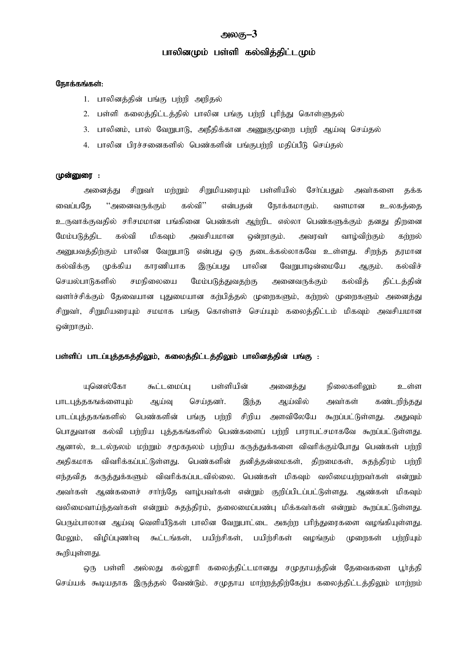# அலகு–3

# பாலினமும் பள்ளி கல்வித்திட்டமும்

# நோக்கங்கள்:

- 1. பாலினக்கின் பங்கு பர்மி அறிகல்
- 2. பள்ளி கலைத்திட்டத்தில் பாலின பங்கு பற்றி புரிந்து கொள்ளுதல்
- 3. பாலினம், பால் வேறுபாடு, அநீதிக்கான அணுகுமுறை பற்றி ஆய்வு செய்தல்
- 4. பாலின பிரச்சனைகளில் பெண்களின் பங்குபர்றி மதிப்பீடு செய்தல்

#### முன்னுரை :

அனைத்து சிறுவா் மற்றும் சிறுமியரையும் பள்ளியில் சோ்ப்பதும் அவர்களை தக்க கல்வி'' என்பதன் வைப்பதே ''அனைவருக்கும் நோக்கமாகும். வளமான உலகத்தை உருவாக்குவதில் சரிசமமான பங்கினை பெண்கள் ஆற்றிட எல்லா பெண்களுக்கும் தனது திறனை மேம்படுத்திட கல்வி மிகவும் அவசியமான ஒன்றாகும். அவரவர் வாழ்விற்கும் கர்றல் அனுபவத்திற்கும் பாலின வேறுபாடு என்பது ஒரு தடைக்கல்லாகவே உள்ளது. சிறந்த தரமான முக்கிய காரணியாக பாலின கல்விக்கு இருப்பது வேறுபாடின்மையே ஆகும். கல்விச் சமநிலையை மேம்படுத்துவதற்கு செயல்பாடுகளில் அனைவருக்கும் கல்விக் திட்டத்தின் வளர்ச்சிக்கும் தேவையான புதுமையான கற்பித்தல் முறைகளும், கற்றல் முறைகளும் அனைத்து சிறுவா், சிறுமியரையும் சமமாக பங்கு கொள்ளச் செய்யும் கலைத்திட்டம் மிகவும் அவசியமான ஒன்றாகும்.

# பள்ளிப் பாடப்புத்தகத்திலும், கலைத்திட்டத்திலும் பாலினத்தின் பங்கு :

படுனஸ்கோ கூட்டமைப்ப பள்ளியின் அனைக்கு நிலைகளிலும் உள்ள பாடபுத்தகஙக்ளையும் ஆய்வு செய்கனர். இந்த ஆய்வில் அவர்கள் கண்டறிந்தது அளவிலேயே கூறப்பட்டுள்ளது. பாடப்புத்தகங்களில் பெண்களின் பங்கு பற்றி சிறிய அகுவம் பொதுவான கல்வி பற்றிய புக்ககங்களில் பெண்களைப் பற்றி பாராபட்சமாகவே கூறப்பட்டுள்ளது. ஆனால், உடல்நலம் மர்றும் சமூகநலம் பர்றிய கருத்துக்களை விவரிக்கும்போது பெண்கள் பர்றி அதிகமாக விவரிக்கப்பட்டுள்ளது. பெண்களின் தனித்தன்மைகள், திறமைகள், சுதந்திரம் பர்மி எந்தவித கருத்துக்களும் விவரிக்கப்படவில்லை. பெண்கள் மிகவும் வலிமையற்றவர்கள் என்றும் அவர்கள் ஆண்களைச் சார்ந்தே வாழ்பவர்கள் என்றும் குறிப்பிடப்பட்டுள்ளது. ஆண்கள் மிகவும் வலிமைவாய்ந்தவா்கள் என்றும் சுதந்திரம், தலைமைப்பண்ப மிக்கவா்கள் என்றும் கூறப்பட்டுள்ளது. பெரும்பாலான ஆய்வு வெளியீடுகள் பாலின வேறுபாட்டை அகர்ற பரிந்துரைகளை வழங்கியுள்ளது. மேலும். விமிப்பணர்வ கூட்டங்கள். பயிர்சிகள். பயிர்சிகள் வமங்கம் முளைகள் பர்மியம் கூறியுள்ளது.

ஒரு பள்ளி அல்லது கல்லூரி கலைத்திட்டமானது சமுதாயத்தின் தேவைகளை பூர்த்தி செய்யக் கூடியதாக இருத்தல் வேண்டும். சமுதாய மாற்றத்திற்கேற்ப கலைத்திட்டத்திலும் மாற்றம்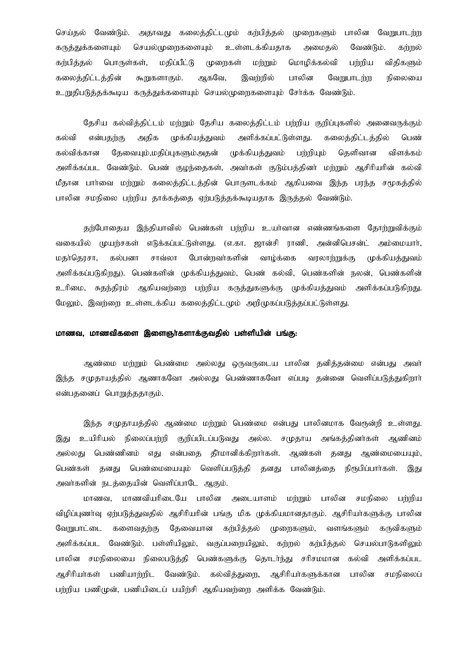செய்தல் வேண்டும். அதாவது கலைத்திட்டமும் கற்பித்தல் முறைகளும் பாலின வேறுபாடர்ற கருத்துக்களையும் செயல்முறைகளையும் உள்ளடக்கியதாக அமைகல் வேண்டும். கர்றல் கர்பிக்கல் பொருள்கள், மதிப்பீட்டு முறைகள் மற்றும் மொழிக்கல்வி பற்றிய விதிகளும் ஆகவே, கலைத்திட்டத்தின் கூறுகளாகும். இவர்றில் பாலின வேறுபாடர்ற நிலையை உறுதிபடுத்தக்கூடிய கருத்துக்களையும் செயல்முறைகளையும் சேர்க்க வேண்டும்.

தேசிய கல்வித்திட்டம் மற்றும் தேசிய கலைத்திட்டம் பற்றிய குறிப்புகளில் அனைவருக்கும் அதிக முக்கியத்துவம் அளிக்கப்பட்டுள்ளது. கலைத்திட்டத்தில் கல்வி என்பதற்கு பெண் கல்விக்கான தேவையும்,மதிப்புகளும்அதன் முக்கியத்துவம் பர்ரியும் கெளிவான விளக்கம் அளிக்கப்பட வேண்டும். பெண் குழந்தைகள், அவர்கள் குடும்பத்தினர் மற்றும் ஆசிரியரின் கல்வி மீதான பார்வை மற்றும் கலைத்திட்டத்தின் பொருளடக்கம் ஆகியவை இந்த பரந்த சமூகத்தில் பாலின சமநிலை பற்றிய தாக்கத்தை ஏற்படுத்தக்கூடியதாக இருத்தல் வேண்டும்.

குற்போகைய இந்தியாவில் பெண்கள் பற்றிய உயர்வான எண்ணங்களை கோற்றுவிக்கும் வகையில் முயர்சகள் எடுக்கப்பட்டுள்ளது. (எ.கா. ஜான்சி ராணி, அன்னிபெசன்ட் அம்மையார், மதா்தெரசா, கல்பனா சாவ்லா போன்றவர்களின் வாழ்க்கை வரலாற்றுக்கு முக்கியத்துவம் அளிக்கப்படுகிறது). பெண்களின் முக்கியத்துவம், பெண் கல்வி, பெண்களின் நலன், பெண்களின் உரிமை, சுதந்திரம் ஆகியவற்றை பற்றிய கருத்துகளுக்கு முக்கியத்துவம் அளிக்கப்படுகிறது. மேலும், இவர்ரை உள்ளடக்கிய கலைத்திட்டமும் அறிமுகப்படுத்தப்பட்டுள்ளது.

# மாணவ, மாணவிகளை இளைஞர்களாக்குவதில் பள்ளியின் பங்கு:

ஆண்மை மற்றும் பெண்மை அல்லது ஒருவருடைய பாலின தனித்தன்மை என்பது அவா் இந்த சமுதாயத்தில் ஆணாகவோ அல்லது பெண்ணாகவோ எப்படி தன்னை வெளிப்படுத்துகிறார் என்பதனைப் பொறுத்ததாகும்.

இந்த சமுதாயத்தில் ஆண்மை மற்றும் பெண்மை என்பது பாலினமாக வேரூன்றி உள்ளது. உயிரியல் நிலைப்பற்றி குறிப்பிடப்படுவது அல்ல. சமுதாய அங்கத்தினர்கள் ஆணினம் இகுட அல்லது பெண்ணினம் எது என்பதை தீா்மானிக்கிறாா்கள். ஆண்கள் தனது ஆண்மையையும், தனது பெண்மையையும் வெளிப்படுத்தி தனது பாலினத்தை பெண்கள் நிரூபிப்பார்கள். இது அவர்களின் நடத்தையின் வெளிப்பாடே ஆகும்.

மாணவ. மாணவியரிடையே பாலின அடையாளம் மற்றும் பாலின சமநிலை பற்றிய விழிப்புணர்வு ஏற்படுத்துவதில் ஆசிரியரின் பங்கு மிக முக்கியமானதாகும். ஆசிரியர்களுக்கு பாலின தேவையான கற்பித்தல் முறைகளும், வளங்களும் வேறுபாட்டை களைவகற்கு கருவிகளும் அளிக்கப்பட வேண்டும். பள்ளியிலும், வகுப்பறையிலும், கற்றல் கற்பித்தல் செயல்பாடுகளிலும் பாலின சமநிலையை நிலைபடுத்தி பெண்களுக்கு தொடர்ந்து சரிசமமான கல்வி அளிக்கப்பட ஆசிரியா்கள் பணியாற்றிட வேண்டும். கல்வித்துறை, ஆசிரியா்களுக்கான பாலின சமநிலைப் பற்றிய பணிமுன், பணியிடைப் பயிற்சி ஆகியவற்றை அளிக்க வேண்டும்.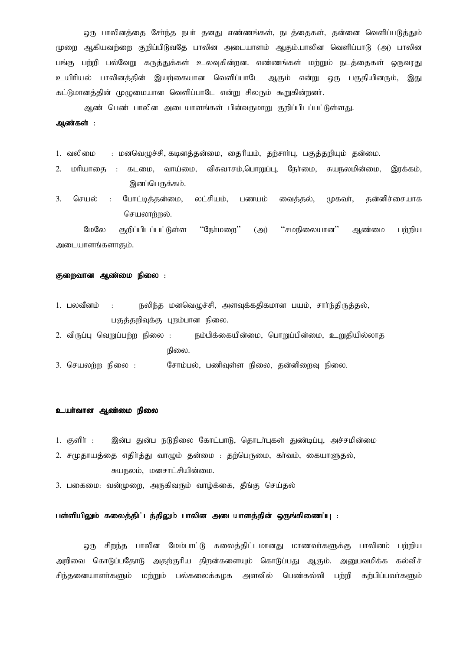ஒரு பாலினத்தை சேர்ந்த நபர் தனது எண்ணங்கள், நடத்தைகள், தன்னை வெளிப்படுத்தும் முறை ஆகியவர்றை குறிப்பிடுவதே பாலின அடையாளம் ஆகும்.பாலின வெளிப்பாடு (அ) பாலின பங்கு பற்றி பல்வேறு கருத்துக்கள் உலவுகின்றன. எண்ணங்கள் மற்றும் நடத்தைகள் ஒருவரது உயிரியல் பாலினத்தின் இயற்கையான வெளிப்பாடே ஆகும் என்று ஒரு பகுதியினரும், இது கட்டுமானத்தின் முழுமையான வெளிப்பாடே என்று சிலரும் கூறுகின்றனர்.

ஆண் பெண் பாலின அடையாளங்கள் பின்வருமாறு குறிப்பிடப்பட்டுள்ளது.

# ஆண்கள் :

1. வலிமை : மனவெழுச்சி, கடினத்தன்மை, தைரியம், தற்சார்பு, பகுத்தறியும் தன்மை.

- 2. மரியாகை : கடமை, வாய்மை, விசுவாசம்,பொறுப்பு, நேர்மை, சுயநலமின்மை, இரக்கம். இனப்பெருக்கம்.
- போட்டித்தன்மை, 3. செயல் லட்சியம், வைத்தல், தன்னிச்சையாக  $\ddot{\phantom{1}}$ : பணயம் (மகவர், செயலாற்றல்.

மேலே குறிப்பிடப்பட்டுள்ள ''நேர்மளை'' ''சமநிலையான''  $(\bigoplus)$ ஆண்மை பர்றிய அடையாளங்களாகும்.

#### குறைவான ஆண்மை நிலை :

- நலிந்த மனவெழுச்சி, அளவுக்கதிகமான பயம், சாா்ந்திருத்தல், 1. பலவீனம்  $\cdot$ பகுத்தறிவுக்கு புறம்பான நிலை.
- 2. விருப்பு வெறுப்பற்ற நிலை : நம்பிக்கையின்மை, பொறுப்பின்மை, உறுதியில்லாத நிலை.
- 3. செயலற்ற நிலை : சோம்பல், பணிவுள்ள நிலை, தன்னிறைவு நிலை.

# உயர்வான ஆண்மை நிலை

- 1. குளிர் : இன்ப குன்ப நடுநிலை கோட்பாடு, கொடர்பகள் குண்டிப்ப, அச்சமின்மை
- 2. சமுகாயக்கை எகிர்க்கு வாமும் கன்மை : கற்பெருமை, கர்வம், கையாளுகல், சுயநலம், மனசாட்சியின்மை.
- 3. பகைமை: வன்முறை, அருகிவரும் வாழ்க்கை, தீங்கு செய்தல்

# பள்ளியிலும் கலைத்திட்டத்திலும் பாலின அடையாளத்தின் ஒருங்கிணைப்பு :

ஒரு சிறந்த பாலின மேம்பாட்டு கலைத்திட்டமானது மாணவர்களுக்கு பாலினம் பற்றிய அறிவை கொடுப்பதோடு அதற்குரிய திறன்களையும் கொடுப்பது ஆகும். அனுபவமிக்க கல்விச் சிந்தனையாளா்களும் மற்றும் பல்கலைக்கழக அளவில் பெண்கல்வி பற்றி கற்பிப்பவா்களும்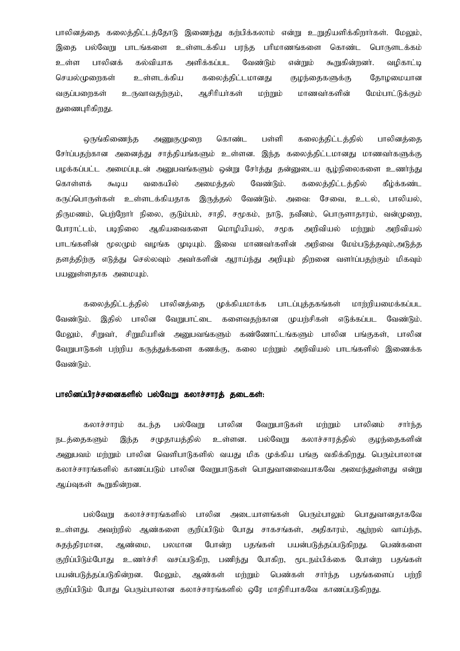பாலினத்தை கலைத்திட்டத்தோடு இணைந்து கர்பிக்கலாம் என்று உறுதியளிக்கிறார்கள். மேலும், இதை பல்வேறு பாடங்களை உள்ளடக்கிய பரந்த பரிமாணங்களை கொண்ட பொருளடக்கம் உள்ள பாலினக் கல்வியாக அளிக்கப்பட வேண்டும் என்றும் கூறுகின்றனர். வழிகாட்டி செயல்முறைகள் உள்ளடக்கிய கலைத்திட்டமானது குழந்தைகளுக்கு தோழமையான வகுப்பறைகள் உருவாவதற்கும், ஆசிரியர்கள் மற்றும் மாணவர்களின் மேம்பாட்டுக்கும் துணைபுரிகிறது.

ஒருங்கிணைந்த அணுகுமுறை கொண்ட பள்ளி கலைத்திட்டத்தில் பாலினத்தை சேர்ப்பதற்கான அனைத்து சாத்தியங்களும் உள்ளன. இந்த கலைத்திட்டமானது மாணவர்களுக்கு பழக்கப்பட்ட அமைப்புடன் அனுபவங்களும் ஒன்று சேர்த்து தன்னுடைய சூழ்நிலைகளை உணர்ந்து கீழ்க்கண்ட கொள்ளக் வகையில் அமைக்கல் வேண்டும். கலைக்கிட்டக்கில் கூடிய கருப்பொருள்கள் உள்ளடக்கியதாக இருத்தல் வேண்டும். அவை: சேவை, உடல், பாலியல், திருமணம், பெற்றோா் நிலை, குடும்பம், சாதி, சமூகம், நாடு, நவீனம், பொருளாதாரம், வன்முறை, போராட்டம், படிநிலை ஆகியவைகளை மொழியியல், சமூக அறிவியல் மற்றும் அறிவியல் பாடங்களின் மூலமும் வழங்க முடியும். இவை மாணவர்களின் அறிவை மேம்படுத்தவும்,அடுத்த தளத்திற்கு எடுத்து செல்லவும் அவர்களின் ஆராய்ந்து அறியும் திறனை வளர்ப்பதற்கும் மிகவும் பயனுள்ளதாக அமையும்.

கலைத்திட்டத்தில் பாலினக்கை முக்கியமாக்க பாடப்புக்குகங்கள் மார்றியமைக்கப்பட வேண்டும். இகில் பாலின வேறுபாட்டை களைவகற்கான முயற்சிகள் எடுக்கப்பட வேண்டும். மேலும், சிறுவா், சிறுமியாின் அனுபவங்களும் கண்ணோட்டங்களும் பாலின பங்குகள், பாலின வேறுபாடுகள் பற்றிய கருத்துக்களை கணக்கு, கலை மற்றும் அறிவியல் பாடங்களில் இணைக்க வேண்டும்.

# பாலினப்பிரச்சனைகளில் பல்வேறு கலாச்சாரக் கடைகள்:

பல்வேறு பாலின வேறுபாடுகள் கலாச்சாரம் கடந்த மற்றும் பாலினம் சார்ந்த நடத்தைகளும் சமுதாயத்தில் உள்ளன. பல்வேறு கலாச்சாரக்கில் குமந்தைகளின் இந்த அனுபவம் மற்றும் பாலின வெளிபாடுகளில் வயது மிக முக்கிய பங்கு வகிக்கிறது. பெரும்பாலான கலாச்சாரங்களில் காணப்படும் பாலின வேறுபாடுகள் பொதுவானவையாகவே அமைந்துள்ளது என்று ஆய்வுகள் கூறுகின்றன.

பல்வேறு கலாச்சாாங்களில் பாலின அடையாளங்கள் பெரும்பாலம் பொகுவானகாகவே உள்ளது. அவற்றில் ஆண்களை குறிப்பிடும் போது சாகசங்கள், அதிகாரம், ஆற்றல் வாய்ந்த, சுகந்திரமான, ஆண்மை, பலமான போன்ற பதங்கள் பயன்படுத்தப்படுகிறது. பெண்களை குறிப்பிடும்போது உணர்ச்சி வசப்படுகிற, பணிந்து போகிற, மூடநம்பிக்கை போன்ற பகங்கள் பயன்படுத்தப்படுகின்றன. மேலும், ஆண்கள் பெண்கள் சார்ந்த பதங்களைப் மற்றும் பர்றி குறிப்பிடும் போது பெரும்பாலான கலாச்சாரங்களில் ஒரே மாதிரியாகவே காணப்படுகிறது.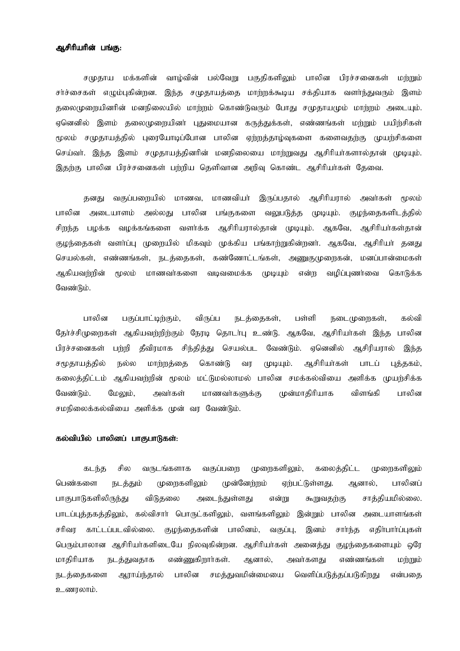# ஆசிரியரின் பங்கு:

சமுதாய மக்களின் வாழ்வின் பல்வேறு பகுதிகளிலும் பாலின பிரச்சனைகள் மற்றும் சர்ச்சைகள் எழும்புகின்றன. இந்த சமுதாயத்தை மாற்றக்கூடிய சக்தியாக வளர்ந்துவரும் இளம் தலைமுறையினரின் மனநிலையில் மாற்றம் கொண்டுவரும் போது சமுதாயமும் மாற்றம் அடையும். ஏனெனில் இளம் தலைமுறையினர் புதுமையான கருத்துக்கள், எண்ணங்கள் மற்றும் பயிற்சிகள் மூலம் சமுதாயத்தில் புரையோடிப்போன பாலின ஏற்றத்தாழ்வுகளை களைவதற்கு முயற்சிகளை செய்வர். இந்த இளம் சமுதாயத்தினரின் மனநிலையை மாற்றுவது ஆசிரியர்களால்தான் முடியும். இதற்கு பாலின பிரச்சனைகள் பற்றிய தெளிவான அறிவு கொண்ட ஆசிரியர்கள் தேவை.

வகுப்பறையில் மாணவ, மாணவியா் இருப்பதால் ஆசிரியரால் அவர்கள் மூலம் தனது பாலின பாலின அடையாளம் அல்லது பங்குகளை வலுபடுத்த முடியும். குழந்தைகளிடத்தில் வழக்கங்களை வளர்க்க ஆசிரியரால்தான் முடியும். ஆகவே, ஆசிரியர்கள்தான் சிறந்த பழக்க குழந்தைகள் வளா்ப்பு முறையில் மிகவும் முக்கிய பங்காற்றுகின்றனா். ஆகவே, ஆசிரியா் தனது செயல்கள், எண்ணங்கள், நடத்தைகள், கண்ணோட்டங்கள், அணுகுமுறைகன், மனப்பான்மைகள் வழிப்புணர்வை ஆகியவர்றின் மூலம் மாணவர்களை வடிவமைக்க முடியும் என்ற கொடுக்க வேண்டும்.

பாலின பகுப்பாட்டிர்கும். விருப்ப பள்ளி கல்வி நடக்கைகள். நடைமுளைகள். தேர்ச்சிமுறைகள் ஆகியவற்றிற்கும் நேரடி தொடர்பு உண்டு. ஆகவே, ஆசிரியர்கள் இந்த பாலின பிாச்சனைகள் பர்றி தீவிரமாக சிந்தித்து செயல்பட வேண்டும். எனெனில் ஆசிரியரால் இந்த முடியும். சமூகாயக்கில் நல்ல மாற்றத்தை கொண்டு ஆசிரியர்கள் வா பாடப் புத்தகம், கலைத்திட்டம் ஆகியவற்றின் மூலம் மட்டுமல்லாமல் பாலின சமக்கல்வியை அளிக்க முயற்சிக்க முன்மாதிரியாக பாலின வேண்டும். மேலும், அவர்கள் மாணவர்களுக்கு விளங்கி சமநிலைக்கல்வியை அளிக்க முன் வர வேண்டும்.

## கல்வியில் பாலினப் பாகுபாடுகள்:

சில வருடங்களாக வகுப்பறை முறைகளிலும், கலைத்திட்ட முறைகளிலும் கடந்த ஆனால், பாலினப் பெண்களை நடத்தும் முறைகளிலும் முன்னேற்றம் ஏற்பட்டுள்ளது. பாகுபாடுகளிலிருந்து விடுதலை அடைந்துள்ளது என்று கூறுவகற்கு சாத்தியமில்லை. பாடப்பக்ககக்கிலம், கல்விசாா் பொருட்களிலம், வளங்களிலம் இன்றும் பாலின அடையாளங்கள் குழந்தைகளின் பாலினம், சரிவா காட்டப்படவில்லை. வகுப்பு, இனம் சார்ந்த எகிா்பாா்ப்பகள் பெரும்பாலான ஆசிரியர்களிடையே நிலவுகின்றன. ஆசிரியர்கள் அனைத்து குழந்தைகளையும் ஒரே மாகிரியாக எண்ணுகிறார்கள். நடத்துவதாக ஆனால், அவர்களகு எண்ணங்கள் மர்றும் பாலின சமத்துவமின்மையை வெளிப்படுத்தப்படுகிறது நடத்தைகளை ஆராய்ந்தால் என்பகை உணரலாம்.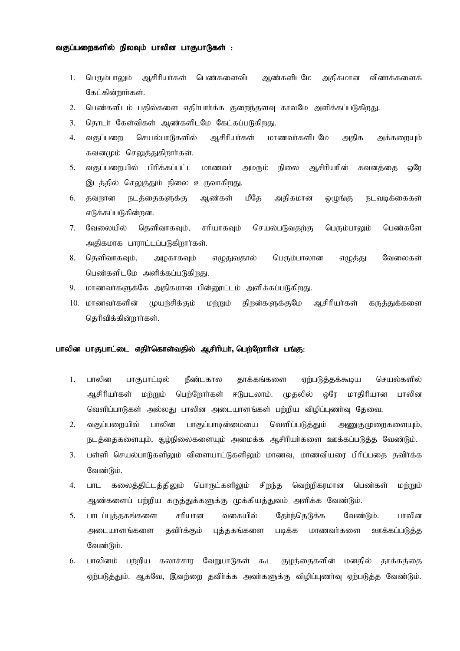# வகுப்பறைகளில் நிலவும் பாலின பாகுபாடுகள் :

- 1. பெரும்பாலும் ஆசிரியர்கள் பெண்களைவிட ஆண்களிடமே அதிகமான வினாக்களைக் கேட்கின்றார்கள்.
- $2^{1}$ பெண்களிடம் பதில்களை எதிர்பார்க்க குறைந்தளவு காலமே அளிக்கப்படுகிறது.
- $\overline{3}$ . தொடர் கேள்விகள் ஆண்களிடமே கேட்கப்படுகிறது.
- மாணவர்களிடமே 4. செயல்பாடுகளில் ஆசிரியர்கள் வகுப்பளை அதிக அக்கறையும் கவனமும் செலுத்துகிறார்கள்.
- வகுப்பறையில் பிரிக்கப்பட்ட ஆசிரியரின்  $5<sub>1</sub>$ மாணவர் அமரும் நிலை கவனக்கை ஓரே இடத்தில் செலுத்தும் நிலை உருவாகிறது.
- 6. தவறான நடத்தைகளுக்கு ஆண்கள் மீதே அதிகமான ஒழுங்கு நடவடிக்கைகள் எடுக்கப்படுகின்றன.
- $7.$ வேலையில் தெளிவாகவும், சரியாகவும் செயல்படுவதற்கு பெரும்பாலும் பெண்களே அதிகமாக பாராட்டப்படுகிறார்கள்.
- 8. தெளிவாகவும், அழகாகவும் எழுதுவதால் பெரும்பாலான எழுத்து வேலைகள் பெண்களிடமே அளிக்கப்படுகிறது.
- மாணவர்களுக்கே அதிகமான பின்னூட்டம் அளிக்கப்படுகிறது. 9.
- 10. மாணவர்களின் முயர்சிக்கும் மற்றும் திறன்களுக்குமே ஆசிரியர்கள் கருத்துக்களை கெரிவிக்கின்றார்கள்.

## பாலின பாகுபாட்டை எதிர்கொள்வதில் ஆசிரியர், பெற்றோரின் பங்கு:

- $1.$ பாலின பாகுபாட்டில் நீண்டகால தாக்கங்களை ஏர்படுக்கக்கூடிய செயல்களில் ஆசிரியர்கள் மற்றும் பெற்றோர்கள் ஈடுபடலாம். முதலில் ஒரே மாதிரியான பாலின வெளிப்பாடுகள் அல்லது பாலின அடையாளங்கள் பற்றிய விழிப்புணா்வு தேவை.
- பாலின பாகுப்பாடின்மையை வெளிப்படுத்தும் 2. வகுப்பறையில் அணுகுமுறைகளையும், நடத்தைகளையும், சூழ்நிலைகளையும் அமைக்க ஆசிரியர்களை ஊக்கப்படுத்த வேண்டும்.
- பள்ளி செயல்பாடுகளிலும் விளையாட்டுகளிலும் மாணவ, மாணவியரை பிரிப்பதை தவிர்க்க  $3.$ வேண்டும்.
- வெற்றிகரமான  $\overline{4}$ . **LITL** கலைத்திட்டத்திலும் பொருட்களிலும் சிறந்த பெண்கள் மற்றும் ஆண்களைப் பற்றிய கருத்துக்களுக்கு முக்கியத்துவம் அளிக்க வேண்டும்.
- பாடப்புத்தகங்களை பாலின  $5.$ சரியான வகையில் தேர்ந்தெடுக்க வேண்டும். அடையாளங்களை கவிர்க்கும் புத்தகங்களை படிக்க மாணவர்களை ஊக்கப்படுக்க வேண்டும்.
- பாலினம் பற்றிய கலாச்சார வேறுபாடுகள் கூட குழந்தைகளின் மனதில் தாக்கத்தை 6. ஏற்படுத்தும். ஆகவே, இவற்றை தவிர்க்க அவர்களுக்கு விழிப்புணர்வு ஏற்படுத்த வேண்டும்.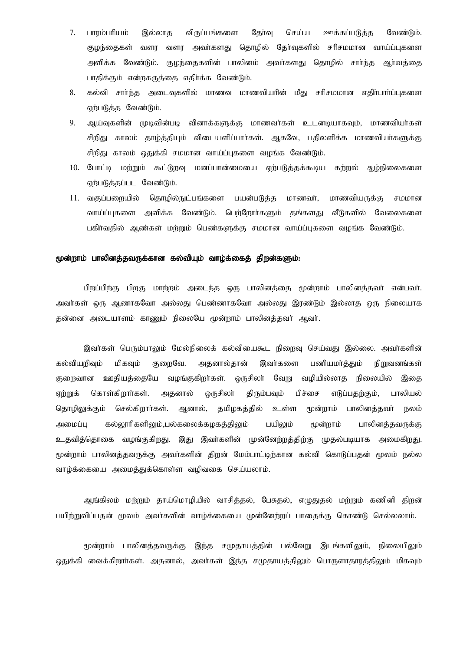- $7.$ பாரம்பரியம் இல்லாக விருப்பங்களை கேர்வு செய்ய ஊக்கப்படுக்க வேண்டும். குழந்தைகள் வளர வளர அவர்களது தொழில் தேர்வுகளில் சரிசமமான வாய்ப்புகளை அளிக்க வேண்டும். குழந்தைகளின் பாலினம் அவர்களது தொழில் சார்ந்த ஆர்வத்தை பாதிக்கும் என்றகருத்தை எதிர்க்க வேண்டும்.
- கல்வி சார்ந்த அடைவுகளில் மாணவ மாணவியரின் மீது சரிசமமான எதிர்பார்ப்புகளை 8. ஏற்படுத்த வேண்டும்.
- 9. ஆய்வுகளின் முடிவின்படி வினாக்களுக்கு மாணவர்கள் உடனடியாகவும், மாணவியர்கள் சிறிது காலம் தாழ்த்தியும் விடையளிப்பார்கள். ஆகவே, பதிலளிக்க மாணவியர்களுக்கு சிறிது காலம் ஒதுக்கி சமமான வாய்ப்புகளை வழங்க வேண்டும்.
- 10. போட்டி மற்றும் கூட்டுறவு மனப்பான்மையை ஏற்படுத்தக்கூடிய கற்றல் ௲ழ்நிலைகளை ஏர்படுத்தப்பட வேண்டும்.
- 11. வகுப்பறையில் தொழில்நுட்பங்களை பயன்படுத்த மாணவர், மாணவியருக்கு சமமான வாய்ப்புகளை அளிக்க வேண்டும். பெற்றோர்களும் தங்களது வீடுகளில் வேலைகளை பகிர்வதில் ஆண்கள் மற்றும் பெண்களுக்கு சமமான வாய்ப்புகளை வழங்க வேண்டும்.

# மூன்றாம் பாலினத்தவருக்கான கல்வியும் வாழ்க்கைத் திறன்களும்:

பிறப்பிற்கு பிறகு மாற்றம் அடைந்த ஒரு பாலினத்தை மூன்றாம் பாலினத்தவா் என்பவா். அவர்கள் ஒரு ஆணாகவோ அல்லது பெண்ணாகவோ அல்லது இரண்டும் இல்லாத ஒரு நிலையாக தன்னை அடையாளம் காணும் நிலையே மூன்றாம் பாலினத்தவர் ஆவர்.

இவர்கள் பெரும்பாலும் மேல்நிலைக் கல்வியைகூட நிறைவு செய்வது இல்லை. அவர்களின் நிறுவனங்கள் கல்வியரிவும் மிகவும் குறைவே. அதனால்தான் இவர்களை பணியமா்க்கும் குறைவான ஊதியத்தையே வழங்குகிறா்கள். ஒருசிலா் வேறு வழியில்லாத நிலையில் இதை திரும்பவும் ஏற்றுக் கொள்கிறார்கள். அதனால் ஒருசிலா் பிச்சை எடுப்பதற்கும், பாலியல் தொழிலுக்கும் செல்கிறார்கள். ஆனால், தமிழகத்தில் உள்ள மூன்றாம் பாலினத்தவா் நலம் கல்லூரிகளிலும்,பல்கலைக்கழகத்திலும் பயிலும் மூன்றாம் பாலினக்கவருக்கு அமைப்ப உதவித்தொகை வழங்குகிறது. இது இவர்களின் முன்னேற்றத்திற்கு முதல்படியாக அமைகிறது. மூன்றாம் பாலினத்தவருக்கு அவர்களின் திறன் மேம்பாட்டிற்கான கல்வி கொடுப்பதன் மூலம் நல்ல வாழ்க்கையை அமைத்துக்கொள்ள வழிவகை செய்யலாம்.

ஆங்கிலம் மற்றும் தாய்மொழியில் வாசித்தல், பேசுதல், எழுதுதல் மற்றும் கணினி திறன் பயிற்றுவிப்பதன் மூலம் அவர்களின் வாழ்க்கையை முன்னேற்றப் பாதைக்கு கொண்டு செல்லலாம்.

மூன்றாம் பாலினத்தவருக்கு இந்த சமுதாயத்தின் பல்வேறு இடங்களிலும், நிலையிலும் ஒதுக்கி வைக்கிறாா்கள். அதனால், அவா்கள் இந்த சமுதாயத்திலும் பொருளாதாரத்திலும் மிகவும்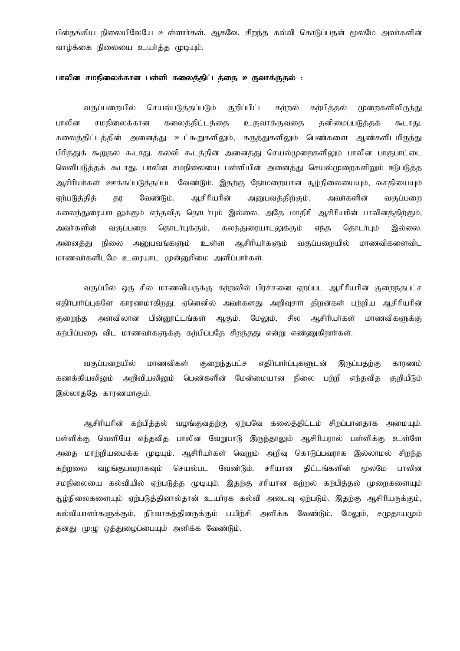பின்தங்கிய நிலையிலேயே உள்ளார்கள். ஆகவே, சிறந்த கல்வி கொடுப்பதன் மூலமே அவர்களின் வாழ்க்கை நிலையை உயர்த்த முடியும்.

## பாலின சமநிலைக்கான பள்ளி கலைத்திட்டத்தை உருவாக்குதல் :

வகுப்பளையில் செயல்படுத்தப்படும் குறிப்பிட்ட கர்கல் கர்பிக்கல் முளைகளிலிருந்து தனிமைப்படுத்தக் பாலின சமநிலைக்கான கலைத்திட்டத்தை உருவாக்குவதை கூடாது. கலைத்திட்டத்தின் அனைத்து உட்கூறுகளிலும், கருத்துகளிலும் பெண்களை ஆண்களிடமிருந்து பிரித்துக் கூறுதல் கூடாது. கல்வி கூடத்தின் அனைத்து செயல்முறைகளிலும் பாலின பாகுபாட்டை வெளிபடுத்தக் கூடாது. பாலின சமநிலையை பள்ளியின் அனைத்து செயல்முறைகளிலும் ஈடுபடுத்த ஆசிரியர்கள் ஊக்கப்படுத்தப்பட வேண்டும். இதற்கு நேர்மறையான சூழ்நிலையையும், வசதியையும் ஆசிரியரின் ஏற்படுத்தித் தர வேண்டும். அனுபவத்திற்கும், அவர்களின் வகுப்பறை கலைந்துரையாடலுக்கும் எந்தவித தொடா்பும் இல்லை. அதே மாதிரி ஆசிரியரின் பாலினத்திற்கும், அவர்களின் வகுப்பறை தொடர்புக்கும், கலந்துரையாடலுக்கும் எந்த கொடர்பும் இல்லை. அனைக்குட நிலை அனுபவங்களும் உள்ள ஆசிரியர்களும் வகுப்பறையில் மாணவிகளைவிட மாணவர்களிடமே உரையாட முன்னுரிமை அளிப்பார்கள்.

வகுப்பில் ஒரு சில மாணவியருக்கு கர்றலில் பிரச்சனை ஏறப்பட ஆசிரியரின் குறைந்தபட்ச எதிர்பார்ப்புகளே காரணமாகிறது. ஏனெனில் அவர்களது அறிவுசார் திறன்கள் பற்றிய ஆசிரியரின் குறைந்த அளவிலான பின்னூட்டங்கள் ஆகும். மேலும், சில அசிரியா்கள் மாணவிகளுக்கு கர்பிப்பதை விட மாணவாகளுக்கு கர்பிப்பதே சிறந்தது என்று எண்ணுகிறாா்கள்.

வகுப்பளையில் மாணவிகள் குறைந்தபட்ச எகிர்பார்ப்புகளுடன் இருப்பதற்கு காரணம் கணக்கியலிலும் அறிவியலிலும் பெண்களின் மேன்மையான நிலை பற்றி எந்தவித குறியீடும் இல்லாததே காரணமாகும்.

ஆசிரியரின் கற்பித்தல் வழங்குவதற்கு ஏற்பவே கலைத்திட்டம் சிறப்பானதாக அமையும். பள்ளிக்கு வெளியே எந்தவித பாலின வேறுபாடு இருந்தாலும் ஆசிரியரால் பள்ளிக்கு உள்ளே அதை மாற்றியமைக்க முடியும். ஆசிரியர்கள் வெறும் அறிவு கொடுப்பவராக இல்லாமல் சிறந்த கர்றலை வழங்குபவராகவும் செயல்பட வேண்டும். சரியான திட்டங்களின் மூலமே பாலின சமநிலையை கல்வியில் ஏற்படுத்த முடியும். இதற்கு சரியான கற்றல் கற்பித்தல் முறைகளையும் சூழ்நிலைகளையும் ஏற்படுத்தினால்தான் உயர்ரக கல்வி அடைவு ஏற்படும். இதற்கு ஆசிரியருக்கும், கல்வியாளர்களுக்கும். நிர்வாகக்கினருக்கும் பயிர்சி அளிக்க வேண்டும். மேலும். சமுகாயமும் தனது முழு ஒத்துழைப்பையும் அளிக்க வேண்டும்.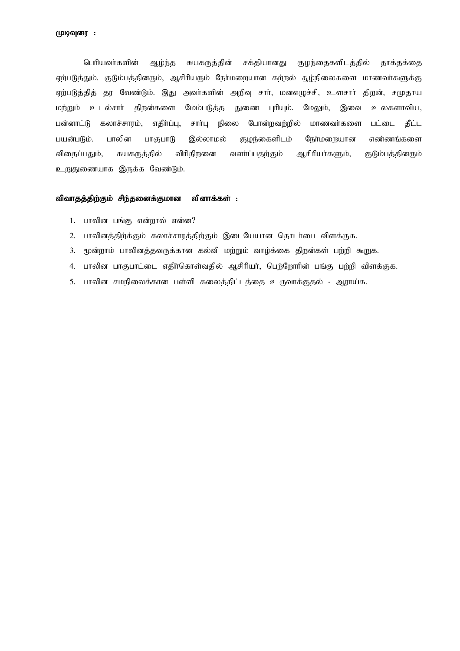பெரியவர்களின் ஆழ்ந்த சுயகருத்தின் சக்தியானது குழந்தைகளிடத்தில் தூக்தக்தை ஏற்படுத்தும். குடும்பத்தினரும், ஆசிரியரும் நேர்மறையான கற்றல் சூழ்நிலைகளை மாணவர்களுக்கு ஏற்படுத்தித் தர வேண்டும். இது அவர்களின் அறிவு சார், மனஎழுச்சி, உளசார் திறன், சமுதாய மர்றும் உடல்சார் திருன்களை மேம்படுத்த துணை புரியும். மேலும், இவை உலகளாவிய, பன்னாட்டு கலாச்சாரம், எதிர்ப்பு, சாா்பு நிலை போன்றவற்றில் மாணவா்களை பட்டை தீட்ட பயன்படும். பாலின பாகுபாடு இல்லாமல் குழந்கைளிடம் நேர்மறையான எண்ணங்களை விதைப்பதும், சுயகருத்தில் விரிதிறனை வளர்ப்பதற்கும் ஆசிரியர்களும், குடும்பத்தினரும் உறுதுணையாக இருக்க வேண்டும்.

# விவாதத்திற்கும் சிந்தனைக்குமான வினாக்கள் :

- 1. பாலின பங்கு என்றால் என்ன?
- 2. பாலினத்திற்க்கும் கலாச்சாரத்திற்கும் இடையேயான தொடர்பை விளக்குக.
- 3. மூன்றாம் பாலினத்தவருக்கான கல்வி மற்றும் வாழ்க்கை திறன்கள் பற்றி கூறுக.
- 4. பாலின பாகுபாட்டை எதிர்கொள்வதில் ஆசிரியர், பெற்றோரின் பங்கு பற்றி விளக்குக.
- 5. பாலின சமநிலைக்கான பள்ளி கலைத்திட்டத்தை உருவாக்குதல் ஆராய்க.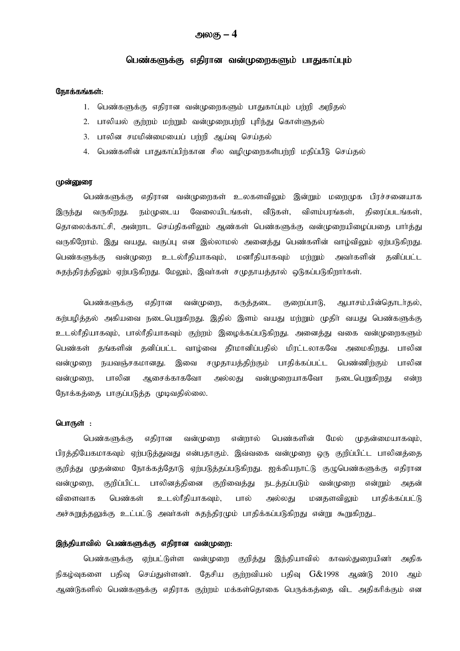# அலகு – 4

# பெண்களுக்கு எதிரான வன்முறைகளும் பாதுகாப்பும்

#### நோக்கங்கள்:

- 1. பெண்களுக்கு எதிரான வன்முறைகளும் பாதுகாப்பும் பற்றி அறிதல்
- 2. பாலியல் குற்றம் மற்றும் வன்முறைபற்றி புரிந்து கொள்ளுதல்
- 3. பாலின சமமின்மையைப் பற்றி ஆய்வு செய்தல்
- 4. பெண்களின் பாதுகாப்பிற்கான சில வழிமுறைகள்பற்றி மதிப்பீடு செய்தல்

## முன்னுரை

பெண்களுக்கு எதிரான வன்முறைகள் உலகளவிலும் இன்றும் மறைமுக பிரச்சனையாக வேலையிடங்கள், வீடுகள், விளம்பரங்கள், இருந்து வருகிறது. நம்முடைய திரைப்படங்கள், தொலைக்காட்சி, அன்றாட செய்திகளிலும் ஆண்கள் பெண்களுக்கு வன்முறையிழைப்பதை பார்த்து வருகிறோம். இது வயது, வகுப்பு என இல்லாமல் அனைத்து பெண்களின் வாழ்விலும் ஏற்படுகிறது. தனிப்பட்ட பெண்களுக்கு வன்முறை உடல்ரீதியாகவும், மனரீதியாகவும் மற்றும் அவர்களின் சுதந்திரத்திலும் ஏற்படுகிறது. மேலும், இவர்கள் சமுதாயத்தால் ஒடுகப்படுகிறார்கள்.

பெண்களுக்கு எதிரான வன்முறை, கருத்தடை குறைப்பாடு, ஆபாசம்,பின்தொடர்தல், கற்பழித்தல் அகியவை நடைபெறுகிறது. இதில் இளம் வயது மற்றும் முதிர் வயது பெண்களுக்கு உடல்ரீதியாகவும், பால்ரீதியாகவும் குற்றம் இழைக்கப்படுகிறது. அனைத்து வகை வன்முறைகளும் பெண்கள் தங்களின் தனிப்பட்ட வாழ்வை தீாமானிப்பதில் மிரட்டலாகவே அமைகிறது. பாலின வன்முறை நயவஞ்சகமானது. இவை சமுதாயத்திற்கும் பாதிக்கப்பட்ட பெண்ணிற்கும் பாலின ஆசைக்காகவோ வன்முறை, பாலின அல்லகு வன்முறையாகவோ நடைபெறுகிறது என்ற நோக்கத்தை பாகுப்படுத்த முடிவதில்லை.

# பொருள் :

பெண்களுக்கு எகிரான வன்முறை என்றால் பெண்களின் மேல் முதன்மையாகவும், பிரத்தியேகமாகவும் ஏற்படுத்துவது என்பதாகும். இவ்வகை வன்முறை ஒரு குறிப்பிட்ட பாலினத்தை குறித்து முதன்மை நோக்கத்தோடு ஏற்படுத்தப்படுகிறது. ஐக்கியநாட்டு குழுபெண்களுக்கு எதிரான பாலினக்கினை குறிவைக்து வன்முறை, குறிப்பிட்ட நடத்தப்படும் வன்முறை என்றும் அகன் விளைவாக பெண்கள் உடல்ரீதியாகவும், பால் அல்லகு மனகளவிலும் பாகிக்கப்பட்டு அச்சுறுத்தலுக்கு உட்பட்டு அவர்கள் சுதந்திரமும் பாதிக்கப்படுகிறது என்று கூறுகிறது..

## இந்தியாவில் பெண்களுக்கு எதிரான வன்முறை:

பெண்களுக்கு ஏற்பட்டுள்ள வன்முறை குறித்து இந்தியாவில் காவல்துறையினர் அகிக நிகழ்வுகளை பதிவு செய்துள்ளனர். தேசிய குற்றவியல் பதிவு G&1998 ஆண்டு 2010 அம் ஆண்டுகளில் பெண்களுக்கு எதிராக குற்றம் மக்கள்தொகை பெருக்கத்தை விட அதிகரிக்கும் என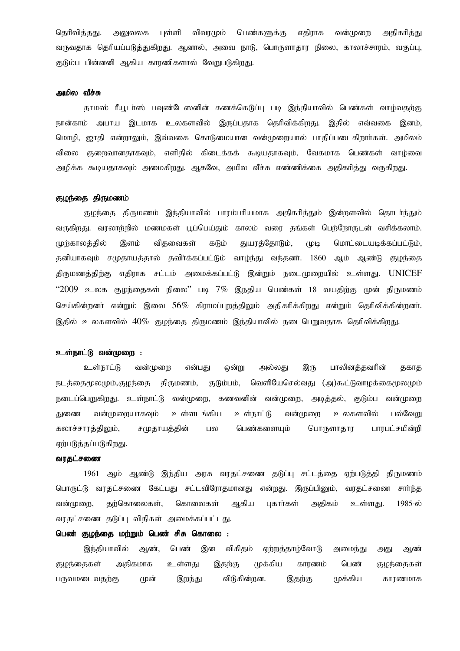தெரிவித்தது. பள்ளி விவாமும் பெண்களுக்கு எகிராக வன்முளை அதிகரித்து அலுவலக வருவதாக தெரியப்படுத்துகிறது. ஆனால், அவை நாடு, பொருளாதார நிலை, காலாச்சாரம், வகுப்பு, குடும்ப பின்னனி ஆகிய காரணிகளால் வேறுபடுகிறது.

## அமில வீச்சு

தாமஸ் ரீயூடர்ஸ் பவுண்டேஸனின் கணக்கெடுப்பு படி இந்தியாவில் பெண்கள் வாழ்வதற்கு நான்காம் அபாய இடமாக உலகளவில் இருப்பதாக தெரிவிக்கிறது. இதில் எவ்வகை இனம். மொழி, ஜாதி என்றாலும், இவ்வகை கொடுமையான வன்முறையால் பாதிப்படைகிறார்கள். அமிலம் குறைவானதாகவும், எளிதில் கிடைக்கக் கூடியதாகவும், வேகமாக பெண்கள் வாழ்வை விலை அழிக்க கூடியதாகவும் அமைகிறது. ஆகவே, அமில வீச்சு எண்ணிக்கை அதிகரித்து வருகிறது.

## குழந்தை திருமணம்

குழந்தை திருமணம் இந்தியாவில் பாரம்பரியமாக அதிகரித்தும் இன்றளவில் தொடர்ந்தும் வருகிறது. வரலாற்றில் மணமகள் பூப்பெய்தும் காலம் வரை தங்கள் பெற்றோருடன் வசிக்கலாம்.  $(1)$ முர்காலக்கில் இளம் விகவைகள் கடும் துயரத்தோடும், மொட்டையடிக்கப்பட்டும், தனியாகவும் சமுதாயத்தால் தவிர்க்கப்பட்டும் வாழ்ந்து வந்தனர். 1860 ஆம் ஆண்டு குழந்தை திருமணத்திற்கு எதிராக சட்டம் அமைக்கப்பட்டு இன்றும் நடைமுறையில் உள்ளது. UNICEF  $"2009$  உலக குழந்தைகள் நிலை" படி  $7\%$  இநதிய பெண்கள் 18 வயதிற்கு முன் திருமணம் செய்கின்றனர் என்றும் இவை 56% கிராமப்புறத்திலும் அதிகரிக்கிறது என்றும் தெரிவிக்கின்றனர். இதில் உலகளவில்  $40\%$  குழந்தை திருமணம் இந்தியாவில் நடைபெறுவதாக தெரிவிக்கிறது.

# உள்நாட்டு வன்முறை :

உள்நாட்டு வன்முறை என்பது இரு பாலினக்கவரின் ஒன்று அல்லது தகாத நடத்தைமூலமும்,குழந்தை திருமணம், குடும்பம், வெளியேசெல்வது (அ)கூட்டுவாழக்கைமூலமும் நடைப்பெறுகிறது. உள்நாட்டு வன்முறை, கணவனின் வன்முறை, அடித்தல், குடும்ப வன்முறை வன்முறையாகவும் உள்ளடங்கிய உள்நாட்டு வன்முறை உலகளவில் பல்வேறு குணை கலாச்சாரக்கிலும், சமுகாயக்கின் பல பெண்களையும் பொருளாகார பாரபட்சமின்றி ஏற்படுத்தப்படுகிறது.

# வரதட்சணை

1961 ஆம் ஆண்டு இந்திய அரசு வரதட்சணை தடுப்பு சட்டத்தை ஏற்படுத்தி திருமணம் பொருட்டு வரதட்சணை கேட்பது சட்டவிரோதமானது என்றது. இருப்பினும், வரதட்சணை சாா்ந்த வன்முறை, தற்கொலைகள், கொலைகள் ஆகிய புகார்கள் அதிகம் உள்ளது. 1985-ல் வரதட்சணை தடுப்பு விதிகள் அமைக்கப்பட்டது.

# பெண் குழந்தை மற்றும் பெண் சிசு கொலை :

இந்தியாவில் பெண் இன விகிகம் ஏற்றத்தாழ்வோடு ஆண், அமைந்து ஆண் அது குமந்தைகள் அதிகமாக உள்ளது இதற்கு முக்கிய காரணம் பெண் குமந்தைகள் முக்கிய பருவமடைவதற்கு விடுகின்றன. காரணமாக (முன் இறந்து இதற்கு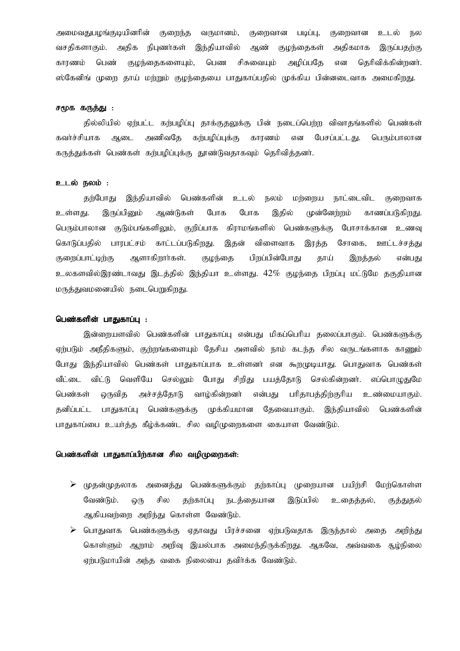அமைவதுபமங்குடியினரின் குறைந்த வருமானம், குறைவான படிப்பு, குளைவான உடல் நல வசதிகளாகும். அதிக நிபுணர்கள் இந்தியாவில் ஆண் குழந்தைகள் அதிகமாக இருப்பதற்கு காரணம் பெண் குழந்தைகளையும், பெண சிசுவையும் அழிப்பதே என தெரிவிக்கின்றனர். ஸ்கேனிங் முறை தாய் மற்றும் குழந்தையை பாதுகாப்பதில் முக்கிய பின்னடைவாக அமைகிறது.

# சமூக கருத்து :

தில்லியில் ஏற்பட்ட கற்பழிப்பு தாக்குதலுக்கு பின் நடைப்பெற்ற விவாதங்களில் பெண்கள் அணிவதே கற்பழிப்புக்கு காரணம் என பேசப்பட்டது. பெரும்பாலான கவர்ச்சியாக ஆடை கருத்துக்கள் பெண்கள் கற்பழிப்புக்கு தூண்டுவதாகவும் தெரிவித்தனர்.

## உடல் நலம் :

தற்போது இந்தியாவில் பெண்களின் உடல் நலம் மற்றைய நாட்டைவிட குறைவாக உள்ளகு. இருப்பினும் ஆண்டுகள் போக போக இதில் முன்னேற்றம் காணப்படுகிறது. பெரும்பாலான குடும்பங்களிலும், குறிப்பாக கிராமங்களில் பெண்களுக்கு போசாக்கான உணவு கொடுப்பதில் பாரபட்சம் காட்டப்படுகிறது. இதன் விளைவாக இரத்த சோகை, ஊட்டச்சக்கு குறைப்பாட்டிற்கு ஆளாகிறார்கள். குழந்தை பிறப்பின்போது தாய் என்பது இறத்தல் உலகளவில்இரண்டாவது இடத்தில் இந்தியா உள்ளது. 42% குழந்தை பிறப்பு மட்டுமே தகுதியான மருத்துவமனையில் நடைபெறுகிறது.

# பெண்களின் பாதுகாப்பு :

இன்றையளவில் பெண்களின் பாதுகாப்பு என்பது மிகப்பெரிய தலைப்பாகும். பெண்களுக்கு ஏற்படும் அநீதிகளும், குற்றங்களையும் தேசிய அளவில் நாம் கடந்த சில வருடங்களாக காணும் போது இந்தியாவில் பெண்கள் பாதுகாப்பாக உள்ளனர் என கூறமுடியாது. பொதுவாக பெண்கள் வீட்டை விட்டு வெளியே செல்லும் போது சிறிது பயத்தோடு செல்கின்றனர். எப்பொமுதுமே பெண்கள் ொவிக அச்சக்கோடு வாம்கின்றனா் என்பது பரிதாபத்திற்குரிய உண்மையாகும். பாதுகாப்பு பெண்களுக்கு கனிப்பட்ட முக்கியமான தேவையாகும். இந்தியாவில் பெண்களின் பாதுகாப்பை உயர்த்த கீழ்க்கண்ட சில வழிமுறைகளை கையாள வேண்டும்.

# பெண்களின் பாதுகாப்பிற்கான சில வழிமுறைகள்:

- $\triangleright$  முதன்முதலாக அனைத்து பெண்களுக்கும் தற்காப்பு முறையான பயிற்சி மேற்கொள்ள வேண்டும். சில தற்காப்பு நடத்தையான இடுப்பில் ஒரு உதைத்தல், குத்துதல் ஆகியவற்றை அறிந்து கொள்ள வேண்டும்.
- $\triangleright$  பொதுவாக பெண்களுக்கு ஏதாவது பிரச்சனை ஏற்படுவதாக இருந்தால் அறிந்து அதை கொள்ளும் ஆறாம் அறிவு இயல்பாக அமைந்திருக்கிறது. ஆகவே, அவ்வகை சூழ்நிலை ஏற்படுமாயின் அந்த வகை நிலையை தவிர்க்க வேண்டும்.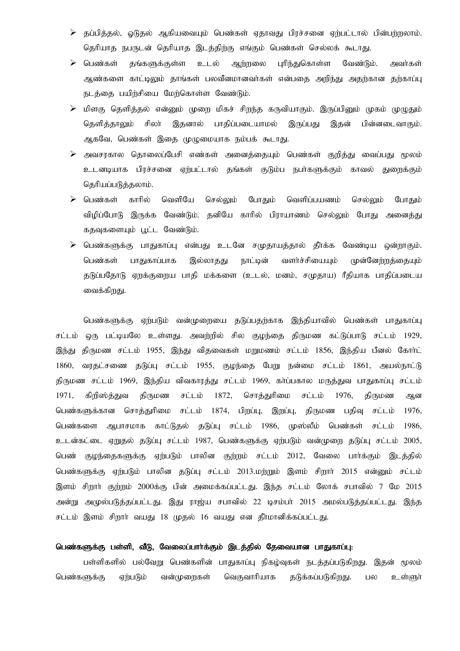- $\triangleright$  தப்பித்தல், ஓடுதல் ஆகியவையும் பெண்கள் ஏதாவது பிரச்சனை ஏற்பட்டால் பின்பற்றலாம். தெரியாத நபருடன் தெரியாத இடத்திற்கு எங்கும் பெண்கள் செல்லக் கூடாது.
- $\triangleright$  பெண்கள் தங்களுக்குள்ள உடல் ஆர்றலை புரிந்துகொள்ள வேண்டும். அவர்கள் ஆண்களை காட்டிலும் தாங்கள் பலவீனமானவா்கள் என்பதை அறிந்து அதற்கான தற்காப்பு நடத்தை பயிற்சியை மேற்கொள்ள வேண்டும்.
- $\triangleright$  மிளகு தெளித்தல் என்னும் முறை மிகச் சிறந்த கருவியாகும். இருப்பினும் முகம் முழுதும் தெளித்தாலும் சிலா் இதனால் பாகிப்படையாமல் இருப்பது இதன் பின்னடை வாகும். ஆகவே, பெண்கள் இதை முழுமையாக நம்பக் கூடாது.
- ≻ அவசரகால தொலைப்பேசி எண்கள் அனைத்தையும் பெண்கள் குறித்து வைப்பது மூலம் உடனடியாக பிரச்சனை ஏற்பட்டால் தங்கள் குடும்ப நபா்களுக்கும் காவல் துறைக்கும் தெரியப்படுத்தலாம்.
- $\triangleright$  பெண்கள் காரில் வெளியே செல்லும் போகும் வெளிப்பயணம் செல்லும் போகும் விழிப்போடு இருக்க வேண்டும். தனியே காரில் பிராயாணம் செல்லும் போது அனைத்து கதவுகளையும் பூட்ட வேண்டும்.
- பெண்களுக்கு பாதுகாப்பு என்பது உடனே சமுதாயத்தால் தீர்க்க வேண்டிய ஒன்றாகும். ➤ பெண்கள் பாதுகாப்பாக இல்லாகது நாட்டின் வளர்ச்சியையும் முன்னேற்றத்தையும் தடுப்பதோடு ஏறக்குறைய பாதி மக்களை (உடல், மனம், சமுதாய) ரீதியாக பாதிப்படைய வைக்கிறது.

பெண்களுக்கு ஏற்படும் வன்முறையை கடுப்பதற்காக இந்தியாவில் பெண்கள் பாதுகாப்பு சட்டம் ஒரு பட்டியலே உள்ளது. அவற்றில் சில குழந்தை திருமண கட்டுப்பாடு சட்டம் 1929, இந்து திருமண சட்டம் 1955, இந்து விதவைகள் மறுமணம் சட்டம் 1856, இந்திய பீனல் கோர்ட் வரதட்சணை தடுப்பு சட்டம் 1955, குழந்தை பேறு நன்மை சட்டம் 1861, அயல்நாட்டு 1860, திருமண சட்டம் 1969, இந்திய விவகாரத்து சட்டம் 1969, கா்ப்பகால மருத்துவ பாதுகாப்பு சட்டம் சொத்துரிமை சட்டம் 1976, 1971. கிறிஸ்த்துவ திருமண சட்டம் 1872, திருமண ஆன பெண்களுக்கான சொத்துரிமை சட்டம் 1874, பிறப்பு, இறப்பு, திருமண பதிவு சட்டம் 1976, பெண்களை ஆபாசமாக காட்டுதல் தடுப்பு சட்டம் 1986, முஸ்லீம் பெண்கள் சட்டம் 1986, உடன்கட்டை ஏறுதல் தடுப்பு சட்டம் 1987, பெண்களுக்கு ஏற்படும் வன்முறை தடுப்பு சட்டம் 2005, பெண் குழந்தைகளுக்கு ஏற்படும் பாலின குற்றம் சட்டம் 2012, வேலை பார்க்கும் இடத்தில் பெண்களுக்கு ஏற்படும் பாலின தடுப்பு சட்டம் 2013.மற்றும் இளம் சிறார் 2015 என்னும் சட்டம் இளம் சிறார் குற்றம் 2000க்கு பின் அமைக்கப்பட்டது. இந்த சட்டம் லோக் சபாவில் 7 மே 2015 அன்று அமுல்படுத்தப்பட்டது. இது ராஜ்ய சபாவில் 22 டிசம்பர் 2015 அமல்படுத்தப்பட்டது. இந்த சட்டம் இளம் சிறார் வயது 18 முதல் 16 வயது என தீர்மானிக்கப்பட்டது.

# பெண்களுக்கு பள்ளி, வீடு, வேலைப்பார்க்கும் இடக்கில் கேவையான பாகுகாப்பு:

பள்ளிகளில் பல்வேறு பெண்களின் பாதுகாப்பு நிகழ்வுகள் நடத்தப்படுகிறது. இதன் மூலம் பெண்களுக்கு ஏற்படும் வன்முறைகள் வெகுவாரியாக தடுக்கப்படுகிறது. பல உள்ளுர்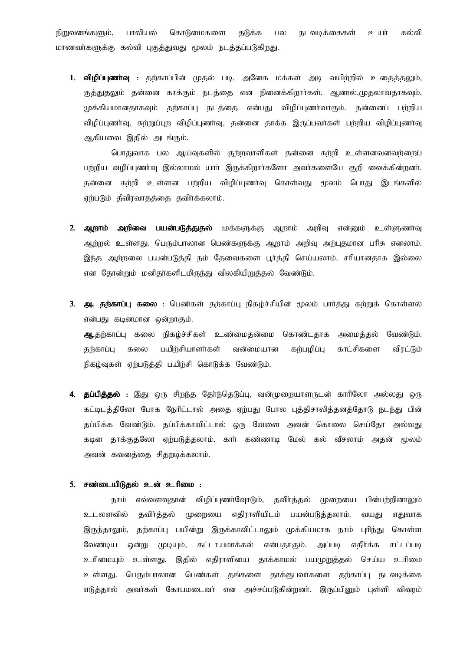பாலியல் கொடுமைகளை கல்வி நிறுவனங்களும், தடுக்க பல நடவடிக்கைகள் உயர் மாணவர்களுக்கு கல்வி புகுத்துவது மூலம் நடத்தப்படுகிறது.

1. **விழிப்புணாவு** : தற்காப்பின் முதல் படி, அனேக மக்கள் அடி வயிற்றில் உதைத்தலும், குத்துதலும் தன்னை காக்கும் நடத்தை என நினைக்கிறார்கள். ஆனால்,முதலாவதாகவும், முக்கியமானதாகவும் தற்காப்பு நடத்தை என்பது விழிப்புணர்வாகும். தன்னைப் பற்றிய விழிப்புணர்வு, சுற்றுப்புற விழிப்புணர்வு, தன்னை தாக்க இருப்பவர்கள் பற்றிய விழிப்புணர்வு ஆகியவை இதில் அடங்கும்.

பொதுவாக பல ஆய்வுகளில் குற்றவாளிகள் தன்னை சுற்றி உள்ளனவனவற்றைப் பற்றிய வழிப்புணர்வு இல்லாமல் யார் இருக்கிறார்களோ அவர்களையே குறி வைக்கின்றனர். தன்னை சுற்றி உள்ளன பற்றிய விழிப்புணர்வு கொள்வது மூலம் பொது இடங்களில் ஏற்படும் தீவிரவாதத்தை தவிர்க்கலாம்.

- 2. ஆறாம் அறிவை பயன்படுத்துதல் :மக்களுக்கு ஆறாம் அறிவு என்னும் உள்ளுணர்வு ஆற்றல் உள்ளது. பெரும்பாலான பெண்களுக்கு ஆறாம் அறிவு அற்புதமான பரிசு எனலாம். இந்த ஆற்றலை பயன்படுத்தி நம் தேவைகளை பூர்த்தி செய்யலாம். சரியானதாக இல்லை என தோன்றும் மனிதா்களிடமிருந்து விலகியிறுத்தல் வேண்டும்.
- 3. அ. தற்காப்பு கலை : பெண்கள் தற்காப்பு நிகழ்ச்சியின் மூலம் பார்த்து கற்றுக் கொள்ளல் என்பது கடினமான ஒன்றாகும். ஆ.தற்காப்பு கலை நிகழ்ச்சிகள் உண்மைதன்மை கொண்டதாக அமைத்தல் வேண்டும். கற்காப்பு கலை பயிற்சியாளர்கள் வன்மையான கற்பழிப்பு காட்சிகளை விரட்டும் நிகழ்வுகள் ஏற்படுத்தி பயிற்சி கொடுக்க வேண்டும்.
- 4. தப்பித்தல் : இது ஒரு சிறந்த தேர்ந்தெடுப்பு, வன்முறையாளருடன் காரிலோ அல்லது ஒரு கட்டிடத்திலோ போக நேரிட்டால் அதை ஏற்பது போல புத்திசாலித்தனத்தோடு நடந்து பின் தப்பிக்க வேண்டும். தப்பிக்காவிட்டால் ஒரு வேளை அவன் கொலை செய்தோ அல்லது கடின தாக்குதலோ ஏற்படுத்தலாம். காா் கண்ணாடி மேல் கல் வீசலாம் அதன் மூலம் அவன் கவனத்தை சிதறடிக்கலாம்.

#### 5. சண்டையிடுதல் உன் உரிமை :

நாம் எவ்வளவுதான் விழிப்புணர்வோடும், தவிர்த்தல் முறையை பின்பற்றினாலும் உடலளவில் தவிர்த்தல் முறையை எதிராளியிடம் பயன்படுத்தலாம். வயகுட எகுவாக இருந்தாலும், தற்காப்பு பயின்று இருக்காவிட்டாலும் முக்கியமாக நாம் புரிந்து கொள்ள வேண்டிய ஒன்று முடியும், கட்டாயமாக்கல் என்பதாகும். அப்படி எதிர்க்க சட்டப்படி உள்ளது. இதில் எதிராளியை தாக்காமல் பயமுறுத்தல் செய்ய உரிமை உரிமையும் உள்ளது. பெரும்பாலான பெண்கள் தங்களை தாக்குபவர்களை தற்காப்பு நடவடிக்கை எடுத்தால் அவர்கள் கோபமடைவர் என அச்சப்படுகின்றனர். இருப்பினும் புள்ளி விவரம்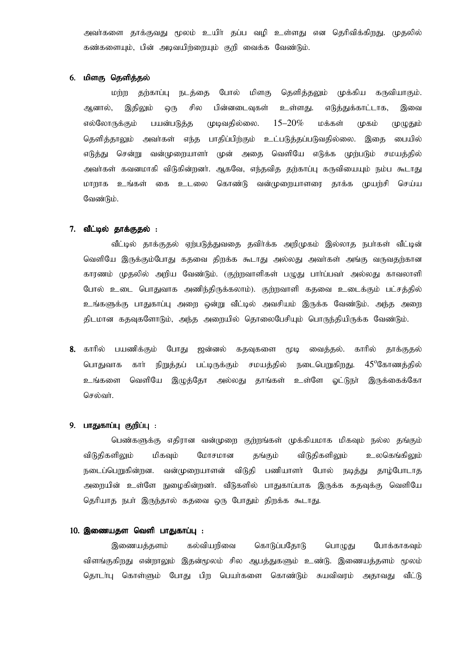அவர்களை காக்குவது மூலம் உயிர் கப்ப வமி உள்ளது என கெரிவிக்கிறது. முகலில் கண்களையும், பின் அடிவயிர்ரையும் குறி வைக்க வேண்டும்.

## 6. மிளகு தெளித்தல்

போல் மிளகு தெளித்தலும் முக்கிய கருவியாகும். மற்ற தற்காப்பு நடத்தை சில பின்னடைவுகள் எடுத்துக்காட்டாக, ஆனால், இதிலும் உள்ளது. இவை  $Q($ Th முழுதும் எல்லோருக்கும் பயன்படுத்த முடிவதில்லை.  $15 - 20\%$ மக்கள் முகம் தெளித்தாலும் அவர்கள் எந்த பாதிப்பிற்கும் உட்படுத்தப்படுவதில்லை. இதை பையில் முன் அதை வெளியே எடுக்க முற்படும் சமயத்தில் எடுத்து சென்று வன்முறையாளர் அவர்கள் கவனமாகி விடுகின்றனர். ஆகவே, எந்தவித தற்காப்பு கருவியையும் நம்ப கூடாது கொண்டு வன்முறையாளரை தாக்க முயற்சி மாறாக உங்கள் கை உடலை செய்ய வேண்டும்.

# 7. வீட்டில் தாக்குதல் :

வீட்டில் தாக்குதல் ஏற்படுத்துவதை தவிர்க்க அறிமுகம் இல்லாத நபர்கள் வீட்டின் வெளியே இருக்கும்போது கதவை கிறக்க கூடாது அல்லது அவர்கள் அங்கு வருவதற்கான காரணம் முதலில் அறிய வேண்டும். (குற்றவாளிகள் பழுது பார்ப்பவர் அல்லது காவலாளி போல் உடை பொதுவாக அணிந்திருக்கலாம்). குற்றவாளி கதவை உடைக்கும் பட்சத்தில் உங்களுக்கு பாதுகாப்பு அறை ஒன்று வீட்டில் அவசியம் இருக்க வேண்டும். அந்த அறை கிடமான ககவுகளோடும், அந்த அறையில் தொலைபேசியும் பொருந்தியிருக்க வேண்டும்.

தூக்குதல் 8. காரில் பயணிக்கும் போது ஜன்னல் கதவுகளை **CLDLQ** வைத்தல். காரில் பொதுவாக கார் நிறுத்தப் பட்டிருக்கும் சமயத்தில் நடைபெறுகிறது.  $45^{\circ}$ கோணக்கில் உங்களை வெளியே இழுத்தோ அல்லது தாங்கள் உள்ளே ஓட்டுநா் இருக்கைக்கோ செல்வர்.

#### 9. பாதுகாப்பு குறிப்பு :

பெண்களுக்கு எதிரான வன்முறை குற்றங்கள் முக்கியமாக மிகவும் நல்ல தங்கும் விடுகிகளிலும் விடுகிகளிலும் உலகெங்கிலம் மிகவம் மோசமான கங்கம் நடைப்பெறுகின்றன. வன்முறையாளன் விடுதி பணியாளர் போல் நடித்து காம்போடாக அறையின் உள்ளே நுழைகின்றனா். வீடுகளில் பாதுகாப்பாக இருக்க கதவுக்கு வெளியே தெரியாத நபர் இருந்தால் கதவை ஒரு போதும் திறக்க கூடாது.

## 10. இணையதள வெளி பாதுகாப்பு :

இணையத்தளம் கல்வியரிவை கொடுப்பதோடு பொழுது போக்காகவும் விளங்குகிறது என்றாலும் இதன்மூலம் சில ஆபத்துகளும் உண்டு. இணையத்தளம் மூலம் தொடா்பு கொள்ளும் போது பிற பெயா்களை கொண்டும் சுயவிவரம் அதாவது வீட்டு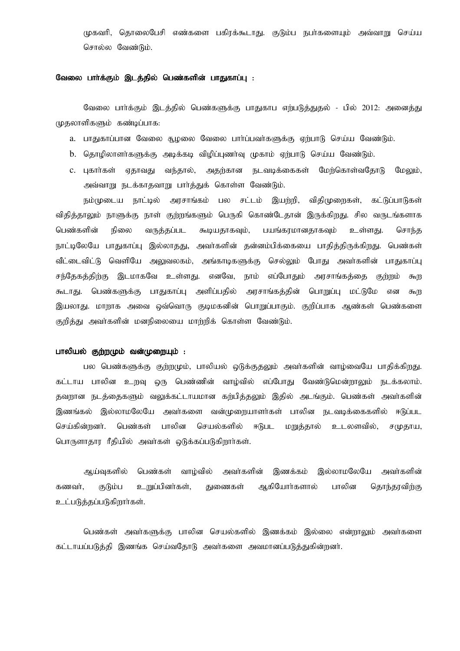முகவரி, தொலைபேசி எண்களை பகிரக்கூடாது. குடும்ப நபர்களையும் அவ்வாறு செய்ய சொல்ல வேண்டும்.

### வேலை பார்க்கும் இடத்தில் பெண்களின் பாதுகாப்பு :

வேலை பார்க்கும் இடத்தில் பெண்களுக்கு பாதுகாப எற்படுத்துதல் - பில் 2012: அனைத்து முதலாளிகளும் கண்டிப்பாக:

- a. பாதுகாப்பான வேலை சூழலை வேலை பார்ப்பவர்களுக்கு ஏற்பாடு செய்ய வேண்டும்.
- b. தொழிலாளா்களுக்கு அடிக்கடி விழிப்புணாவு முகாம் ஏற்பாடு செய்ய வேண்டும்.
- c. புகார்கள் ஏதாவது வந்தால், அதற்கான நடவடிக்கைகள் மேற்கொள்வதோடு மேலும், அவ்வாறு நடக்காதவாறு பார்த்துக் கொள்ள வேண்டும்.

நம்முடைய நாட்டில் அரசாங்கம் பல சட்டம் இயற்றி, விதிமுறைகள், கட்டுப்பாடுகள் விதித்தாலும் நாளுக்கு நாள் குற்றங்களும் பெருகி கொண்டேதான் இருக்கிறது. சில வருடங்களாக பெண்களின் நிலை வருத்தப்பட கூடியதாகவும், பயங்கரமானதாகவும் உள்ளது. சொந்த நாட்டிலேயே பாதுகாப்பு இல்லாதது, அவா்களின் தன்னம்பிக்கையை பாதித்திருக்கிறது. பெண்கள் வீட்டைவிட்டு வெளியே அலுவலகம், அங்காடிகளுக்கு செல்லும் போது அவர்களின் பாதுகாப்பு சந்தேகத்திற்கு இடமாகவே உள்ளது. எனவே, நாம் எப்போதும் அரசாங்கத்தை குற்றம்  $F_0 \cap$ கூடாது. பெண்களுக்கு பாதுகாப்பு அளிப்பதில் அரசாங்கத்தின் பொறுப்பு மட்டுமே என கூற இயலாது. மாறாக அவை ஒவ்வொரு குடிமகனின் பொறுப்பாகும். குறிப்பாக ஆண்கள் பெண்களை குறித்து அவர்களின் மனநிலையை மாற்றிக் கொள்ள வேண்டும்.

# பாலியல் குற்றமும் வன்முறையும் :

பல பெண்களுக்கு குற்றமும், பாலியல் ஒடுக்குதலும் அவர்களின் வாழ்வையே பாதிக்கிறது. கட்டாய பாலின உறவு ஒரு பெண்ணின் வாழ்வில் எப்போது வேண்டுமென்றாலும் நடக்கலாம். தவறான நடத்தைகளும் வலுக்கட்டாயமான கற்பித்தலும் இதில் அடங்கும். பெண்கள் அவர்களின் இணங்கல் இல்லாமலேயே அவர்களை வன்முறையாளர்கள் பாலின நடவடிக்கைகளில் ஈடுப்பட செய்கின்றனர். பெண்கள் பாலின செயல்களில் ஈடுபட மறுத்தால் உடலளவில், சமுதாய, பொருளாதார ரீதியில் அவர்கள் ஒடுக்கப்படுகிறார்கள்.

ஆய்வகளில் பெண்கள் வாம்வில் அவர்களின் இணக்கம் இல்லாமலேயே அவர்களின் ஆகியோர்களால் பாலின கணவர், குடும்ப உறுப்பினர்கள், துணைகள் தொந்தரவிற்கு உட்படுத்தப்படுகிறார்கள்.

பெண்கள் அவர்களுக்கு பாலின செயல்களில் இணக்கம் இல்லை என்றாலும் அவர்களை கட்டாயப்படுத்தி இணங்க செய்வதோடு அவர்களை அவமானப்படுத்துகின்றனர்.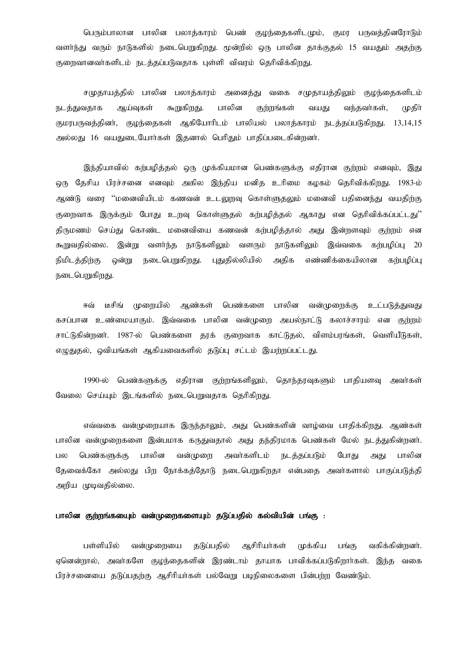பெரும்பாலான பாலின பலாத்காரம் பெண் குமந்தைகளிடமும். குமா பருவத்தினரோடும் வளர்ந்து வரும் நாடுகளில் நடைபெறுகிறது. மூன்றில் ஒரு பாலின தாக்குதல் 15 வயதும் அதற்கு குறைவானவா்களிடம் நடத்தப்படுவதாக புள்ளி விவரம் தெரிவிக்கிறது.

சமுதாயத்தில் பாலின பலாத்காரம் அனைத்து வகை சமுதாயத்திலும் குழந்தைகளிடம் ஆய்வகள் கூறுகிறது. பாலின குற்றங்கள் வந்தவர்கள். (மதிா் நடக்குவகாக வயகுட குமரபருவத்தினர், குழந்தைகள் ஆகியோரிடம் பாலியல் பலாத்காரம் நடத்தப்படுகிறது. 13,14,15 அல்லது 16 வயதுடையோர்கள் இதனால் பெரிதும் பாதிப்படைகின்றனர்.

இந்தியாவில் கற்பழித்தல் ஒரு முக்கியமான பெண்களுக்கு எதிரான குற்றம் எனவும், இது ஒரு தேசிய பிரச்சனை எனவும் அகில இந்திய மனித உரிமை கழகம் தெரிவிக்கிறது. 1983-ம் ஆண்டு வரை ''மனைவியிடம் கணவன் உடலுறவு கொள்ளுதலும் மனைவி பதினைந்து வயதிற்கு குறைவாக இருக்கும் போது உறவு கொள்ளுதல் கற்பழித்தல் ஆகாது என தெரிவிக்கப்பட்டது'' கிருமணம் செய்து கொண்ட மனைவியை கணவன் கற்பழித்தால் அது இன்றளவும் குற்றம் என இன்று வளர்ந்த நாடுகளிலும் வளரும் நாடுகளிலும் இவ்வகை கர்பமிப்ப 20 கூறுவதில்லை. நிமிடக்கிற்கு ண்ங நடைபெறுகிறது. பதுதில்லியில் அகிக எண்ணிக்கையிலான கர்பமிப்ப நடைபெறுகிறது.

டீசிங் முறையில் ஆண்கள் பெண்களை பாலின வன்(முறைக்கு உட்படுத்துவது ஈவ் கசப்பான உண்மையாகும். இவ்வகை பாலின வன்முறை அயல்நாட்டு கலாச்சாரம் என குற்றம் சாட்டுகின்றனர். 1987-ல் பெண்களை தரக் குறைவாக காட்டுதல், விளம்பரங்கள், வெளியீடுகள், எழுதுதல், ஒவியங்கள் ஆகியவைகளில் தடுப்பு சட்டம் இயற்றப்பட்டது.

1990-ல் பெண்களுக்கு எதிரான குற்றங்களிலும், தொந்தரவுகளும் பாதியளவு அவர்கள் வேலை செய்யும் இடங்களில் நடைபெறுவதாக தெரிகிறது.

எவ்வகை வன்முறையாக இருந்தாலும், அது பெண்களின் வாழ்வை பாதிக்கிறது. ஆண்கள் பாலின வன்முறைகளை இன்பமாக கருதுவதால் அது தந்திரமாக பெண்கள் மேல் நடத்துகின்றனர். பெண்களுக்கு பாலின வன்முளை அவர்களிடம் **நடத்தப்படும்** போகு பாலின பல அகு தேவைக்கோ அல்லது பிற நோக்கக்கோடு நடைபெறுகிறதா என்பதை அவர்களால் பாகுப்படுத்தி அறிய முடிவதில்லை.

# பாலின குற்றங்கயைும் வன்முறைகளையும் தடுப்பதில் கல்வியின் பங்கு :

பள்ளியில் ஆசிரியர்கள் வன்(முறையை தடுப்பதில் முக்கிய பங்கு வகிக்கின்றனர். ஏனென்றால், அவர்களே குழந்தைகளின் இரண்டாம் தாயாக பாவிக்கப்படுகிறார்கள். இந்த வகை பிரச்சனையை தடுப்பதற்கு ஆசிரியர்கள் பல்வேறு படிநிலைகளை பின்பற்ற வேண்டும்.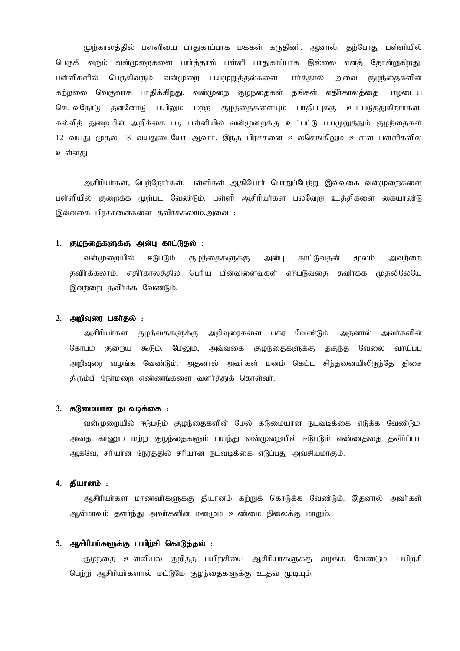முற்காலத்தில் பள்ளியை பாதுகாப்பாக மக்கள் கருதினா். ஆனால், தற்போது பள்ளியில் பெருகி வரும் வன்முறைகளை பார்த்தால் பள்ளி பாதுகாப்பாக இல்லை எனத் தோன்றுகிறது. பள்ளிகளில் பெருகிவரும் வன்முறை பயமுறுத்தல்களை பார்த்தால் அவை குழந்தைகளின் கர்றலை வெகுவாக பாதிக்கிறது. வன்முறை குழந்தைகள் தங்கள் எதிர்காலத்தை பாழடைய செய்வகோடு கன்னோடு பயிலம் மற்ற குழந்தைகளையும் பாதிப்புக்கு உட்படுத்துகிறார்கள். கல்வித் துறையின் அறிக்கை படி பள்ளியில் வன்முறைக்கு உட்பட்டு பயமுறுத்தும் குழந்தைகள் 12 வயது முதல் 18 வயதுடையோ ஆவார். இந்த பிரச்சனை உலகெங்கிலும் உள்ள பள்ளிகளில் உள்ளகு.

ஆசிரியர்கள், பெற்றோர்கள், பள்ளிகள் ஆகியோர் பொறுப்பேற்று இவ்வகை வன்முரைகளை பள்ளியில் குறைக்க முற்பட வேண்டும். பள்ளி ஆசிரியர்கள் பல்வேறு உத்திகளை கையாண்டு இவ்வகை பிரச்சனைகளை தவிர்க்கலாம்.அவை :

# 1. குழந்தைகளுக்கு அன்பு காட்டுதல் :

வன்முறையில் ஈடுபடும் குழந்தைகளுக்கு அன்பு காட்டுவதன் மூலம் அவற்றை தவிர்க்கலாம். எதிர்காலத்தில் பெரிய பின்விளைவுகள் ஏற்படுவதை தவிர்க்க முதலிலேயே இவற்றை தவிர்க்க வேண்டும்.

# 2. அறிவுரை பகர்தல் :

ஆசிரியர்கள் குழந்தைகளுக்கு அறிவுரைகளை பகர வேண்டும். அதனால் அவர்களின் கோபம் குறைய கூடும். மேலும், அவ்வகை குழந்தைகளுக்கு தகுந்த வேலை வாய்ப்ப அறிவுரை வழங்க வேண்டும். அதனால் அவர்கள் மனம் கெட்ட சிந்தனையிலிருந்தே திசை திரும்பி நேர்மளை எண்ணங்களை வளர்த்துக் கொள்வர்.

## 3. கடுமையான நடவடிக்கை :

வன்முறையில் ஈடுபடும் குழந்தைகளின் மேல் கடுமையான நடவடிக்கை எடுக்க வேண்டும். அதை காணும் மற்ற குழந்தைகளும் பயந்து வன்முறையில் ஈடுபடும் எண்ணத்தை தவிா்ப்பா். ஆகவே, சரியான நேரத்தில் சரியான நடவடிக்கை எடுப்பது அவசியமாகும்.

# **4. கியானம் :**

ஆசிரியர்கள் மாணவர்களுக்கு தியானம் கற்றுக் கொடுக்க வேண்டும். இதனால் அவர்கள் ஆன்மாவும் தளா்ந்து அவா்களின் மனமும் உண்மை நிலைக்கு மாறும்.

# 5. ஆசிரியா்களுக்கு பயிற்சி கொடுத்தல் :

குழந்தை உளவியல் குறித்த பயிற்சியை ஆசிரியர்களுக்கு வழங்க வேண்டும். பயிற்சி பெற்ற ஆசிரியர்களால் மட்டுமே குழந்தைகளுக்கு உதவ முடியும்.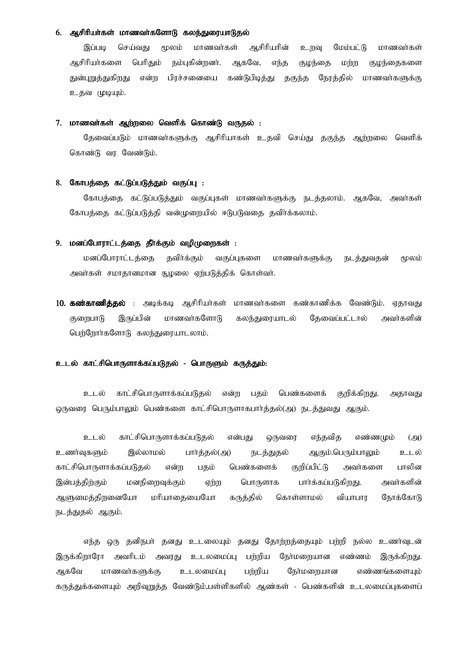# 6. ஆசிரியர்கள் மாணவர்களோடு கலந்துரையாடுதல்

இப்படி செய்வது மூலம் மாணவர்கள் ஆசிரியரின் உருவு மேம்பட்டு மாணவர்கள் ஆசிரியா்களை பெரிதும் நம்புகின்றனா். ஆகவே, எந்த குழந்தை மற்ற குழந்தைகளை துன்புறுத்துகிறது என்ற பிரச்சனையை கண்டுபிடித்து தகுந்த நேரத்தில் மாணவர்களுக்கு உதவ முடியும்.

# 7. மாணவர்கள் ஆற்றலை வெளிக் கொண்டு வருதல் :

தேவைப்படும் மாணவா்களுக்கு ஆசிரியாகள் உதவி செய்து தகுந்த ஆற்றலை வெளிக் கொண்டு வர வேண்டும்.

# 8. கோபத்தை கட்டுப்படுத்தும் வகுப்பு :

கோபத்தை கட்டுப்படுத்தும் வகுப்புகள் மாணவர்களுக்கு நடத்தலாம். ஆகவே, அவர்கள் கோபத்தை கட்டுப்படுத்தி வன்முறையில் ஈடுபடுவதை தவிர்க்கலாம்.

## 9. மனப்போராட்டத்தை தீர்க்கும் வமிமுறைகள் :

மனப்போராட்டத்தை தவிாக்கும் வகுப்புகளை மாணவர்களுக்கு நடத்துவதன் மூலம் அவர்கள் சமாதானமான சூழலை ஏற்படுத்திக் கொள்வர்.

10. கண்காணித்தல் : அடிக்கடி ஆசிரியர்கள் மாணவர்களை கண்காணிக்க வேண்டும். ஏதாவது மாணவர்களோடு குளைபாடு இருப்பின் கலந்துரையாடல் கேவைப்பட்டால் அவர்களின் பெற்றோர்களோடு கலந்துரையாடலாம்.

# உடல் காட்சிபொருளாக்கப்படுதல் - பொருளும் கருத்தும்:

காட்சிபொருளாக்கப்படுதல் என்ற பதம் பெண்களைக் குறிக்கிறது. உடல் அதாவது ஒருவரை பெரும்பாலும் பெண்களை காட்சிபொருளாகபார்த்தல்(அ) நடத்துவது ஆகும்.

காட்சிபொருளாக்கப்படுகல் உடல் என்பகு ஒருவரை எந்தவித எண்ணமும்  $\left( \bigoplus \right)$ உணர்வுகளும் இல்லாமல் பார்த்தல்(அ) நடத்துதல் ஆகும்.பெரும்பாலும் உடல் காட்சிபொருளாக்கப்படுதல் பெண்களைக் குறிப்பிட்டு அவர்களை பாலின என்ற பதம் இன்பக்கிற்கும் மனநிறைவுக்கும் பொருளாக பார்க்கப்படுகிறது. அவர்களின் ஏற்ற ஆளுமைக்கிறனையோ மரியாகையையோ கருக்கில் கொள்ளாமல் வியாபாா நோக்கோடு நடத்துதல் ஆகும்.

எந்த ஒரு தனிநபர் தனது உடலையும் தனது தோற்றத்தையும் பற்றி நல்ல உணர்வுடன் இருக்கிறாரோ அவரிடம் அவரது உடலமைப்பு பற்றிய நேர்மறையான எண்ணம் இருக்கிறது. உடலமைப்ப ஆகவே மாணவர்களுக்கு பர்மிய நேர்மறையான எண்ணங்களையும் கருத்துக்களையும் அறிவுறுத்த வேண்டும்.பள்ளிகளில் ஆண்கள் - பெண்களின் உடலமைப்புகளைப்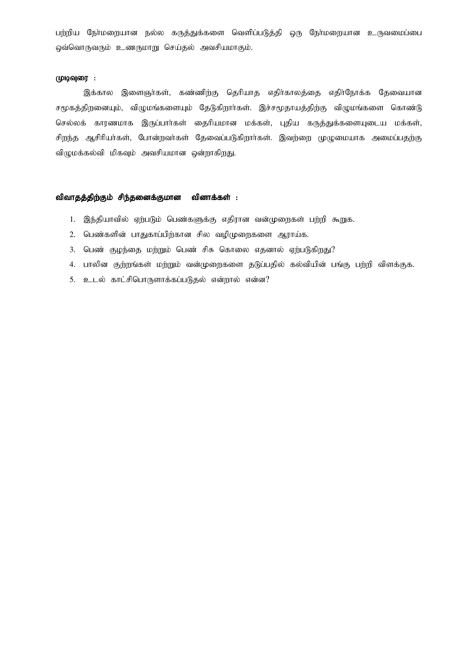பற்றிய நேர்மறையான நல்ல கருத்துக்களை வெளிப்படுத்தி ஒரு நேர்மறையான உருவமைப்பை ஒவ்வொருவரும் உணருமாறு செய்தல் அவசியமாகும்.

## முடிவுரை :

இக்கால இளைஞர்கள், கண்ணிற்கு தெரியாத எதிர்காலத்தை எதிர்நோக்க தேவையான சமுகத்திறனையும், விழுமங்களையும் தேடுகிறார்கள். இச்சமூதாயத்திற்கு விழுமங்களை கொண்டு செல்லக் காரணமாக இருப்பார்கள் தைரியமான மக்கள், புதிய கருத்துக்களையுடைய மக்கள், சிறந்த ஆசிரியர்கள், போன்றவர்கள் தேவைப்படுகிறார்கள். இவற்றை முழுமையாக அமைப்பதற்கு விழுமக்கல்வி மிகவும் அவசியமான ஒன்றாகிறது.

### விவாதத்திற்கும் சிந்தனைக்குமான வினாக்கள் :

- 1. இந்தியாவில் ஏற்படும் பெண்களுக்கு எதிரான வன்முறைகள் பற்றி கூறுக.
- 2. பெண்களின் பாதுகாப்பிற்கான சில வழிமுறைகளை ஆராய்க.
- 3. பெண் குழந்தை மற்றும் பெண் சிசு கொலை எதனால் ஏற்படுகிறது?
- 4. பாலின குற்றங்கள் மற்றும் வன்முறைகளை தடுப்பதில் கல்வியின் பங்கு பற்றி விளக்குக.
- 5. உடல் காட்சிபொருளாக்கப்படுதல் என்றால் என்ன?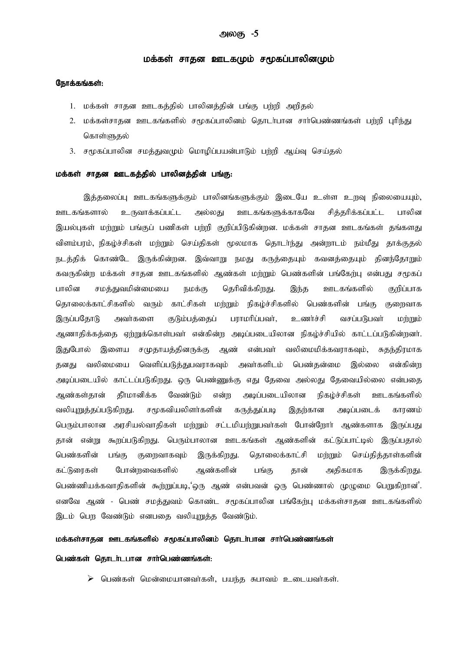# மக்கள் சாதன ஊடகமும் சமூகப்பாலினமும்

# நோக்கங்கள்:

- 1. மக்கள் சாதன ஊடகத்தில் பாலினத்தின் பங்கு பற்றி அறிதல்
- 2. மக்கள்சாதன ஊடகங்களில் சமூகப்பாலினம் தொடர்பான சார்பெண்ணங்கள் பற்றி புரிந்து கொள்ளுகல்
- 3. சமூகப்பாலின சமத்துவமும் மொழிப்பயன்பாடும் பற்றி ஆய்வு செய்தல்

# மக்கள் சாதன ஊடகத்தில் பாலினத்தின் பங்கு:

இத்தலைப்பு ஊடகங்களுக்கும் பாலினங்களுக்கும் இடையே உள்ள உறவு நிலையையும், ஊடகங்களுக்காகவே சிக்கரிக்கப்பட்ட ஊடகங்களால் உருவாக்கப்பட்ட அல்லகு பாலின இயல்புகள் மற்றும் பங்குப் பணிகள் பற்றி குறிப்பிடுகின்றன. மக்கள் சாதன ஊடகங்கள் தங்களது விளம்பரம், நிகழ்ச்சிகள் மற்றும் செய்திகள் மூலமாக தொடர்ந்து அன்றாடம் நம்மீது தாக்குதல் நடத்திக் கொண்டே இருக்கின்றன. இவ்வாறு நமது கருத்தையும் கவனத்தையும் தினந்தோறும் கவருகின்ற மக்கள் சாதன ஊடகங்களில் ஆண்கள் மற்றும் பெண்களின் பங்கேற்பு என்பது சமூகப் சமத்துவமின்மையை தெரிவிக்கிறது. ஊடகங்களில் பாலின நமக்கு இந்த குறிப்பாக தொலைக்காட்சிகளில் வரும் காட்சிகள் மற்றும் நிகழ்ச்சிகளில் பெண்களின் பங்கு குறைவாக இருப்பதோடு அவர்களை குடும்பத்தைப் பராமரிப்பவர், உணர்ச்சி வசப்படுபவர் மற்றும் ஆணாதிக்கத்தை ஏற்றுக்கொள்பவா் என்கின்ற அடிப்படையிலான நிகழ்ச்சியில் காட்டப்படுகின்றனா். இதுபோல் இளைய சமுதாயத்தினருக்கு ஆண் என்பவர் வலிமைமிக்கவராகவும், சுகந்திரமாக தனது வலிமையை வெளிப்படுத்துபவராகவும் அவர்களிடம் பெண்கன்மை இல்லை என்கின்ற அடிப்படையில் காட்டப்படுகிறது. ஒரு பெண்ணுக்கு எது தேவை அல்லது தேவையில்லை என்பதை தீாமானிக்க ஆண்கள்கான் வேண்டும் என்ற அடிப்படையிலான நிகம்ச்சிகள் ஊடகங்களில் வலியுறுத்தப்படுகிறது. சமூகவியலிளர்களின் கருத்துப்படி இதற்கான அடிப்படைக் காரணம் பெரும்பாலான அரசியல்வாதிகள் மற்றும் சட்டமியற்றுபவர்கள் போன்றோர் ஆண்களாக இருப்பது தான் என்று கூறப்படுகிறது. பெரும்பாலான ஊடகங்கள் ஆண்களின் கட்டுப்பாட்டில் இருப்பதால் பெண்களின் குறைவாகவும் இருக்கிறது. கொலைக்காட்சி மற்றும் செய்தித்தாள்களின் பங்கு கட்டுரைகள் போன்றவைகளில் ஆண்களின் அதிகமாக பங்கு தான் இருக்கிறது. பெண்ணியக்கவாதிகளின் கூற்றுப்படி,'ஒரு ஆண் என்பவன் ஒரு பெண்ணால் முழுமை பெறுகிறான்'. எனவே ஆண் - பெண் சமத்துவம் கொண்ட சமூகப்பாலின பங்கேற்பு மக்கள்சாதன ஊடகங்களில் இடம் பொ வேண்டும் எனபகை வலியாுக்க வேண்டும்.

# மக்கள்சாதன ஊடகங்களில் சமூகப்பாலினம் தொடர்பான சார்பெண்ணங்கள்

#### பெண்கள் தொடர்டபான சார்பெண்ணங்கள்:

 $\triangleright$  பெண்கள் மென்மையானவா்கள், பயந்த சுபாவம் உடையவா்கள்.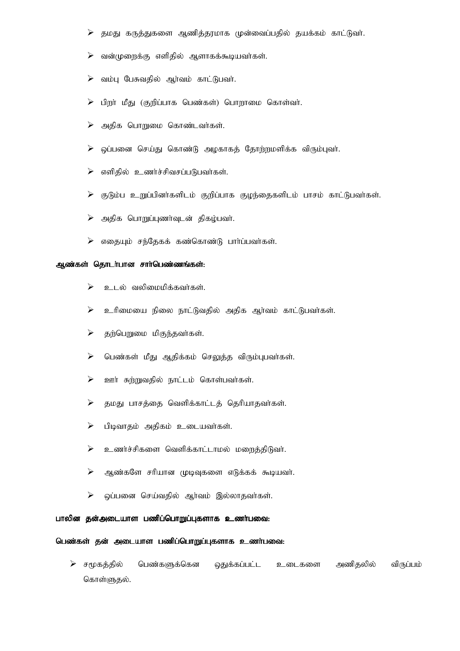- தமது கருத்துகளை ஆணித்தரமாக முன்வைப்பதில் தயக்கம் காட்டுவா்.  $\blacktriangleright$
- வன்முறைக்கு எளிதில் ஆளாகக்கூடியவர்கள்.  $\blacktriangleright$
- வம்பு பேசுவதில் ஆர்வம் காட்டுபவர்.  $\blacktriangleright$
- பிறா் மீது (குறிப்பாக பெண்கள்) பொறாமை கொள்வா்.  $\blacktriangleright$
- $\blacktriangleright$ அதிக பொறுமை கொண்டவர்கள்.
- ஒப்பனை செய்து கொண்டு அழகாகத் தோற்றமளிக்க விரும்புவா்.  $\blacktriangleright$
- $\blacktriangleright$ எளிதில் உணர்ச்சிவசப்படுபவர்கள்.
- குடும்ப உறுப்பினர்களிடம் குறிப்பாக குழந்தைகளிடம் பாசம் காட்டுபவர்கள்.  $\blacktriangleright$
- $\blacktriangleright$ அதிக பொறுப்புணா்வுடன் திகழ்பவா்.
- $\triangleright$  எதையும் சந்தேகக் கண்கொண்டு பார்ப்பவர்கள்.

# ஆண்கள் தொடர்பான சார்பெண்ணங்கள்:

- $\blacktriangleright$ உடல் வலிமைமிக்கவர்கள்.
- $\blacktriangleright$ உரிமையை நிலை நாட்டுவதில் அதிக ஆர்வம் காட்டுபவர்கள்.
- $\blacktriangleright$ தற்பெறுமை மிகுந்தவர்கள்.
- $\blacktriangleright$ பெண்கள் மீது ஆதிக்கம் செலுத்த விரும்புபவர்கள்.
- $\blacktriangleright$ ஊர் சுற்றுவதில் நாட்டம் கொள்பவர்கள்.
- $\blacktriangleright$ தமது பாசத்தை வெளிக்காட்டத் தெரியாதவர்கள்.
- $\blacktriangleright$ பிடிவாதம் அதிகம் உடையவா்கள்.
- $\blacktriangleright$ உணர்ச்சிகளை வெளிக்காட்டாமல் மறைத்திடுவர்.
- $\blacktriangleright$ ஆண்களே சரியான முடிவுகளை எடுக்கக் கூடியவர்.
- $\blacktriangleright$ ஒப்பனை செய்வதில் ஆர்வம் இல்லாதவர்கள்.

## பாலின தன்அடையாள பணிப்பொறுப்புகளாக உணர்பவை:

## பெண்கள் தன் அடையாள பணிப்பொறுப்புகளாக உணர்பவை:

 $\triangleright$  சமூகத்தில் பெண்களுக்கென தைுக்கப்பட்ட அணிகலில் விருப்பம் உடைகளை கொள்ளுதல்.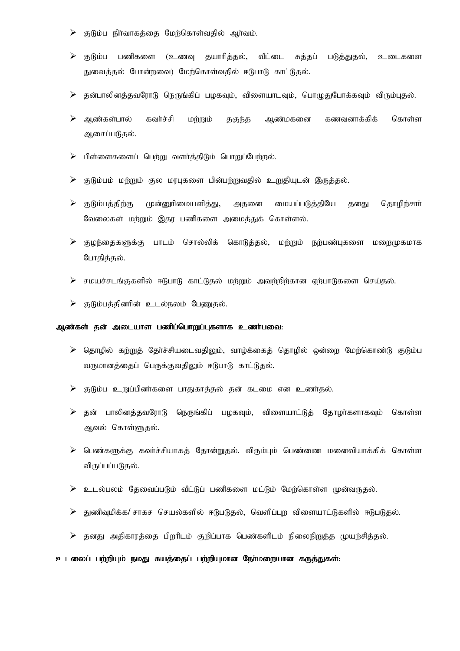- குடும்ப நிர்வாகத்தை மேற்கொள்வதில் ஆர்வம்.  $\blacktriangleright$
- குடும்ப பணிகளை (உணவு தயாரித்தல், வீட்பை சுத்தப் படுத்துதல், உடைகளை துவைத்தல் போன்றவை) மேற்கொள்வதில் ஈடுபாடு காட்டுதல்.
- $\triangleright$  தன்பாலினத்தவரோடு நெருங்கிப் பழகவும், விளையாடவும், பொழுதுபோக்கவும் விரும்புதல்.
- ஆண்கள்பால் கவர்ச்சி கொள்ள மற்றும் தகுந்த ஆண்மகனை கணவனாக்கிக் ஆசைப்படுதல்.
- $\blacktriangleright$ பிள்ளைகளைப் பெற்று வளர்த்திடும் பொறுப்பேற்றல்.
- குடும்பம் மற்றும் குல மரபுகளை பின்பற்றுவதில் உறுதியுடன் இருத்தல்.  $\blacktriangleright$
- மையப்படுத்தியே குடும்பத்திற்கு முன்னுரிமையளித்து, தொழிற்சார் ➤ அதனை தனது வேலைகள் மற்றும் இதர பணிகளை அமைத்துக் கொள்ளல்.
- ≻ குழந்தைகளுக்கு பாடம் சொல்லிக் கொடுத்தல், மற்றும் நற்பண்புகளை மறைமுகமாக போதித்தல்.
- சமயச்சடங்குகளில் ஈடுபாடு காட்டுதல் மற்றும் அவற்றிற்கான ஏற்பாடுகளை செய்தல்.  $\blacktriangleright$
- $\triangleright$  குடும்பத்தினரின் உடல்நலம் பேணுதல்.

# ஆண்கள் தன் அடையாள பணிப்பொறுப்புகளாக உணர்பவை:

- $\triangleright$  தொழில் கற்றுத் தேர்ச்சியடைவதிலும், வாழ்க்கைத் தொழில் ஒன்றை மேற்கொண்டு குடும்ப வருமானத்தைப் பெருக்குவதிலும் ஈடுபாடு காட்டுதல்.
- $\triangleright$  குடும்ப உறுப்பினர்களை பாதுகாத்தல் தன் கடமை என உணர்தல்.
- தன் பாலினத்தவரோடு நெருங்கிப் பழகவும், விளையாட்டுத் தோழா்களாகவும் கொள்ள ஆவல் கொள்ளுகல்.
- $\triangleright$  பெண்களுக்கு கவர்ச்சியாகத் தோன்றுதல். விரும்பும் பெண்ணை மனைவியாக்கிக் கொள்ள விருப்பப்படுதல்.
- உடல்பலம் கேவைப்படும் வீட்டுப் பணிகளை மட்டும் மேற்கொள்ள முன்வருகல்.  $\blacktriangleright$
- குணிவமிக்க/ சாகச செயல்களில் ஈடுபடுகல், வெளிப்பா விளையாட்டுகளில் ஈடுபடுகல்.
- ≻ தனது அதிகாரத்தை பிறரிடம் குறிப்பாக பெண்களிடம் நிலைநிறுத்த முயற்சித்தல்.

# உடலைப் பற்றியும் நமது சுயத்தைப் பற்றியுமான நேர்மறையான கருத்துகள்: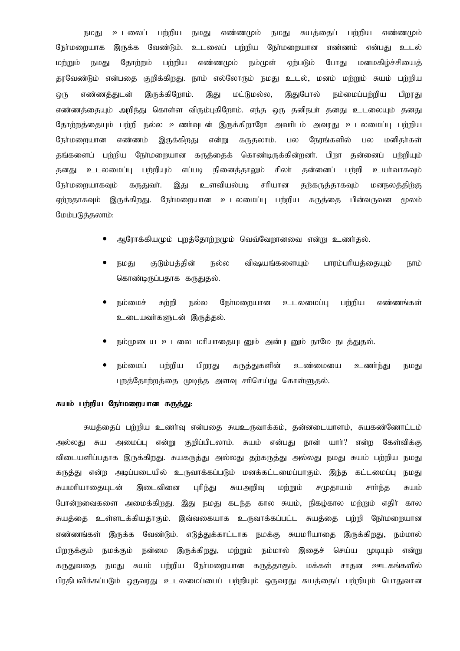உடலைப் பர்ரிய எண்ணமும் நமது சுயத்தைப் பர்றிய நமகு நமகு எண்ணமும் நேர்மறையாக இருக்க வேண்டும். உடலைப் பற்றிய நேர்மறையான எண்ணம் என்பது உடல் மற்றும் தோற்றம் பற்றிய எண்ணமும் நம்முள் ஏற்படும் போது மனமகிழ்ச்சியைத் நமது குறிக்கிறது. நாம் எல்லோரும் நமது உடல், மனம் மற்றும் சுயம் பற்றிய தரவேண்டும் என்பதை இருக்கிறோம். இதுபோல் எண்ணக்குடன் மட்டுமல்ல, நம்மைப்பர்ரிய இது பிறாகு  $Q$ (Ҧ எண்ணத்தையும் அறிந்து கொள்ள விரும்புகிறோம். எந்த ஒரு தனிநபர் தனது உடலையும் தனது தோற்றத்தையும் பற்றி நல்ல உணர்வுடன் இருக்கிறாரோ அவரிடம் அவரது உடலமைப்பு பற்றிய நேர்மளையான எண்ணம் இருக்கிறது என்று கருகலாம். பல நேரங்களில் மனிகர்கள் பல தங்களைப் பற்றிய நோ்மறையான கருத்தைக் கொண்டிருக்கின்றனா். பிறா தன்னைப் பற்றியும் தனது உடலமைப்பு பற்றியும் எப்படி நினைத்தாலும் சிலா் கன்னைப் பற்றி உயர்வாகவும் நேர்மறையாகவும் கருதுவர். இது உளவியல்படி சரியான தற்கருத்தாகவும் மனநலக்கிற்கு ஏற்றதாகவும் இருக்கிறது. நோ்மறையான உடலமைப்பு பற்றிய கருத்தை பின்வருவன ுமலம் மேம்படுத்தலாம்:

- ஆரோக்கியமும் புறத்தோற்றமும் வெவ்வேறானவை என்று உணர்தல்.
- நமது குடும்பத்தின் நல்ல விஷயங்களையும் பாரம்பரியத்தையும் நாம் கொண்டிருப்பதாக கருதுதல்.
- நம்மைச் சும்மி நல்ல நேர்மளையான பர்மிய உடலமைப்ப எண்ணங்கள் உடையவர்களுடன் இருத்தல்.
- நம்முடைய உடலை மரியாதையுடனும் அன்புடனும் நாமே நடத்துதல்.
- பற்றிய நம்மைப் பிறரது கருத்துகளின் உண்மையை உணர்ந்து நமது புறத்தோற்றத்தை முடிந்த அளவு சரிசெய்து கொள்ளுதல்.

# சுயம் பர்ரிய நேர்மளையான கருக்கு:

சுயத்தைப் பற்றிய உணர்வு என்பதை சுயஉருவாக்கம், தன்னடையாளம், சுயகண்ணோட்டம் அமைப்பு என்று குறிப்பிடலாம். சுயம் என்பது நான் யார்? என்ற கேள்விக்கு அல்லது சுய விடையளிப்பதாக இருக்கிறது. சுயகருத்து அல்லது தற்கருத்து அல்லது நமது சுயம் பற்றிய நமது கருத்து என்ற அடிப்படையில் உருவாக்கப்படும் மனக்கட்டமைப்பாகும். இந்த கட்டமைப்பு நமது சுயமரியாதையுடன் புரிந்து சுயஅறிவு இடைவினை மற்றும் சமுதாயம் சார்ந்த சுயம் போன்றவைகளை அமைக்கிறது. இது நமது கடந்த கால சுயம், நிகழ்கால மற்றும் எதிா் கால சுயத்தை உள்ளடக்கியதாகும். இவ்வகையாக உருவாக்கப்பட்ட சுயத்தை பற்றி நோ்மறையான எண்ணங்கள் இருக்க வேண்டும். எடுத்துக்காட்டாக நமக்கு சுயமரியாதை இருக்கிறது, நம்மால் பிறருக்கும் நமக்கும் நன்மை இருக்கிறது, மற்றும் நம்மால் இதைச் செய்ய முடியும் என்று நமது சுயம் பற்றிய நேர்மறையான கருத்தாகும். மக்கள் ஊடகங்களில் கருகவுகை சாகன பிரதிபலிக்கப்படும் ஒருவரது உடலமைப்பைப் பற்றியும் ஒருவரது சுயத்தைப் பற்றியும் பொதுவான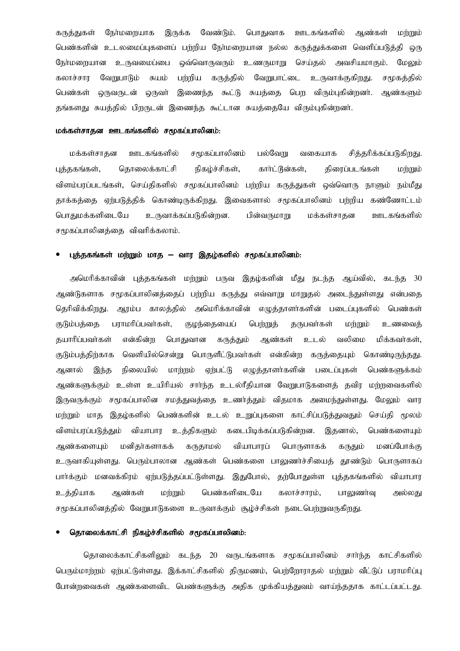ஆண்கள் நேர்மளையாக இருக்க வேண்டும். பொதுவாக ஊடகங்களில் மற்றும் கருத்துகள் பெண்களின் உடலமைப்புகளைப் பற்றிய நேர்மறையான நல்ல கருத்துக்களை வெளிப்படுத்தி ஒரு நோ்மறையான உருவமைப்பை ஒவ்வொருவரும் உணருமாறு செய்தல் அவசியமாகும். மேலும் கலாச்சார வேறுபாடும் சுயம் பர்றிய கருத்தில் வேறுபாட்டை உருவாக்குகிறது. சமூகத்தில் பெண்கள் இணைந்த கூட்டு சுயத்தை பெற விரும்புகின்றனர். ஒருவருடன் ஒருவா் ஆண்களும் தங்களது சுயத்தில் பிறருடன் இணைந்த கூட்டான சுயத்தையே விரும்புகின்றனர்.

# மக்கள்சாதன ஊடகங்களில் சமூகப்பாலினம்:

சித்தரிக்கப்படுகிறது. மக்கள்சாகன ஊடகங்களில் சமூகப்பாலினம் பல்வேறு வகையாக கொலைக்காட்சி நிகழ்ச்சிகள், கார்ட்டூன்கள், கிரைப்படங்கள் புத்தகங்கள், மர்றும் விளம்பரப்படங்கள், செய்திகளில் சமூகப்பாலினம் பற்றிய கருத்துகள் ஒவ்வொரு நாளும் நம்மீது காக்கக்கை எற்படுக்கிக் கொண்டிருக்கிறது. இவைகளால் சமூகப்பாலினம் பற்றிய கண்ணோட்டம் பொகுமக்களிடையே உருவாக்கப்படுகின்றன. பின்வருமாறு மக்கள்சாகன ஊடகங்களில் சமூகப்பாலினக்கை விவரிக்கலாம்.

## புத்தகங்கள் மற்றும் மாத — வார இதழ்களில் சமூகப்பாலினம்:

அமெரிக்காவின் புத்தகங்கள் மற்றும் பருவ இதழ்களின் மீது நடந்த ஆய்வில், கடந்த 30 ஆண்டுகளாக சமூகப்பாலினத்தைப் பற்றிய கருத்து எவ்வாறு மாறுதல் அடைந்துள்ளது என்பதை ஆரம்ப காலத்தில் அமெரிக்காவின் எழுத்தாளர்களின் படைப்புகளில் பெண்கள் தெரிவிக்கிறது. குடும்பத்தை பராமரிப்பவர்கள், குழந்தையைப் பெற்றுத் தருபவர்கள் மற்றும் உணவைத் கயாரிப்பவர்கள் என்கின்ற பொகுவான கருத்தும் ஆண்கள் உடல் வலிமை மிக்கவர்கள். வெளியில்சென்று பொருளீட்டுபவா்கள் என்கின்ற கருத்தையும் கொண்டிருந்தது. குடும்பத்திற்காக எமுத்தாளர்களின் படைப்புகள் நிலையில் மார்றம் ஏர்பட்டு பெண்களுக்கம் ஆனால் இந்த ஆண்களுக்கும் உள்ள உயிரியல் சார்ந்த உடல்ரீதியான வேறுபாடுகளைத் தவிர மற்றவைகளில் இருவருக்கும் சமூகப்பாலின சமத்துவத்தை உணர்த்தும் விதமாக அமைந்துள்ளது. மேலும் வார மற்றும் மாத இதழ்களில் பெண்களின் உடல் உறுப்புகளை காட்சிப்படுத்துவதும் செய்தி மூலம் விளம்பரப்படுத்தும் வியாபார உத்திகளும் கடைபிடிக்கப்படுகின்றன. இதனால், பெண்களையும் கருதும் ஆண்களையும் மனிகர்களாகக் கருதாமல் வியாபாரப் பொருளாகக் மனப்போக்கு உருவாகியுள்ளது. பெரும்பாலான ஆண்கள் பெண்களை பாலுணர்ச்சியைத் தூண்டும் பொருளாகப் பார்க்கும் மனவக்கிரம் ஏற்படுத்தப்பட்டுள்ளது. இதுபோல், தற்போதுள்ள புத்தகங்களில் வியாபார உக்கியாக ஆண்கள் மர்றும் பெண்களிடையே கலாச்சாரம், பாலுணர்வு அல்லது சமூகப்பாலினத்தில் வேறுபாடுகளை உருவாக்கும் சூழ்ச்சிகள் நடைபெற்றுவருகிறது.

# தொலைக்காட்சி நிகழ்ச்சிகளில் சமூகப்பாலினம்:

தொலைக்காட்சிகளிலும் கடந்க 20 வருடங்களாக சமூகப்பாலினம் சாா்ந்த காட்சிகளில் பெரும்மாற்றம் ஏற்பட்டுள்ளது. இக்காட்சிகளில் திருமணம், பெற்றோராதல் மற்றும் வீட்டுப் பராமரிப்பு போன்றவைகள் ஆண்களைவிட பெண்களுக்கு அதிக முக்கியத்துவம் வாய்ந்ததாக காட்டப்பட்டது.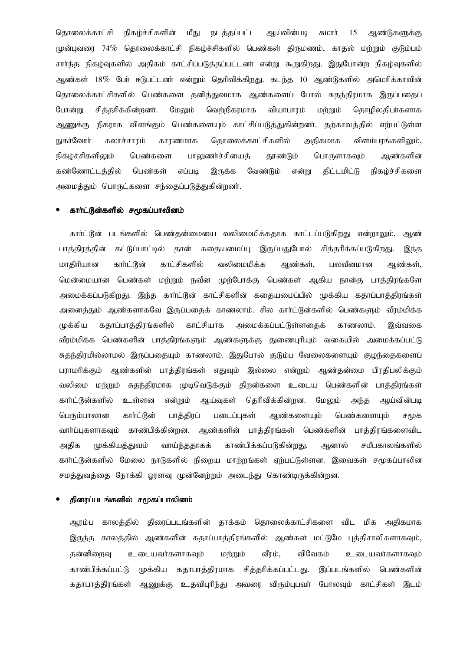கொலைக்காட்சி நிகம்ச்சிகளின் மீகு நடத்தப்பட்ட ஆய்வின்படி சுமார் 15 ஆண்டுகளுக்கு முன்புவரை 74% தொலைக்காட்சி நிகழ்ச்சிகளில் பெண்கள் திருமணம், காதல் மற்றும் குடும்பம் சாா்ந்த நிகழ்வுகளில் அதிகம் காட்சிப்படுத்தப்பட்டனா் என்று கூறுகிறது. இதுபோன்ற நிகழ்வுகளில் ஆண்கள் 18% போ் ஈடுபட்டனா் என்றும் தெரிவிக்கிறது. கடந்த 10 ஆண்டுகளில் அமெரிக்காவின் தொலைக்காட்சிகளில் பெண்களை தனித்துவமாக ஆண்களைப் போல் சுதந்திரமாக இருப்பதைப் போன்று சித்தரிக்கின்றனர். மேலும் வெற்றிகரமாக வியாபாரம் மற்றும் தொழிலதிபர்களாக ஆணுக்கு நிகராக விளங்கும் பெண்களையும் காட்சிப்படுத்துகின்றனர். தற்காலத்தில் எற்பட்டுள்ள நுகர்வோர் கலாச்சாரம் காரணமாக தொலைக்காட்சிகளில் அதிகமாக விளம்பாங்களிலும், நிகழ்ச்சிகளி<u>லு</u>ம் பெண்களை பாலுணர்ச்சியைத் தூண்டும் பொருளாகவும் ஆண்களின் கண்ணோட்டத்தில் பெண்கள் எப்படி இருக்க வேண்டும் என்று திட்டமிட்டு நிகழ்ச்சிகளை அமைத்தும் பொருட்களை சந்தைப்படுத்துகின்றனர்.

#### காா்ட்டூன்களில் சமூகப்பாலினம்

காா்ட்டூன் படங்களில் பெண்கன்மையை வலிமைமிக்ககாக காட்டப்படுகிறது என்றாலும், ஆண் கட்டுப்பாட்டில் தான் கதையமைப்பு இருப்பதுபோல் சித்தரிக்கப்படுகிறது. பாத்திரத்தின் இந்த காட்சிகளில் வலிமைமிக்க ஆண்கள், மாகிரியான கார்ட்டூன் ஆண்கள், பலவீனமான மென்மையான பெண்கள் மற்றும் நவீன முற்போக்கு பெண்கள் ஆகிய நான்கு பாக்கிரங்களே அமைக்கப்படுகிறது. இந்த காா்ட்டூன் காட்சிகளின் கதையமைப்பில் முக்கிய கதாப்பாத்திரங்கள் அனைத்தும் ஆண்களாகவே இருப்பதைக் காணலாம். சில காா்ட்டூன்களில் பெண்களும் வீரம்மிக்க முக்கிய கதாப்பாத்திரங்களில் காட்சியாக அமைக்கப்பட்டுள்ளதைக் காணலாம். இவ்வகை வீரம்மிக்க பெண்களின் பாத்திரங்களும் ஆண்களுக்கு துணைபுரியும் வகையில் அமைக்கப்பட்டு சுதந்திரமில்லாமல் இருப்பதையும் காணலாம். இதுபோல் குடும்ப வேலைகளையும் குழந்தைகளைப் பராமரிக்கும் ஆண்களின் பாத்திரங்கள் எதுவும் இல்லை என்றும் ஆண்தன்மை பிரதிபலிக்கும் வலிமை மற்றும் சுதந்திரமாக முடிவெடுக்கும் திறன்களை உடைய பெண்களின் பாத்திரங்கள் காா்ட்டூன்களில் உள்ளன ஆய்வுகள் தெரிவிக்கின்றன. என்றும் மேலும் அந்த ஆய்வின்படி ஆண்களையும் பெரும்பாலான பாத்திரப் படைப்புகள் பெண்களையும் கார்ட்டுன் சமூக வார்ப்புகளாகவும் காண்பிக்கின்றன. ஆண்களின் பாத்திரங்கள் பெண்களின் பாத்திரங்களைவிட அதிக முக்கியத்துவம் வாய்ந்ததாகக் காண்பிக்கப்படுகின்றது. ஆனால் சமீபகாலங்களில் காா்ட்டூன்களில் மேலை நாடுகளில் நிறைய மாற்றங்கள் ஏற்பட்டுள்ளன. இவைகள் சமூகப்பாலின சமத்துவத்தை நோக்கி ஓரளவு முன்னேற்றம் அடைந்து கொண்டிருக்கின்றன.

# திரைப்படங்களில் சமூகப்பாலினம்

ஆரம்ப காலத்தில் திரைப்படங்களின் தாக்கம் தொலைக்காட்சிகளை விட மிக அதிகமாக இருந்த காலத்தில் ஆண்களின் கதாப்பாத்திரங்களில் ஆண்கள் மட்டுமே புத்திசாலிகளாகவும், கன்னிறைவு உடையவர்களாகவும் மற்றும் வீரம், விவேகம் உடையவர்களாகவும் முக்கிய கதாபாத்திரமாக சித்தரிக்கப்பட்டது. இப்படங்களில் பெண்களின் காண்பிக்கப்பட்டு கதாபாத்திரங்கள் ஆணுக்கு உதவிபுரிந்து அவரை விரும்புபவா் போலவும் காட்சிகள் இடம்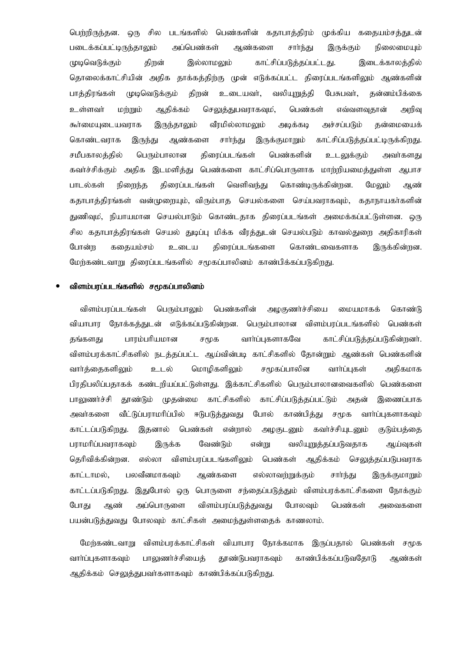பெற்றிருந்தன. ஒரு சில படங்களில் பெண்களின் கதாபாக்கிரம் முக்கிய ககையம்சக்துடன் படைக்கப்பட்டிருந்தாலும் அப்பெண்கள் ஆண்களை சார்ந்து இருக்கும் நிலைமையும் முடிவெடுக்கும் திறன் இல்லாமலும் காட்சிப்படுத்தப்பட்டது. இடைக்காலத்தில் தொலைக்காட்சியின் அதிக தாக்கத்திற்கு முன் எடுக்கப்பட்ட திரைப்படங்களிலும் ஆண்களின் பாத்திரங்கள் முடிவெடுக்கும் திறன் உடையவர், வலியுறுத்தி பேசுபவர், தன்னம்பிக்கை உள்ளவா் மற்றும் ஆதிக்கம் செலுத்துபவராகவும், பெண்கள் எவ்வளவுதான் அறிவு கூர்மையுடையவராக இருந்தாலும் வீரமில்லாமலும் அடிக்கடி அச்சப்படும் தன்மையைக் காட்சிப்படுத்தப்பட்டிருக்கிறது. கொண்டவராக இருந்து ஆண்களை சார்ந்து இருக்குமாறும் பெரும்பாலான சமீபகாலக்கில் திரைப்படங்கள் பெண்களின் உடலுக்கும் அவர்களகு கவர்ச்சிக்கும் அதிக இடமளித்து பெண்களை காட்சிப்பொருளாக மாற்றியமைத்துள்ள ஆபாச பாடல்கள் நிறைந்த கிரைப்படங்கள் வெளிவந்து கொண்டிருக்கின்றன. மேலும் ஆண் கதாபாத்திரங்கள் வன்முறையும், விரும்பாத செயல்களை செய்பவராகவும், கதாநாயகர்களின் துணிவும், நியாயமான செயல்பாடும் கொண்டதாக திரைப்படங்கள் அமைக்கப்பட்டுள்ளன. ஒரு சில கதாபாத்திரங்கள் செயல் துடிப்பு மிக்க வீரத்துடன் செயல்படும் காவல்துறை அதிகாரிகள் கிரைப்படங்களை போன்ற ககையம்சம் உடைய கொண்டவைகளாக இருக்கின்றன. மேற்கண்டவாறு கிரைப்படங்களில் சமூகப்பாலினம் காண்பிக்கப்படுகிறது.

#### விளம்பரப்படங்களில் சமூகப்பாலினம்

விளம்பரப்படங்கள் பெரும்பாலும் பெண்களின் அமகுணர்ச்சியை மையமாகக் கொண்டு வியாபார நோக்கத்துடன் எடுக்கப்படுகின்றன. பெரும்பாலான விளம்பரப்படங்களில் பெண்கள் பாரம்பரியமான சமூக வார்ப்புகளாகவே காட்சிப்படுத்தப்படுகின்றனர். தங்களது விளம்பரக்காட்சிகளில் நடத்தப்பட்ட ஆய்வின்படி காட்சிகளில் தோன்றும் ஆண்கள் பெண்களின் வார்க்கைகளிலும் உடல் மொமிகளிலும் சமூகப்பாலின வார்ப்பகள் அகிகமாக பிரதிபலிப்பதாகக் கண்டறியப்பட்டுள்ளது. இக்காட்சிகளில் பெரும்பாலானவைகளில் பெண்களை முகன்மை காட்சிகளில் காட்சிப்படுக்கப்பட்டும் பாலணர்ச்சி காண்டும் அகன் இணைப்பாக அவர்களை வீட்டுப்பாாமரிப்பில் ஈடுபடுக்குவகு போல் காண்பிக்கு சமூக வார்ப்பகளாகவம் காட்டப்படுகிறது. இகனால் பெண்கள் என்றால் அமகுடனும் கவர்ச்சியுடனும் குடும்பக்கை பராமரிப்பவராகவும் இருக்க வேண்டும் என்று வலியுறுக்கப்படுவகாக ஆய்வுகள் தெரிவிக்கின்றன. விளம்பரப்படங்களிலும் எல்லா பெண்கள் ஆதிக்கம் செலுத்தப்படுபவராக காட்டாமல், பலவீனமாகவும் ஆண்களை எல்லாவர்றுக்கும் சார்ந்து இருக்குமாறும் காட்டப்படுகிறது. இதுபோல் ஒரு பொருளை சந்தைப்படுத்தும் விளம்பரக்காட்சிகளை நோக்கும் போது அப்பொருளை விளம்பரப்படுத்துவது போலவம் பெண்கள் ஆண் அவைகளை பயன்படுத்துவது போலவும் காட்சிகள் அமைந்துள்ளதைக் காணலாம்.

மேற்கண்டவாறு விளம்பரக்காட்சிகள் வியாபார நோக்கமாக இருப்பதால் பெண்கள் சமூக வார்ப்புகளாகவும் பாலுணர்ச்சியைத் தூண்டுபவராகவும் காண்பிக்கப்படுவதோடு ஆண்கள் ஆதிக்கம் செலுத்துபவர்களாகவும் காண்பிக்கப்படுகிறது.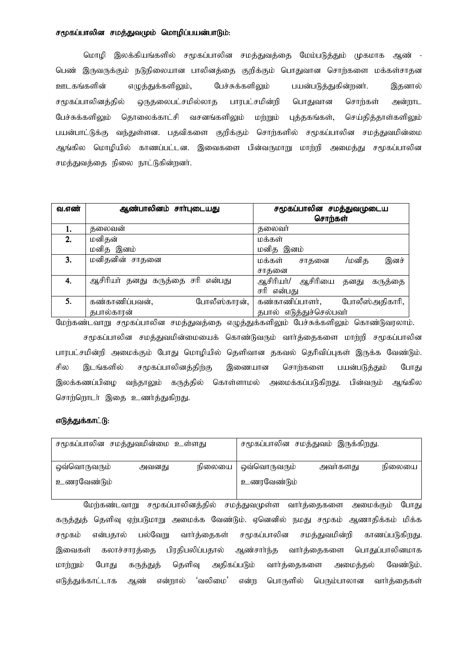# சமூகப்பாலின சமத்துவமும் மொழிப்பயன்பாடும்:

மொழி இலக்கியங்களில் சமூகப்பாலின சமத்துவத்தை மேம்படுத்தும் முகமாக ஆண் -பெண் இருவருக்கும் நடுநிலையான பாலினத்தை குறிக்கும் பொதுவான சொற்களை மக்கள்சாதன ஊடகங்களின் எழுத்துக்களிலும், பேச்சுக்களிலும் பயன்படுத்துகின்றனா். இதனால் சமூகப்பாலினக்கில் ஒருகலைபட்சமில்லாக பாரபட்சமின்றி பொதுவான சொர்கள் அன்றாட வசனங்களிலும் மற்றும் பேச்சுக்களிலும் கொலைக்காட்சி புத்தகங்கள், செய்தித்தாள்களிலும் பயன்பாட்டுக்கு வந்துள்ளன. பதவிகளை குறிக்கும் சொர்களில் சமூகப்பாலின சமக்துவமின்மை ஆங்கில மொழியில் காணப்பட்டன. இவைகளை பின்வருமாறு மாற்றி அமைத்து சமூகப்பாலின சமத்துவத்தை நிலை நாட்டுகின்றனர்.

| வ.எண் | ஆண்பாலினம் சாா்புடையது           | சமூகப்பாலின சமத்துவமுடைய                |  |  |  |
|-------|----------------------------------|-----------------------------------------|--|--|--|
|       |                                  | சொற்கள்                                 |  |  |  |
| 1.    | தலைவன்                           | தலைவர்                                  |  |  |  |
| 2.    | மனிதன்                           | மக்கள்                                  |  |  |  |
|       | மனித இனம்                        | மனித இனம்                               |  |  |  |
| 3.    | மனிதனின் சாதனை                   | இனச்<br>மக்கள்<br>/மனிக<br>சாகனை        |  |  |  |
|       |                                  | சாகனை                                   |  |  |  |
| 4.    | ஆசிரியர் தனது கருத்தை சரி என்பது | ஆசிரியா்/<br>ஆசிரியை<br>தனது<br>கருத்தை |  |  |  |
|       |                                  | சரி என்பது                              |  |  |  |
| 5.    | கண்காணிப்பவன்,<br>போலீஸ்காரன்,   | கண்காணிப்பாளர்,<br>போலீஸ்அதிகாரி,       |  |  |  |
|       | தபால்காரன்                       | தபால் எடுத்துச்செல்பவர்                 |  |  |  |

மேற்கண்டவாறு சமூகப்பாலின சமத்துவத்தை எழுத்துக்களிலும் பேச்சுக்களிலும் கொண்டுவரலாம்.

சமூகப்பாலின சமத்துவமின்மையைக் கொண்டுவரும் வார்த்தைகளை மாற்றி சமூகப்பாலின பாரபட்சமின்றி அமைக்கும் போது மொழியில் தெளிவான தகவல் தெரிவிப்புகள் இருக்க வேண்டும். சில இடங்களில் சமூகப்பாலினத்திற்கு இணையான சொற்களை பயன்படுத்தும் போது இலக்கணப்பிழை வந்தாலும் கருத்தில் கொள்ளாமல் அமைக்கப்படுகிறது. பின்வரும் ஆங்கில சொற்றொடா் இதை உணர்த்துகிறது.

# எடுக்குக்காட்டு:

| சமூகப்பாலின சமத்துவமின்மை உள்ளது |       |                       | சமூகப்பாலின சமத்துவம் இருக்கிறது. |        |
|----------------------------------|-------|-----------------------|-----------------------------------|--------|
|                                  |       |                       |                                   |        |
| ஒவ்வொருவரும்                     | அவனது | நிலையை   ஒவ்வொருவரும் | அவர்களது                          | நிலையை |
| உணரவேண்டும்                      |       | உணரவேண்டும்           |                                   |        |

மேர்கண்டவாறு சமூகப்பாலினத்தில் சமத்துவமுள்ள வார்த்தைகளை அமைக்கும் போகு கருத்துத் தெளிவு ஏற்படுமாறு அமைக்க வேண்டும். ஏனெனில் நமது சமூகம் ஆணாதிக்கம் மிக்க என்பதால் பல்வேறு வார்க்கைகள் சமூகப்பாலின சமக்துவமின்றி காணப்படுகிறது. சமூகம் கலாச்சாரத்தை பிரதிபலிப்பதால் ஆண்சார்ந்த வார்த்தைகளை பொதுப்பாலினமாக இவைகள் மாற்றும் போகு கருத்துத் தெளிவு அதிகப்படும் வார்த்தைகளை அமைக்கல் வேண்டும். 'வலிமை' பொருளில் பெரும்பாலான வார்த்தைகள் எடுத்துக்காட்டாக ஆண் என்றால் என்ற